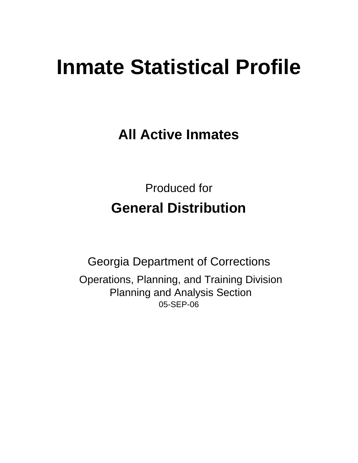# **Inmate Statistical Profile**

**All Active Inmates**

Produced for **General Distribution**

05-SEP-06 Georgia Department of Corrections Operations, Planning, and Training Division Planning and Analysis Section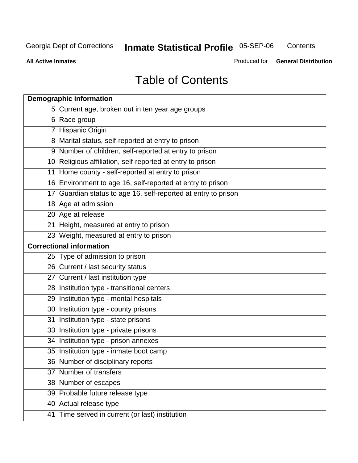**Contents** 

**All Active Inmates**

Produced for **General Distribution**

# Table of Contents

| <b>Demographic information</b>                                 |
|----------------------------------------------------------------|
| 5 Current age, broken out in ten year age groups               |
| 6 Race group                                                   |
| 7 Hispanic Origin                                              |
| 8 Marital status, self-reported at entry to prison             |
| 9 Number of children, self-reported at entry to prison         |
| 10 Religious affiliation, self-reported at entry to prison     |
| 11 Home county - self-reported at entry to prison              |
| 16 Environment to age 16, self-reported at entry to prison     |
| 17 Guardian status to age 16, self-reported at entry to prison |
| 18 Age at admission                                            |
| 20 Age at release                                              |
| 21 Height, measured at entry to prison                         |
| 23 Weight, measured at entry to prison                         |
| <b>Correctional information</b>                                |
| 25 Type of admission to prison                                 |
| 26 Current / last security status                              |
| 27 Current / last institution type                             |
| 28 Institution type - transitional centers                     |
| 29 Institution type - mental hospitals                         |
| 30 Institution type - county prisons                           |
| 31 Institution type - state prisons                            |
| 33 Institution type - private prisons                          |
| 34 Institution type - prison annexes                           |
| 35 Institution type - inmate boot camp                         |
| 36 Number of disciplinary reports                              |
| 37 Number of transfers                                         |
| 38 Number of escapes                                           |
| 39 Probable future release type                                |
| 40 Actual release type                                         |
| 41 Time served in current (or last) institution                |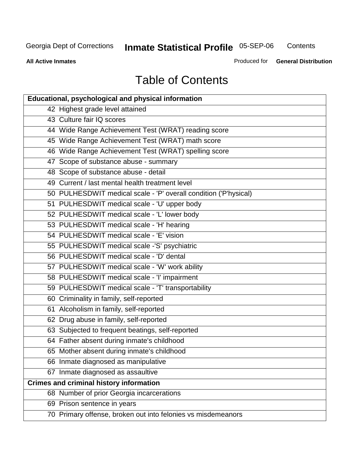**Contents** 

**All Active Inmates**

Produced for **General Distribution**

# Table of Contents

| <b>Educational, psychological and physical information</b>       |
|------------------------------------------------------------------|
| 42 Highest grade level attained                                  |
| 43 Culture fair IQ scores                                        |
| 44 Wide Range Achievement Test (WRAT) reading score              |
| 45 Wide Range Achievement Test (WRAT) math score                 |
| 46 Wide Range Achievement Test (WRAT) spelling score             |
| 47 Scope of substance abuse - summary                            |
| 48 Scope of substance abuse - detail                             |
| 49 Current / last mental health treatment level                  |
| 50 PULHESDWIT medical scale - 'P' overall condition ('P'hysical) |
| 51 PULHESDWIT medical scale - 'U' upper body                     |
| 52 PULHESDWIT medical scale - 'L' lower body                     |
| 53 PULHESDWIT medical scale - 'H' hearing                        |
| 54 PULHESDWIT medical scale - 'E' vision                         |
| 55 PULHESDWIT medical scale -'S' psychiatric                     |
| 56 PULHESDWIT medical scale - 'D' dental                         |
| 57 PULHESDWIT medical scale - 'W' work ability                   |
| 58 PULHESDWIT medical scale - 'I' impairment                     |
| 59 PULHESDWIT medical scale - 'T' transportability               |
| 60 Criminality in family, self-reported                          |
| 61 Alcoholism in family, self-reported                           |
| 62 Drug abuse in family, self-reported                           |
| 63 Subjected to frequent beatings, self-reported                 |
| 64 Father absent during inmate's childhood                       |
| 65 Mother absent during inmate's childhood                       |
| 66 Inmate diagnosed as manipulative                              |
| 67 Inmate diagnosed as assaultive                                |
| <b>Crimes and criminal history information</b>                   |
| 68 Number of prior Georgia incarcerations                        |
| 69 Prison sentence in years                                      |
| 70 Primary offense, broken out into felonies vs misdemeanors     |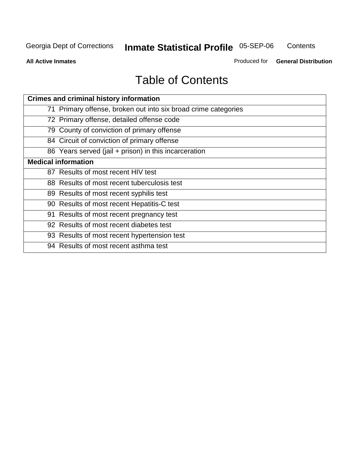**Contents** 

**All Active Inmates**

Produced for **General Distribution**

# Table of Contents

| <b>Crimes and criminal history information</b>                 |
|----------------------------------------------------------------|
| 71 Primary offense, broken out into six broad crime categories |
| 72 Primary offense, detailed offense code                      |
| 79 County of conviction of primary offense                     |
| 84 Circuit of conviction of primary offense                    |
| 86 Years served (jail + prison) in this incarceration          |
| <b>Medical information</b>                                     |
| 87 Results of most recent HIV test                             |
| 88 Results of most recent tuberculosis test                    |
| 89 Results of most recent syphilis test                        |
| 90 Results of most recent Hepatitis-C test                     |
| 91 Results of most recent pregnancy test                       |
| 92 Results of most recent diabetes test                        |
| 93 Results of most recent hypertension test                    |
| 94 Results of most recent asthma test                          |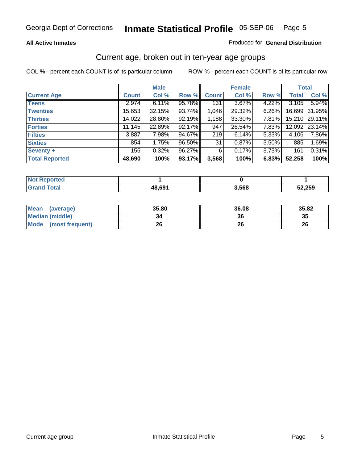#### **All Active Inmates**

#### Produced for **General Distribution**

#### Current age, broken out in ten-year age groups

|                       |              | <b>Male</b> |        |              | <b>Female</b> |          | <b>Total</b> |        |
|-----------------------|--------------|-------------|--------|--------------|---------------|----------|--------------|--------|
| <b>Current Age</b>    | <b>Count</b> | Col %       | Row %  | <b>Count</b> | Col %         | Row %    | <b>Total</b> | Col %  |
| <b>Teens</b>          | 2,974        | 6.11%       | 95.78% | 131          | 3.67%         | 4.22%    | 3,105        | 5.94%  |
| <b>Twenties</b>       | 15,653       | 32.15%      | 93.74% | 1,046        | 29.32%        | 6.26%    | 16,699       | 31.95% |
| <b>Thirties</b>       | 14,022       | 28.80%      | 92.19% | 1,188        | 33.30%        | 7.81%    | 15,210       | 29.11% |
| <b>Forties</b>        | 11,145       | 22.89%      | 92.17% | 947          | 26.54%        | 7.83%    | 12,092       | 23.14% |
| <b>Fifties</b>        | 3,887        | 7.98%       | 94.67% | 219          | 6.14%         | 5.33%    | 4,106        | 7.86%  |
| <b>Sixties</b>        | 854          | 1.75%       | 96.50% | 31           | 0.87%         | $3.50\%$ | 885          | 1.69%  |
| Seventy +             | 155          | 0.32%       | 96.27% | 6            | 0.17%         | 3.73%    | 161          | 0.31%  |
| <b>Total Reported</b> | 48,690       | 100%        | 93.17% | 3,568        | 100%          | 6.83%    | 52,258       | 100%   |

| <b>Not Reported</b>  |        |       |        |
|----------------------|--------|-------|--------|
| <b>Total</b><br>Grar | 48,691 | 3,568 | 52,259 |

| <b>Mean</b><br>(average) | 35.80 | 36.08 | 35.82 |
|--------------------------|-------|-------|-------|
| <b>Median (middle)</b>   | 34    | 36    | 35    |
| Mode<br>(most frequent)  | 26    | 26    | 26    |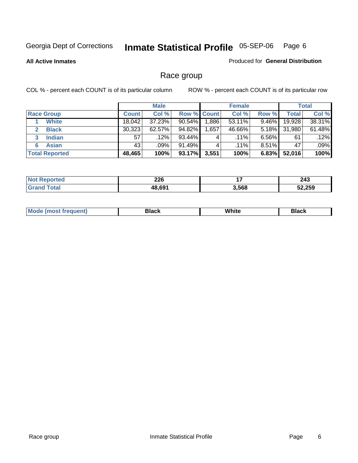#### **All Active Inmates**

#### Produced for **General Distribution**

### Race group

|                       |              | <b>Male</b> |             |          | <b>Female</b> |          |              | <b>Total</b> |
|-----------------------|--------------|-------------|-------------|----------|---------------|----------|--------------|--------------|
| <b>Race Group</b>     | <b>Count</b> | Col %       | Row % Count |          | Col %         | Row %    | <b>Total</b> | Col %        |
| <b>White</b>          | 18.042       | 37.23%      | 90.54%      | ا 886. ا | 53.11%        | $9.46\%$ | 19,928       | 38.31%       |
| <b>Black</b>          | 30,323       | $62.57\%$   | 94.82%      | ٔ 657, ، | 46.66%        | 5.18%    | 31,980       | 61.48%       |
| <b>Indian</b><br>3    | 57           | .12%        | 93.44%      | 4        | $.11\%$       | $6.56\%$ | 61           | .12%         |
| <b>Asian</b>          | 43           | .09%        | 91.49%      |          | $.11\%$       | $8.51\%$ | 47           | .09%         |
| <b>Total Reported</b> | 48,465       | 100%        | 93.17%      | 3,551    | 100%          | 6.83%    | 52,016       | 100%         |

| ted   | 226<br>__         | . .<br>. . | 243    |
|-------|-------------------|------------|--------|
| `າfa⊫ | 4869 <sup>4</sup> | 3,568      | 52,259 |

| White<br>М<br>PRON |  |
|--------------------|--|
|--------------------|--|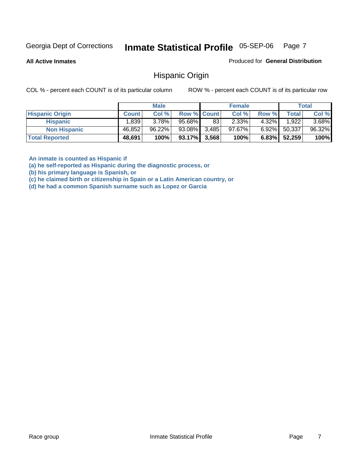**All Active Inmates**

Produced for **General Distribution**

#### Hispanic Origin

COL % - percent each COUNT is of its particular column ROW % - percent each COUNT is of its particular row

|                        |              | <b>Male</b> |                    |    | <b>Female</b> |          |              | <b>Total</b> |
|------------------------|--------------|-------------|--------------------|----|---------------|----------|--------------|--------------|
| <b>Hispanic Origin</b> | <b>Count</b> | Col %       | <b>Row % Count</b> |    | Col %         | Row %    | <b>Total</b> | Col %        |
| <b>Hispanic</b>        | ا 839. ا     | $3.78\%$    | 95.68%             | 83 | $2.33\%$      | $4.32\%$ | 1,922        | $3.68\%$     |
| <b>Non Hispanic</b>    | 46,852       | $96.22\%$   | 93.08% 3,485       |    | $97.67\%$     | $6.92\%$ | 50,337       | 96.32%       |
| <b>Total Reported</b>  | 48,691       | 100%        | $93.17\%$ 3,568    |    | 100%          | $6.83\%$ | 52.259       | 100%         |

**An inmate is counted as Hispanic if** 

**(a) he self-reported as Hispanic during the diagnostic process, or** 

**(b) his primary language is Spanish, or** 

**(c) he claimed birth or citizenship in Spain or a Latin American country, or** 

**(d) he had a common Spanish surname such as Lopez or Garcia**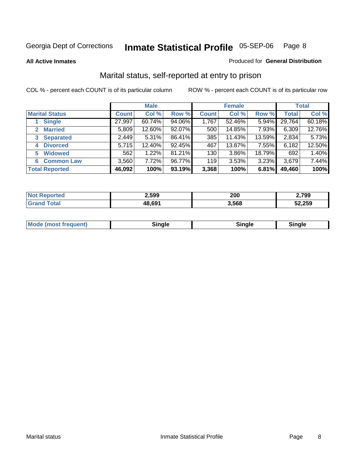#### **All Active Inmates**

# Produced for **General Distribution**

### Marital status, self-reported at entry to prison

|                                |              | <b>Male</b> |        |              | <b>Female</b> |          |              | <b>Total</b> |
|--------------------------------|--------------|-------------|--------|--------------|---------------|----------|--------------|--------------|
| <b>Marital Status</b>          | <b>Count</b> | Col %       | Row %  | <b>Count</b> | Col %         | Row %    | <b>Total</b> | Col %        |
| <b>Single</b>                  | 27,997       | $60.74\%$   | 94.06% | 1,767        | 52.46%        | $5.94\%$ | 29,764       | 60.18%       |
| <b>Married</b><br>$\mathbf{2}$ | 5,809        | 12.60%      | 92.07% | 500          | 14.85%        | 7.93%    | 6,309        | 12.76%       |
| <b>Separated</b><br>3          | 2,449        | $5.31\%$    | 86.41% | 385          | 11.43%        | 13.59%   | 2,834        | 5.73%        |
| <b>Divorced</b><br>4           | 5,715        | 12.40%      | 92.45% | 467          | 13.87%        | 7.55%    | 6,182        | 12.50%       |
| <b>Widowed</b><br>5            | 562          | 1.22%       | 81.21% | 130          | 3.86%         | 18.79%   | 692          | 1.40%        |
| <b>Common Law</b><br>6         | 3,560        | 7.72%       | 96.77% | 119          | 3.53%         | 3.23%    | 3,679        | 7.44%        |
| <b>Total Reported</b>          | 46,092       | 100%        | 93.19% | 3,368        | 100%          | 6.81%    | 49,460       | 100%         |

| 2,599 | 200   | 2,799  |
|-------|-------|--------|
| . GO' | 3.568 | 52,259 |

| Mode (most frequent)<br>sinale:<br>11 | Sinale |
|---------------------------------------|--------|
|---------------------------------------|--------|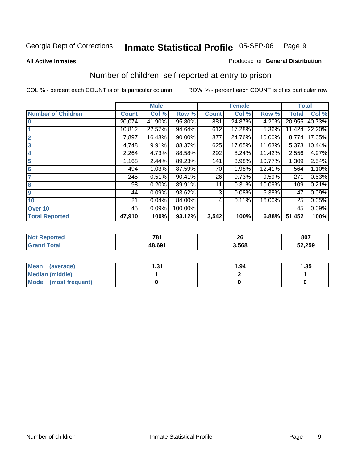#### **All Active Inmates**

#### Produced for **General Distribution**

### Number of children, self reported at entry to prison

|                           |              | <b>Male</b> |         |              | <b>Female</b> |        | <b>Total</b> |        |
|---------------------------|--------------|-------------|---------|--------------|---------------|--------|--------------|--------|
| <b>Number of Children</b> | <b>Count</b> | Col %       | Row %   | <b>Count</b> | Col %         | Row %  | <b>Total</b> | Col %  |
| $\bf{0}$                  | 20,074       | 41.90%      | 95.80%  | 881          | 24.87%        | 4.20%  | 20,955       | 40.73% |
|                           | 10,812       | 22.57%      | 94.64%  | 612          | 17.28%        | 5.36%  | 11,424       | 22.20% |
| $\overline{2}$            | 7,897        | 16.48%      | 90.00%  | 877          | 24.76%        | 10.00% | 8,774        | 17.05% |
| 3                         | 4,748        | 9.91%       | 88.37%  | 625          | 17.65%        | 11.63% | 5,373        | 10.44% |
| 4                         | 2,264        | 4.73%       | 88.58%  | 292          | 8.24%         | 11.42% | 2,556        | 4.97%  |
| 5                         | 1,168        | 2.44%       | 89.23%  | 141          | 3.98%         | 10.77% | 1,309        | 2.54%  |
| $6\phantom{a}$            | 494          | 1.03%       | 87.59%  | 70           | 1.98%         | 12.41% | 564          | 1.10%  |
| 7                         | 245          | 0.51%       | 90.41%  | 26           | 0.73%         | 9.59%  | 271          | 0.53%  |
| 8                         | 98           | 0.20%       | 89.91%  | 11           | 0.31%         | 10.09% | 109          | 0.21%  |
| 9                         | 44           | 0.09%       | 93.62%  | 3            | 0.08%         | 6.38%  | 47           | 0.09%  |
| 10                        | 21           | 0.04%       | 84.00%  | 4            | 0.11%         | 16.00% | 25           | 0.05%  |
| Over 10                   | 45           | 0.09%       | 100.00% |              |               |        | 45           | 0.09%  |
| <b>Total Reported</b>     | 47,910       | 100%        | 93.12%  | 3,542        | 100%          | 6.88%  | 51,452       | 100%   |

| 704<br><u>ио.</u><br>$-$ | $\mathbf{f}$<br>ΔV | 807    |
|--------------------------|--------------------|--------|
| $AB$ $60'$               | .568               | 52,259 |

| <b>Mean</b><br>(average) | - 24<br>ا پ. | 1.94 | .35 |
|--------------------------|--------------|------|-----|
| <b>Median (middle)</b>   |              |      |     |
| Mode<br>(most frequent)  |              |      |     |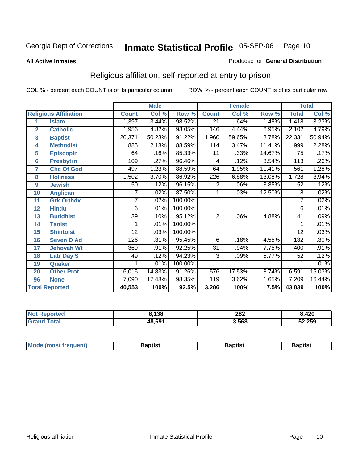#### **All Active Inmates**

#### Produced for **General Distribution**

### Religious affiliation, self-reported at entry to prison

|                  |                              |                 | <b>Male</b> |         |                  | <b>Female</b> |        | <b>Total</b>    |        |
|------------------|------------------------------|-----------------|-------------|---------|------------------|---------------|--------|-----------------|--------|
|                  | <b>Religious Affiliation</b> | <b>Count</b>    | Col %       | Row %   | <b>Count</b>     | Col %         | Row %  | <b>Total</b>    | Col %  |
| 1                | <b>Islam</b>                 | 1,397           | 3.44%       | 98.52%  | $\overline{21}$  | .64%          | 1.48%  | 1,418           | 3.23%  |
| $\overline{2}$   | <b>Catholic</b>              | 1,956           | 4.82%       | 93.05%  | 146              | 4.44%         | 6.95%  | 2,102           | 4.79%  |
| 3                | <b>Baptist</b>               | 20,371          | 50.23%      | 91.22%  | 1,960            | 59.65%        | 8.78%  | 22,331          | 50.94% |
| 4                | <b>Methodist</b>             | 885             | 2.18%       | 88.59%  | 114              | 3.47%         | 11.41% | 999             | 2.28%  |
| 5                | <b>EpiscopIn</b>             | 64              | .16%        | 85.33%  | 11               | .33%          | 14.67% | 75              | .17%   |
| 6                | <b>Presbytrn</b>             | 109             | .27%        | 96.46%  | 4                | .12%          | 3.54%  | 113             | .26%   |
| 7                | <b>Chc Of God</b>            | 497             | 1.23%       | 88.59%  | 64               | 1.95%         | 11.41% | 561             | 1.28%  |
| 8                | <b>Holiness</b>              | 1,502           | 3.70%       | 86.92%  | $\overline{226}$ | 6.88%         | 13.08% | 1,728           | 3.94%  |
| $\boldsymbol{9}$ | <b>Jewish</b>                | 50              | .12%        | 96.15%  | $\overline{2}$   | .06%          | 3.85%  | 52              | .12%   |
| 10               | <b>Anglican</b>              | 7               | .02%        | 87.50%  | 1                | .03%          | 12.50% | 8               | .02%   |
| 11               | <b>Grk Orthdx</b>            | 7               | .02%        | 100.00% |                  |               |        | $\overline{7}$  | .02%   |
| 12               | <b>Hindu</b>                 | 6               | .01%        | 100.00% |                  |               |        | $\overline{6}$  | .01%   |
| 13               | <b>Buddhist</b>              | $\overline{39}$ | .10%        | 95.12%  | $\overline{2}$   | .06%          | 4.88%  | $\overline{41}$ | .09%   |
| 14               | <b>Taoist</b>                |                 | .01%        | 100.00% |                  |               |        |                 | .01%   |
| 15               | <b>Shintoist</b>             | 12              | .03%        | 100.00% |                  |               |        | 12              | .03%   |
| 16               | <b>Seven D Ad</b>            | 126             | .31%        | 95.45%  | 6                | .18%          | 4.55%  | 132             | .30%   |
| 17               | <b>Jehovah Wt</b>            | 369             | .91%        | 92.25%  | $\overline{31}$  | .94%          | 7.75%  | 400             | .91%   |
| 18               | <b>Latr Day S</b>            | 49              | .12%        | 94.23%  | 3                | .09%          | 5.77%  | 52              | .12%   |
| 19               | Quaker                       |                 | .01%        | 100.00% |                  |               |        |                 | .01%   |
| 20               | <b>Other Prot</b>            | 6,015           | 14.83%      | 91.26%  | 576              | 17.53%        | 8.74%  | 6,591           | 15.03% |
| 96               | <b>None</b>                  | 7,090           | 17.48%      | 98.35%  | 119              | 3.62%         | 1.65%  | 7,209           | 16.44% |
|                  | <b>Total Reported</b>        | 40,553          | 100%        | 92.5%   | 3,286            | 100%          | 7.5%   | 43,839          | 100%   |

| <b>Not Reported</b> | 8,138  | 282   | ,420   |
|---------------------|--------|-------|--------|
| Total<br>Grar       | 48,691 | 3,568 | 52,259 |

| <b>Mode</b><br>3aptist<br>3aptist<br>frequent)<br>Baptist<br><i><b>IMOST</b></i> |
|----------------------------------------------------------------------------------|
|----------------------------------------------------------------------------------|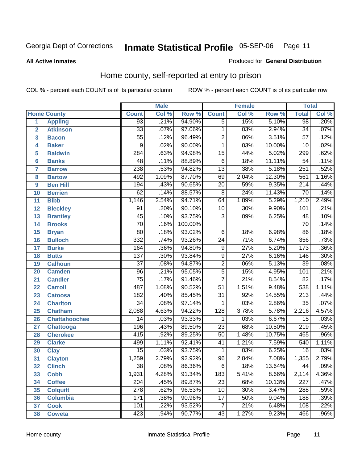#### **All Active Inmates**

#### Produced for **General Distribution**

### Home county, self-reported at entry to prison

|                 |                      |                  | <b>Male</b> |         |                  | <b>Female</b> |        | <b>Total</b>     |       |
|-----------------|----------------------|------------------|-------------|---------|------------------|---------------|--------|------------------|-------|
|                 | <b>Home County</b>   | <b>Count</b>     | Col %       | Row %   | <b>Count</b>     | Col %         | Row %  | <b>Total</b>     | Col % |
| 1               | <b>Appling</b>       | 93               | .21%        | 94.90%  | $\overline{5}$   | .15%          | 5.10%  | 98               | .20%  |
| $\overline{2}$  | <b>Atkinson</b>      | $\overline{33}$  | .07%        | 97.06%  | 1                | .03%          | 2.94%  | $\overline{34}$  | .07%  |
| 3               | <b>Bacon</b>         | $\overline{55}$  | .12%        | 96.49%  | $\overline{2}$   | .06%          | 3.51%  | $\overline{57}$  | .12%  |
| 4               | <b>Baker</b>         | $\overline{9}$   | .02%        | 90.00%  | 1                | .03%          | 10.00% | $\overline{10}$  | .02%  |
| 5               | <b>Baldwin</b>       | $\overline{284}$ | .63%        | 94.98%  | $\overline{15}$  | .44%          | 5.02%  | 299              | .62%  |
| 6               | <b>Banks</b>         | $\overline{48}$  | .11%        | 88.89%  | $\overline{6}$   | .18%          | 11.11% | $\overline{54}$  | .11%  |
| $\overline{7}$  | <b>Barrow</b>        | 238              | .53%        | 94.82%  | $\overline{13}$  | .38%          | 5.18%  | 251              | .52%  |
| 8               | <b>Bartow</b>        | 492              | 1.09%       | 87.70%  | 69               | 2.04%         | 12.30% | 561              | 1.16% |
| 9               | <b>Ben Hill</b>      | 194              | .43%        | 90.65%  | $\overline{20}$  | .59%          | 9.35%  | $\overline{214}$ | .44%  |
| 10              | <b>Berrien</b>       | 62               | .14%        | 88.57%  | $\overline{8}$   | .24%          | 11.43% | $\overline{70}$  | .14%  |
| 11              | <b>Bibb</b>          | 1,146            | 2.54%       | 94.71%  | 64               | 1.89%         | 5.29%  | 1,210            | 2.49% |
| 12              | <b>Bleckley</b>      | $\overline{91}$  | .20%        | 90.10%  | 10               | .30%          | 9.90%  | 101              | .21%  |
| $\overline{13}$ | <b>Brantley</b>      | $\overline{45}$  | .10%        | 93.75%  | $\overline{3}$   | .09%          | 6.25%  | 48               | .10%  |
| 14              | <b>Brooks</b>        | $\overline{70}$  | .16%        | 100.00% |                  |               |        | $\overline{70}$  | .14%  |
| 15              | <b>Bryan</b>         | $\overline{80}$  | .18%        | 93.02%  | $\overline{6}$   | .18%          | 6.98%  | $\overline{86}$  | .18%  |
| 16              | <b>Bulloch</b>       | 332              | .74%        | 93.26%  | $\overline{24}$  | .71%          | 6.74%  | 356              | .73%  |
| $\overline{17}$ | <b>Burke</b>         | 164              | .36%        | 94.80%  | $\overline{9}$   | .27%          | 5.20%  | 173              | .36%  |
| 18              | <b>Butts</b>         | $\overline{137}$ | .30%        | 93.84%  | $\overline{9}$   | .27%          | 6.16%  | 146              | .30%  |
| 19              | <b>Calhoun</b>       | $\overline{37}$  | .08%        | 94.87%  | $\overline{2}$   | .06%          | 5.13%  | $\overline{39}$  | .08%  |
| 20              | <b>Camden</b>        | $\overline{96}$  | .21%        | 95.05%  | $\overline{5}$   | .15%          | 4.95%  | 101              | .21%  |
| 21              | <b>Candler</b>       | $\overline{75}$  | .17%        | 91.46%  | $\overline{7}$   | .21%          | 8.54%  | $\overline{82}$  | .17%  |
| 22              | <b>Carroll</b>       | 487              | 1.08%       | 90.52%  | $\overline{51}$  | 1.51%         | 9.48%  | 538              | 1.11% |
| 23              | <b>Catoosa</b>       | 182              | .40%        | 85.45%  | $\overline{31}$  | .92%          | 14.55% | $\overline{213}$ | .44%  |
| 24              | <b>Charlton</b>      | $\overline{34}$  | .08%        | 97.14%  | 1                | .03%          | 2.86%  | $\overline{35}$  | .07%  |
| 25              | <b>Chatham</b>       | 2,088            | 4.63%       | 94.22%  | 128              | 3.78%         | 5.78%  | 2,216            | 4.57% |
| 26              | <b>Chattahoochee</b> | 14               | .03%        | 93.33%  | 1                | .03%          | 6.67%  | $\overline{15}$  | .03%  |
| 27              | Chattooga            | 196              | .43%        | 89.50%  | $\overline{23}$  | .68%          | 10.50% | $\overline{219}$ | .45%  |
| 28              | <b>Cherokee</b>      | $\overline{415}$ | .92%        | 89.25%  | $\overline{50}$  | 1.48%         | 10.75% | 465              | .96%  |
| 29              | <b>Clarke</b>        | 499              | 1.11%       | 92.41%  | $\overline{41}$  | 1.21%         | 7.59%  | 540              | 1.11% |
| 30              | <b>Clay</b>          | $\overline{15}$  | .03%        | 93.75%  | 1                | .03%          | 6.25%  | $\overline{16}$  | .03%  |
| $\overline{31}$ | <b>Clayton</b>       | 1,259            | 2.79%       | 92.92%  | $\overline{96}$  | 2.84%         | 7.08%  | 1,355            | 2.79% |
| 32              | <b>Clinch</b>        | 38               | .08%        | 86.36%  | 6                | .18%          | 13.64% | 44               | .09%  |
| 33              | <b>Cobb</b>          | 1,931            | 4.28%       | 91.34%  | $\overline{183}$ | 5.41%         | 8.66%  | 2,114            | 4.36% |
| 34              | <b>Coffee</b>        | 204              | .45%        | 89.87%  | $\overline{23}$  | .68%          | 10.13% | 227              | .47%  |
| 35              | <b>Colquitt</b>      | $\overline{278}$ | .62%        | 96.53%  | 10               | .30%          | 3.47%  | 288              | .59%  |
| 36              | <b>Columbia</b>      | 171              | .38%        | 90.96%  | 17               | .50%          | 9.04%  | 188              | .39%  |
| 37              | <b>Cook</b>          | 101              | .22%        | 93.52%  | $\overline{7}$   | .21%          | 6.48%  | 108              | .22%  |
| 38              | <b>Coweta</b>        | 423              | .94%        | 90.77%  | $\overline{43}$  | 1.27%         | 9.23%  | 466              | .96%  |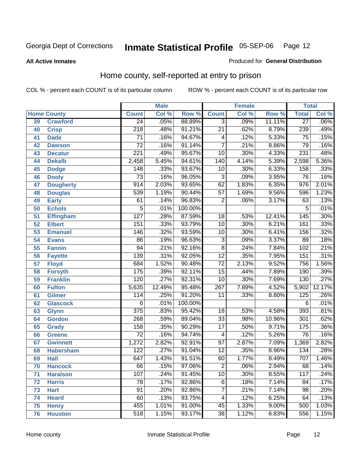#### **All Active Inmates**

#### Produced for **General Distribution**

### Home county, self-reported at entry to prison

|                 |                    |                  | <b>Male</b> |         |                  | <b>Female</b> |        | <b>Total</b>     |         |
|-----------------|--------------------|------------------|-------------|---------|------------------|---------------|--------|------------------|---------|
|                 | <b>Home County</b> | <b>Count</b>     | Col %       | Row %   | <b>Count</b>     | Col %         | Row %  | <b>Total</b>     | Col %   |
| 39              | <b>Crawford</b>    | $\overline{24}$  | .05%        | 88.89%  | $\overline{3}$   | .09%          | 11.11% | $\overline{27}$  | $.06\%$ |
| 40              | <b>Crisp</b>       | $\overline{218}$ | .48%        | 91.21%  | $\overline{21}$  | .62%          | 8.79%  | 239              | .49%    |
| 41              | <b>Dade</b>        | $\overline{71}$  | .16%        | 94.67%  | 4                | .12%          | 5.33%  | $\overline{75}$  | .15%    |
| 42              | <b>Dawson</b>      | $\overline{72}$  | .16%        | 91.14%  | 7                | .21%          | 8.86%  | 79               | .16%    |
| 43              | <b>Decatur</b>     | $\overline{221}$ | .49%        | 95.67%  | $\overline{10}$  | .30%          | 4.33%  | 231              | .48%    |
| 44              | <b>Dekalb</b>      | 2,458            | 5.45%       | 94.61%  | 140              | 4.14%         | 5.39%  | 2,598            | 5.36%   |
| 45              | <b>Dodge</b>       | 148              | .33%        | 93.67%  | $\overline{10}$  | .30%          | 6.33%  | 158              | .33%    |
| 46              | <b>Dooly</b>       | $\overline{73}$  | .16%        | 96.05%  | 3                | .09%          | 3.95%  | $\overline{76}$  | .16%    |
| 47              | <b>Dougherty</b>   | $\overline{914}$ | 2.03%       | 93.65%  | $\overline{62}$  | 1.83%         | 6.35%  | 976              | 2.01%   |
| 48              | <b>Douglas</b>     | 539              | 1.19%       | 90.44%  | $\overline{57}$  | 1.69%         | 9.56%  | 596              | 1.23%   |
| 49              | <b>Early</b>       | $\overline{61}$  | .14%        | 96.83%  | $\overline{2}$   | .06%          | 3.17%  | 63               | .13%    |
| 50              | <b>Echols</b>      | $\overline{5}$   | .01%        | 100.00% |                  |               |        | 5                | .01%    |
| $\overline{51}$ | <b>Effingham</b>   | 127              | .28%        | 87.59%  | $\overline{18}$  | .53%          | 12.41% | 145              | .30%    |
| 52              | <b>Elbert</b>      | 151              | .33%        | 93.79%  | $\overline{10}$  | .30%          | 6.21%  | 161              | .33%    |
| 53              | <b>Emanuel</b>     | 146              | .32%        | 93.59%  | 10               | .30%          | 6.41%  | 156              | .32%    |
| 54              | <b>Evans</b>       | $\overline{86}$  | .19%        | 96.63%  | 3                | .09%          | 3.37%  | $\overline{89}$  | .18%    |
| 55              | <b>Fannin</b>      | $\overline{94}$  | .21%        | 92.16%  | $\overline{8}$   | .24%          | 7.84%  | 102              | .21%    |
| 56              | <b>Fayette</b>     | 139              | .31%        | 92.05%  | $\overline{12}$  | .35%          | 7.95%  | 151              | .31%    |
| 57              | <b>Floyd</b>       | 684              | 1.52%       | 90.48%  | $\overline{72}$  | 2.13%         | 9.52%  | 756              | 1.56%   |
| 58              | <b>Forsyth</b>     | 175              | .39%        | 92.11%  | $\overline{15}$  | .44%          | 7.89%  | 190              | .39%    |
| 59              | <b>Franklin</b>    | 120              | .27%        | 92.31%  | 10               | .30%          | 7.69%  | 130              | .27%    |
| 60              | <b>Fulton</b>      | 5,635            | 12.49%      | 95.48%  | $\overline{267}$ | 7.89%         | 4.52%  | 5,902            | 12.17%  |
| 61              | Gilmer             | 114              | .25%        | 91.20%  | $\overline{11}$  | .33%          | 8.80%  | 125              | .26%    |
| 62              | <b>Glascock</b>    | 6                | .01%        | 100.00% |                  |               |        | $\overline{6}$   | .01%    |
| 63              | <b>Glynn</b>       | $\overline{375}$ | .83%        | 95.42%  | $\overline{18}$  | .53%          | 4.58%  | $\overline{393}$ | .81%    |
| 64              | <b>Gordon</b>      | $\overline{268}$ | .59%        | 89.04%  | $\overline{33}$  | .98%          | 10.96% | 301              | .62%    |
| 65              | <b>Grady</b>       | 158              | .35%        | 90.29%  | $\overline{17}$  | .50%          | 9.71%  | 175              | .36%    |
| 66              | <b>Greene</b>      | $\overline{72}$  | .16%        | 94.74%  | 4                | .12%          | 5.26%  | $\overline{76}$  | .16%    |
| 67              | <b>Gwinnett</b>    | 1,272            | 2.82%       | 92.91%  | $\overline{97}$  | 2.87%         | 7.09%  | 1,369            | 2.82%   |
| 68              | <b>Habersham</b>   | 122              | .27%        | 91.04%  | $\overline{12}$  | .35%          | 8.96%  | $\overline{134}$ | .28%    |
| 69              | <b>Hall</b>        | 647              | 1.43%       | 91.51%  | 60               | 1.77%         | 8.49%  | 707              | 1.46%   |
| 70              | <b>Hancock</b>     | 66               | .15%        | 97.06%  | 2                | .06%          | 2.94%  | 68               | .14%    |
| 71              | <b>Haralson</b>    | 107              | .24%        | 91.45%  | 10               | .30%          | 8.55%  | 117              | .24%    |
| 72              | <b>Harris</b>      | 78               | .17%        | 92.86%  | 6                | .18%          | 7.14%  | 84               | .17%    |
| 73              | <b>Hart</b>        | $\overline{91}$  | .20%        | 92.86%  | 7                | .21%          | 7.14%  | $\overline{98}$  | .20%    |
| 74              | <b>Heard</b>       | 60               | .13%        | 93.75%  | 4                | .12%          | 6.25%  | 64               | .13%    |
| 75              | <b>Henry</b>       | 455              | 1.01%       | 91.00%  | 45               | 1.33%         | 9.00%  | 500              | 1.03%   |
| 76              | <b>Houston</b>     | 518              | 1.15%       | 93.17%  | $\overline{38}$  | 1.12%         | 6.83%  | 556              | 1.15%   |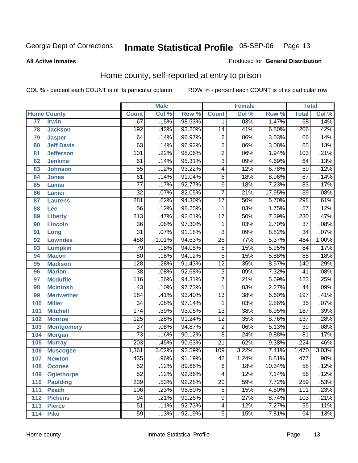#### **All Active Inmates**

#### Produced for **General Distribution**

### Home county, self-reported at entry to prison

|     |                    |                  | <b>Male</b> |        |                 | <b>Female</b> |        | <b>Total</b>     |                            |
|-----|--------------------|------------------|-------------|--------|-----------------|---------------|--------|------------------|----------------------------|
|     | <b>Home County</b> | <b>Count</b>     | Col %       | Row %  | <b>Count</b>    | Col %         | Row %  | <b>Total</b>     | $\overline{\text{Col }^9}$ |
| 77  | <b>Irwin</b>       | 67               | .15%        | 98.53% | 1               | .03%          | 1.47%  | 68               | .14%                       |
| 78  | <b>Jackson</b>     | 192              | .43%        | 93.20% | $\overline{14}$ | .41%          | 6.80%  | $\overline{206}$ | .42%                       |
| 79  | <b>Jasper</b>      | 64               | .14%        | 96.97% | $\overline{2}$  | .06%          | 3.03%  | 66               | .14%                       |
| 80  | <b>Jeff Davis</b>  | 63               | .14%        | 96.92% | $\overline{2}$  | .06%          | 3.08%  | 65               | .13%                       |
| 81  | <b>Jefferson</b>   | 101              | .22%        | 98.06% | $\overline{2}$  | .06%          | 1.94%  | 103              | .21%                       |
| 82  | <b>Jenkins</b>     | 61               | .14%        | 95.31% | $\overline{3}$  | .09%          | 4.69%  | 64               | .13%                       |
| 83  | <b>Johnson</b>     | $\overline{55}$  | .12%        | 93.22% | 4               | .12%          | 6.78%  | 59               | .12%                       |
| 84  | <b>Jones</b>       | 61               | .14%        | 91.04% | $\overline{6}$  | .18%          | 8.96%  | 67               | .14%                       |
| 85  | <b>Lamar</b>       | $\overline{77}$  | .17%        | 92.77% | 6               | .18%          | 7.23%  | 83               | .17%                       |
| 86  | <b>Lanier</b>      | $\overline{32}$  | .07%        | 82.05% | $\overline{7}$  | .21%          | 17.95% | $\overline{39}$  | .08%                       |
| 87  | <b>Laurens</b>     | 281              | .62%        | 94.30% | $\overline{17}$ | .50%          | 5.70%  | 298              | .61%                       |
| 88  | Lee                | $\overline{56}$  | .12%        | 98.25% | 1               | .03%          | 1.75%  | $\overline{57}$  | .12%                       |
| 89  | <b>Liberty</b>     | $\overline{213}$ | .47%        | 92.61% | $\overline{17}$ | .50%          | 7.39%  | $\overline{230}$ | .47%                       |
| 90  | <b>Lincoln</b>     | $\overline{36}$  | .08%        | 97.30% | 1               | .03%          | 2.70%  | $\overline{37}$  | .08%                       |
| 91  | Long               | $\overline{31}$  | .07%        | 91.18% | $\overline{3}$  | .09%          | 8.82%  | $\overline{34}$  | .07%                       |
| 92  | <b>Lowndes</b>     | 458              | 1.01%       | 94.63% | $\overline{26}$ | .77%          | 5.37%  | 484              | 1.00%                      |
| 93  | <b>Lumpkin</b>     | $\overline{79}$  | .18%        | 94.05% | $\overline{5}$  | .15%          | 5.95%  | 84               | .17%                       |
| 94  | <b>Macon</b>       | 80               | .18%        | 94.12% | $\overline{5}$  | .15%          | 5.88%  | 85               | .18%                       |
| 95  | <b>Madison</b>     | 128              | .28%        | 91.43% | $\overline{12}$ | .35%          | 8.57%  | 140              | .29%                       |
| 96  | <b>Marion</b>      | $\overline{38}$  | .08%        | 92.68% | $\overline{3}$  | .09%          | 7.32%  | 41               | .08%                       |
| 97  | <b>Mcduffie</b>    | $\overline{116}$ | .26%        | 94.31% | $\overline{7}$  | .21%          | 5.69%  | 123              | .25%                       |
| 98  | <b>Mcintosh</b>    | 43               | .10%        | 97.73% | $\mathbf{1}$    | .03%          | 2.27%  | 44               | .09%                       |
| 99  | <b>Meriwether</b>  | 184              | .41%        | 93.40% | $\overline{13}$ | .38%          | 6.60%  | 197              | .41%                       |
| 100 | <b>Miller</b>      | $\overline{34}$  | .08%        | 97.14% | 1               | .03%          | 2.86%  | $\overline{35}$  | .07%                       |
| 101 | <b>Mitchell</b>    | 174              | .39%        | 93.05% | $\overline{13}$ | .38%          | 6.95%  | 187              | .39%                       |
| 102 | <b>Monroe</b>      | 125              | .28%        | 91.24% | $\overline{12}$ | .35%          | 8.76%  | 137              | .28%                       |
| 103 | <b>Montgomery</b>  | $\overline{37}$  | .08%        | 94.87% | $\overline{2}$  | .06%          | 5.13%  | $\overline{39}$  | .08%                       |
| 104 | <b>Morgan</b>      | $\overline{73}$  | .16%        | 90.12% | $\overline{8}$  | .24%          | 9.88%  | $\overline{81}$  | .17%                       |
| 105 | <b>Murray</b>      | $\overline{203}$ | .45%        | 90.63% | $\overline{21}$ | .62%          | 9.38%  | $\overline{224}$ | .46%                       |
| 106 | <b>Muscogee</b>    | 1,361            | 3.02%       | 92.59% | 109             | 3.22%         | 7.41%  | 1,470            | 3.03%                      |
| 107 | <b>Newton</b>      | 435              | .96%        | 91.19% | $\overline{42}$ | 1.24%         | 8.81%  | 477              | .98%                       |
| 108 | <b>Oconee</b>      | 52               | .12%        | 89.66% | 6               | .18%          | 10.34% | 58               | .12%                       |
| 109 | <b>Oglethorpe</b>  | $\overline{52}$  | .12%        | 92.86% | 4               | .12%          | 7.14%  | 56               | .12%                       |
| 110 | <b>Paulding</b>    | 239              | .53%        | 92.28% | $\overline{20}$ | .59%          | 7.72%  | 259              | .53%                       |
| 111 | <b>Peach</b>       | 106              | .23%        | 95.50% | $\overline{5}$  | .15%          | 4.50%  | 111              | .23%                       |
| 112 | <b>Pickens</b>     | 94               | .21%        | 91.26% | 9               | .27%          | 8.74%  | 103              | .21%                       |
| 113 | <b>Pierce</b>      | $\overline{51}$  | .11%        | 92.73% | 4               | .12%          | 7.27%  | $\overline{55}$  | .11%                       |
| 114 | <b>Pike</b>        | 59               | .13%        | 92.19% | $\overline{5}$  | .15%          | 7.81%  | 64               | .13%                       |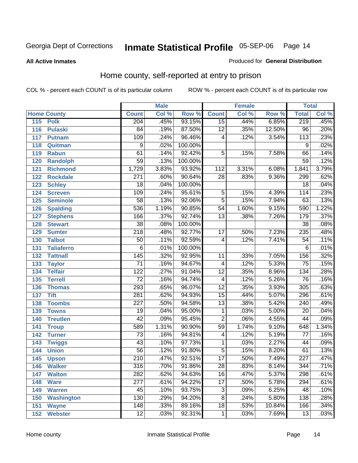#### **All Active Inmates**

#### Produced for **General Distribution**

### Home county, self-reported at entry to prison

|                          |                  | <b>Male</b> |         |                  | <b>Female</b> |        | <b>Total</b>     |       |
|--------------------------|------------------|-------------|---------|------------------|---------------|--------|------------------|-------|
| <b>Home County</b>       | <b>Count</b>     | Col %       | Row %   | <b>Count</b>     | Col %         | Row %  | <b>Total</b>     | Col % |
| 115<br><b>Polk</b>       | 204              | .45%        | 93.15%  | 15               | .44%          | 6.85%  | 219              | .45%  |
| 116<br><b>Pulaski</b>    | 84               | .19%        | 87.50%  | $\overline{12}$  | .35%          | 12.50% | $\overline{96}$  | .20%  |
| 117<br><b>Putnam</b>     | 109              | .24%        | 96.46%  | 4                | .12%          | 3.54%  | 113              | .23%  |
| Quitman<br>118           | $\overline{9}$   | .02%        | 100.00% |                  |               |        | 9                | .02%  |
| 119<br><b>Rabun</b>      | 61               | .14%        | 92.42%  | $\overline{5}$   | .15%          | 7.58%  | 66               | .14%  |
| 120<br><b>Randolph</b>   | $\overline{59}$  | .13%        | 100.00% |                  |               |        | $\overline{59}$  | .12%  |
| <b>Richmond</b><br>121   | 1,729            | 3.83%       | 93.92%  | $\overline{112}$ | 3.31%         | 6.08%  | 1,841            | 3.79% |
| 122<br><b>Rockdale</b>   | $\overline{271}$ | .60%        | 90.64%  | $\overline{28}$  | .83%          | 9.36%  | 299              | .62%  |
| 123<br><b>Schley</b>     | $\overline{18}$  | .04%        | 100.00% |                  |               |        | $\overline{18}$  | .04%  |
| <b>Screven</b><br>124    | 109              | .24%        | 95.61%  | 5                | .15%          | 4.39%  | 114              | .23%  |
| <b>Seminole</b><br>125   | 58               | .13%        | 92.06%  | $\overline{5}$   | .15%          | 7.94%  | 63               | .13%  |
| 126<br><b>Spalding</b>   | 536              | 1.19%       | 90.85%  | $\overline{54}$  | 1.60%         | 9.15%  | 590              | 1.22% |
| 127<br><b>Stephens</b>   | 166              | .37%        | 92.74%  | $\overline{13}$  | .38%          | 7.26%  | 179              | .37%  |
| 128<br><b>Stewart</b>    | $\overline{38}$  | .08%        | 100.00% |                  |               |        | $\overline{38}$  | .08%  |
| 129<br><b>Sumter</b>     | $\overline{218}$ | .48%        | 92.77%  | $\overline{17}$  | .50%          | 7.23%  | 235              | .48%  |
| <b>Talbot</b><br>130     | 50               | .11%        | 92.59%  | 4                | .12%          | 7.41%  | $\overline{54}$  | .11%  |
| 131<br><b>Taliaferro</b> | 6                | .01%        | 100.00% |                  |               |        | 6                | .01%  |
| 132<br><b>Tattnall</b>   | $\overline{145}$ | .32%        | 92.95%  | 11               | .33%          | 7.05%  | 156              | .32%  |
| 133<br><b>Taylor</b>     | $\overline{71}$  | .16%        | 94.67%  | 4                | .12%          | 5.33%  | $\overline{75}$  | .15%  |
| <b>Telfair</b><br>134    | $\overline{122}$ | .27%        | 91.04%  | $\overline{12}$  | .35%          | 8.96%  | $\overline{134}$ | .28%  |
| 135<br><b>Terrell</b>    | $\overline{72}$  | .16%        | 94.74%  | $\overline{4}$   | .12%          | 5.26%  | $\overline{76}$  | .16%  |
| 136<br><b>Thomas</b>     | 293              | .65%        | 96.07%  | $\overline{12}$  | .35%          | 3.93%  | $\overline{305}$ | .63%  |
| 137<br><b>Tift</b>       | 281              | .62%        | 94.93%  | $\overline{15}$  | .44%          | 5.07%  | 296              | .61%  |
| <b>Toombs</b><br>138     | $\overline{227}$ | .50%        | 94.58%  | $\overline{13}$  | .38%          | 5.42%  | $\overline{240}$ | .49%  |
| 139<br><b>Towns</b>      | $\overline{19}$  | .04%        | 95.00%  | $\mathbf{1}$     | .03%          | 5.00%  | $\overline{20}$  | .04%  |
| <b>Treutlen</b><br>140   | $\overline{42}$  | .09%        | 95.45%  | $\overline{2}$   | .06%          | 4.55%  | 44               | .09%  |
| 141<br><b>Troup</b>      | 589              | 1.31%       | 90.90%  | $\overline{59}$  | 1.74%         | 9.10%  | 648              | 1.34% |
| 142<br><b>Turner</b>     | 73               | .16%        | 94.81%  | 4                | .12%          | 5.19%  | 77               | .16%  |
| 143<br><b>Twiggs</b>     | $\overline{43}$  | .10%        | 97.73%  | 1                | .03%          | 2.27%  | 44               | .09%  |
| 144<br><b>Union</b>      | $\overline{56}$  | .12%        | 91.80%  | $\overline{5}$   | .15%          | 8.20%  | 61               | .13%  |
| 145<br><b>Upson</b>      | $\overline{210}$ | .47%        | 92.51%  | $\overline{17}$  | .50%          | 7.49%  | $\overline{227}$ | .47%  |
| 146<br><b>Walker</b>     | 316              | .70%        | 91.86%  | 28               | .83%          | 8.14%  | 344              | .71%  |
| 147<br><b>Walton</b>     | 282              | .62%        | 94.63%  | $\overline{16}$  | .47%          | 5.37%  | 298              | .61%  |
| 148<br><b>Ware</b>       | $\overline{277}$ | .61%        | 94.22%  | $\overline{17}$  | .50%          | 5.78%  | 294              | .61%  |
| <b>Warren</b><br>149     | 45               | .10%        | 93.75%  | $\overline{3}$   | .09%          | 6.25%  | 48               | .10%  |
| <b>Washington</b><br>150 | 130              | .29%        | 94.20%  | 8                | .24%          | 5.80%  | 138              | .28%  |
| 151<br><b>Wayne</b>      | 148              | .33%        | 89.16%  | $\overline{18}$  | .53%          | 10.84% | 166              | .34%  |
| <b>Webster</b><br>152    | $\overline{12}$  | .03%        | 92.31%  | $\mathbf{1}$     | .03%          | 7.69%  | $\overline{13}$  | .03%  |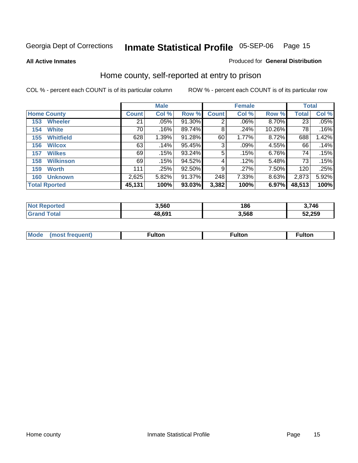**All Active Inmates**

#### Produced for **General Distribution**

### Home county, self-reported at entry to prison

|     |                      |              | <b>Male</b> |        |              | <b>Female</b> |        |              | <b>Total</b> |  |
|-----|----------------------|--------------|-------------|--------|--------------|---------------|--------|--------------|--------------|--|
|     | <b>Home County</b>   | <b>Count</b> | Col %       | Row %  | <b>Count</b> | Col %         | Row %  | <b>Total</b> | Col %        |  |
| 153 | <b>Wheeler</b>       | 21           | $.05\%$     | 91.30% | 2            | $.06\%$       | 8.70%  | 23           | .05%         |  |
| 154 | <b>White</b>         | 70           | .16%        | 89.74% | 8            | .24%          | 10.26% | 78           | .16%         |  |
| 155 | <b>Whitfield</b>     | 628          | 1.39%       | 91.28% | 60           | 1.77%         | 8.72%  | 688          | 1.42%        |  |
| 156 | <b>Wilcox</b>        | 63           | .14%        | 95.45% | 3            | .09%          | 4.55%  | 66           | .14%         |  |
| 157 | <b>Wilkes</b>        | 69           | .15%        | 93.24% | 5            | .15%          | 6.76%  | 74           | .15%         |  |
| 158 | <b>Wilkinson</b>     | 69           | .15%        | 94.52% | 4            | .12%          | 5.48%  | 73           | .15%         |  |
| 159 | <b>Worth</b>         | 111          | .25%        | 92.50% | 9            | .27%          | 7.50%  | 120          | .25%         |  |
| 160 | <b>Unknown</b>       | 2,625        | 5.82%       | 91.37% | 248          | 7.33%         | 8.63%  | 2,873        | 5.92%        |  |
|     | <b>Total Rported</b> | 45,131       | 100%        | 93.03% | 3,382        | 100%          | 6.97%  | 48,513       | 100%         |  |

| ported<br>מ מ | 3,560  | 186   | 3.746  |
|---------------|--------|-------|--------|
| ota.<br>. Gr  | 48.69' | 3,568 | 52,259 |

| <br>Mo |  | ron.<br>ш |  |
|--------|--|-----------|--|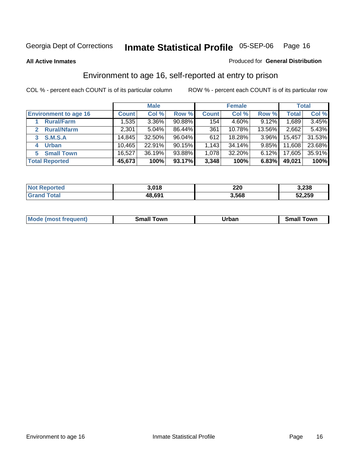#### **All Active Inmates**

#### Produced for **General Distribution**

### Environment to age 16, self-reported at entry to prison

|                              |              | <b>Male</b> |        |              | <b>Female</b> |          |              | <b>Total</b> |
|------------------------------|--------------|-------------|--------|--------------|---------------|----------|--------------|--------------|
| <b>Environment to age 16</b> | <b>Count</b> | Col %       | Row %  | <b>Count</b> | Col %         | Row %    | <b>Total</b> | Col %        |
| <b>Rural/Farm</b>            | 1,535        | 3.36%       | 90.88% | 154          | 4.60%         | 9.12%    | ,689         | 3.45%        |
| <b>Rural/Nfarm</b><br>2      | 2,301        | 5.04%       | 86.44% | 361          | 10.78%        | 13.56%   | 2,662        | 5.43%        |
| <b>S.M.S.A</b>               | 14,845       | 32.50%      | 96.04% | 612          | 18.28%        | $3.96\%$ | 15,457       | 31.53%       |
| <b>Urban</b><br>4            | 10,465       | 22.91%      | 90.15% | 1,143        | 34.14%        | $9.85\%$ | 11,608       | 23.68%       |
| <b>Small Town</b><br>5       | 16,527       | 36.19%      | 93.88% | 1,078        | 32.20%        | $6.12\%$ | 17,605       | 35.91%       |
| <b>Total Reported</b>        | 45,673       | 100%        | 93.17% | 3,348        | 100%          | 6.83%    | 49,021       | 100%         |

| Reported<br><b>Not</b> | 3,018  | 220   | 3,238  |
|------------------------|--------|-------|--------|
| Total                  | 48,691 | 3,568 | 52,259 |

| Mo<br>. . | . owr | <u>'''' ''</u><br>roa<br>_____ | .0W <sub>r</sub> |
|-----------|-------|--------------------------------|------------------|
|           |       |                                |                  |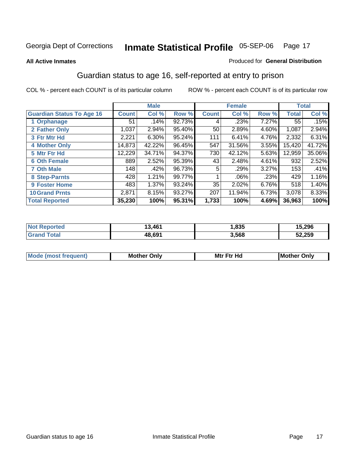#### **All Active Inmates**

#### Produced for **General Distribution**

### Guardian status to age 16, self-reported at entry to prison

|                                  |              | <b>Male</b> |        |                 | <b>Female</b> |       |              | <b>Total</b> |
|----------------------------------|--------------|-------------|--------|-----------------|---------------|-------|--------------|--------------|
| <b>Guardian Status To Age 16</b> | <b>Count</b> | Col %       | Row %  | <b>Count</b>    | Col %         | Row % | <b>Total</b> | Col %        |
| 1 Orphanage                      | 51           | .14%        | 92.73% | 4               | .23%          | 7.27% | 55           | .15%         |
| 2 Father Only                    | 1,037        | 2.94%       | 95.40% | 50 <sub>1</sub> | 2.89%         | 4.60% | 1,087        | 2.94%        |
| 3 Ftr Mtr Hd                     | 2,221        | 6.30%       | 95.24% | 111             | 6.41%         | 4.76% | 2,332        | 6.31%        |
| <b>4 Mother Only</b>             | 14,873       | 42.22%      | 96.45% | 547             | 31.56%        | 3.55% | 15,420       | 41.72%       |
| 5 Mtr Ftr Hd                     | 12,229       | 34.71%      | 94.37% | 730             | 42.12%        | 5.63% | 12,959       | 35.06%       |
| <b>6 Oth Female</b>              | 889          | 2.52%       | 95.39% | 43              | 2.48%         | 4.61% | 932          | 2.52%        |
| <b>7 Oth Male</b>                | 148          | .42%        | 96.73% | 5               | .29%          | 3.27% | 153          | .41%         |
| 8 Step-Parnts                    | 428          | 1.21%       | 99.77% |                 | $.06\%$       | .23%  | 429          | 1.16%        |
| <b>9 Foster Home</b>             | 483          | 1.37%       | 93.24% | 35              | 2.02%         | 6.76% | 518          | 1.40%        |
| <b>10 Grand Prnts</b>            | 2,871        | 8.15%       | 93.27% | 207             | 11.94%        | 6.73% | 3,078        | 8.33%        |
| <b>Total Reported</b>            | 35,230       | 100%        | 95.31% | 1,733           | 100%          | 4.69% | 36,963       | 100%         |

| <b>Not Reported</b> | 3,461  | ,835  | 15,296 |
|---------------------|--------|-------|--------|
| <b>Grand Total</b>  | 48,691 | 3,568 | 52,259 |

| <b>Mou</b> | Mother<br>Onlv | Hд<br>Mtr Ftr | Only<br>lMoth |
|------------|----------------|---------------|---------------|
|            |                |               |               |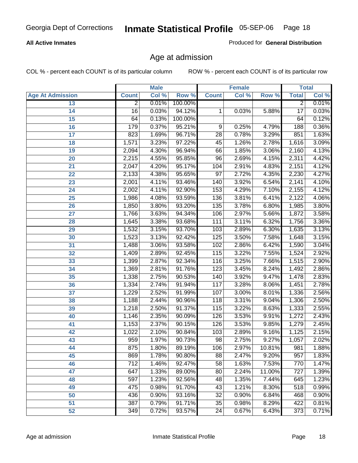#### **All Active Inmates**

Produced for **General Distribution**

### Age at admission

|                         |                  | <b>Male</b> |         |                  | <b>Female</b> |        |                 | <b>Total</b> |
|-------------------------|------------------|-------------|---------|------------------|---------------|--------|-----------------|--------------|
| <b>Age At Admission</b> | <b>Count</b>     | Col %       | Row %   | <b>Count</b>     | Col %         | Row %  | <b>Total</b>    | Col %        |
| 13                      | $\overline{2}$   | 0.01%       | 100.00% |                  |               |        | $\overline{2}$  | 0.01%        |
| 14                      | $\overline{16}$  | 0.03%       | 94.12%  | 1                | 0.03%         | 5.88%  | $\overline{17}$ | 0.03%        |
| 15                      | 64               | 0.13%       | 100.00% |                  |               |        | 64              | 0.12%        |
| 16                      | 179              | 0.37%       | 95.21%  | 9                | 0.25%         | 4.79%  | 188             | 0.36%        |
| $\overline{17}$         | 823              | 1.69%       | 96.71%  | $\overline{28}$  | 0.78%         | 3.29%  | 851             | 1.63%        |
| 18                      | 1,571            | 3.23%       | 97.22%  | 45               | 1.26%         | 2.78%  | 1,616           | 3.09%        |
| 19                      | 2,094            | 4.30%       | 96.94%  | 66               | 1.85%         | 3.06%  | 2,160           | 4.13%        |
| 20                      | 2,215            | 4.55%       | 95.85%  | 96               | 2.69%         | 4.15%  | 2,311           | 4.42%        |
| 21                      | 2,047            | 4.20%       | 95.17%  | 104              | 2.91%         | 4.83%  | 2,151           | 4.12%        |
| 22                      | 2,133            | 4.38%       | 95.65%  | $\overline{97}$  | 2.72%         | 4.35%  | 2,230           | 4.27%        |
| 23                      | 2,001            | 4.11%       | 93.46%  | 140              | 3.92%         | 6.54%  | 2,141           | 4.10%        |
| 24                      | 2,002            | 4.11%       | 92.90%  | 153              | 4.29%         | 7.10%  | 2,155           | 4.12%        |
| $\overline{25}$         | 1,986            | 4.08%       | 93.59%  | 136              | 3.81%         | 6.41%  | 2,122           | 4.06%        |
| 26                      | 1,850            | 3.80%       | 93.20%  | 135              | 3.78%         | 6.80%  | 1,985           | 3.80%        |
| 27                      | 1,766            | 3.63%       | 94.34%  | 106              | 2.97%         | 5.66%  | 1,872           | 3.58%        |
| 28                      | 1,645            | 3.38%       | 93.68%  | 111              | 3.11%         | 6.32%  | 1,756           | 3.36%        |
| 29                      | 1,532            | 3.15%       | 93.70%  | 103              | 2.89%         | 6.30%  | 1,635           | 3.13%        |
| 30                      | 1,523            | 3.13%       | 92.42%  | 125              | 3.50%         | 7.58%  | 1,648           | 3.15%        |
| 31                      | 1,488            | 3.06%       | 93.58%  | 102              | 2.86%         | 6.42%  | 1,590           | 3.04%        |
| 32                      | 1,409            | 2.89%       | 92.45%  | 115              | 3.22%         | 7.55%  | 1,524           | 2.92%        |
| 33                      | 1,399            | 2.87%       | 92.34%  | 116              | 3.25%         | 7.66%  | 1,515           | 2.90%        |
| 34                      | 1,369            | 2.81%       | 91.76%  | $\overline{123}$ | 3.45%         | 8.24%  | 1,492           | 2.86%        |
| 35                      | 1,338            | 2.75%       | 90.53%  | 140              | 3.92%         | 9.47%  | 1,478           | 2.83%        |
| 36                      | 1,334            | 2.74%       | 91.94%  | 117              | 3.28%         | 8.06%  | 1,451           | 2.78%        |
| 37                      | 1,229            | 2.52%       | 91.99%  | 107              | 3.00%         | 8.01%  | 1,336           | 2.56%        |
| 38                      | 1,188            | 2.44%       | 90.96%  | 118              | 3.31%         | 9.04%  | 1,306           | 2.50%        |
| 39                      | 1,218            | 2.50%       | 91.37%  | 115              | 3.22%         | 8.63%  | 1,333           | 2.55%        |
| 40                      | 1,146            | 2.35%       | 90.09%  | 126              | 3.53%         | 9.91%  | 1,272           | 2.43%        |
| 41                      | 1,153            | 2.37%       | 90.15%  | 126              | 3.53%         | 9.85%  | 1,279           | 2.45%        |
| 42                      | 1,022            | 2.10%       | 90.84%  | 103              | 2.89%         | 9.16%  | 1,125           | 2.15%        |
| 43                      | 959              | 1.97%       | 90.73%  | $\overline{98}$  | 2.75%         | 9.27%  | 1,057           | 2.02%        |
| 44                      | 875              | 1.80%       | 89.19%  | 106              | 2.97%         | 10.81% | 981             | 1.88%        |
| 45                      | 869              | 1.78%       | 90.80%  | 88               | 2.47%         | 9.20%  | 957             | 1.83%        |
| 46                      | $\overline{712}$ | 1.46%       | 92.47%  | $\overline{58}$  | 1.63%         | 7.53%  | 770             | 1.47%        |
| 47                      | 647              | 1.33%       | 89.00%  | 80               | 2.24%         | 11.00% | 727             | 1.39%        |
| 48                      | 597              | 1.23%       | 92.56%  | 48               | 1.35%         | 7.44%  | 645             | 1.23%        |
| 49                      | 475              | 0.98%       | 91.70%  | 43               | 1.21%         | 8.30%  | 518             | 0.99%        |
| 50                      | 436              | 0.90%       | 93.16%  | 32               | 0.90%         | 6.84%  | 468             | 0.90%        |
| 51                      | 387              | 0.79%       | 91.71%  | $\overline{35}$  | 0.98%         | 8.29%  | 422             | 0.81%        |
| 52                      | 349              | 0.72%       | 93.57%  | 24               | 0.67%         | 6.43%  | 373             | 0.71%        |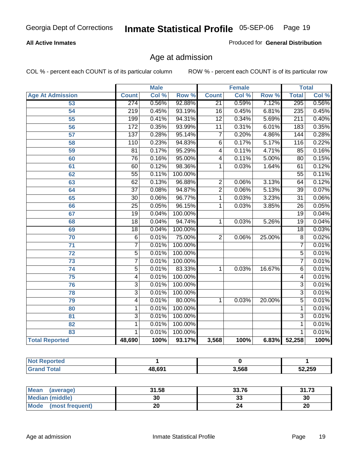#### **All Active Inmates**

Produced for **General Distribution**

### Age at admission

|                          |                  | <b>Male</b> |         |                         | <b>Female</b> |        |                  | <b>Total</b> |
|--------------------------|------------------|-------------|---------|-------------------------|---------------|--------|------------------|--------------|
| <b>Age At Admission</b>  | <b>Count</b>     | Col %       | Row %   | <b>Count</b>            | Col %         | Row %  | <b>Total</b>     | Col %        |
| 53                       | 274              | 0.56%       | 92.88%  | $\overline{21}$         | 0.59%         | 7.12%  | 295              | 0.56%        |
| 54                       | 219              | 0.45%       | 93.19%  | $\overline{16}$         | 0.45%         | 6.81%  | 235              | 0.45%        |
| 55                       | 199              | 0.41%       | 94.31%  | $\overline{12}$         | 0.34%         | 5.69%  | $\overline{211}$ | 0.40%        |
| $\overline{56}$          | $\overline{172}$ | 0.35%       | 93.99%  | $\overline{11}$         | 0.31%         | 6.01%  | 183              | 0.35%        |
| 57                       | $\overline{137}$ | 0.28%       | 95.14%  | $\overline{7}$          | 0.20%         | 4.86%  | 144              | 0.28%        |
| 58                       | 110              | 0.23%       | 94.83%  | $\overline{6}$          | 0.17%         | 5.17%  | 116              | 0.22%        |
| 59                       | $\overline{81}$  | 0.17%       | 95.29%  | $\overline{\mathbf{4}}$ | 0.11%         | 4.71%  | 85               | 0.16%        |
| 60                       | 76               | 0.16%       | 95.00%  | 4                       | 0.11%         | 5.00%  | 80               | 0.15%        |
| 61                       | 60               | 0.12%       | 98.36%  | 1                       | 0.03%         | 1.64%  | 61               | 0.12%        |
| 62                       | $\overline{55}$  | 0.11%       | 100.00% |                         |               |        | $\overline{55}$  | 0.11%        |
| 63                       | 62               | 0.13%       | 96.88%  | $\overline{2}$          | 0.06%         | 3.13%  | 64               | 0.12%        |
| 64                       | $\overline{37}$  | 0.08%       | 94.87%  | $\overline{2}$          | 0.06%         | 5.13%  | $\overline{39}$  | 0.07%        |
| 65                       | $\overline{30}$  | 0.06%       | 96.77%  | 1                       | 0.03%         | 3.23%  | $\overline{31}$  | 0.06%        |
| 66                       | $\overline{25}$  | 0.05%       | 96.15%  | 1                       | 0.03%         | 3.85%  | $\overline{26}$  | 0.05%        |
| 67                       | 19               | 0.04%       | 100.00% |                         |               |        | $\overline{19}$  | 0.04%        |
| 68                       | $\overline{18}$  | 0.04%       | 94.74%  | 1                       | 0.03%         | 5.26%  | $\overline{19}$  | 0.04%        |
| 69                       | 18               | 0.04%       | 100.00% |                         |               |        | 18               | 0.03%        |
| 70                       | $\overline{6}$   | 0.01%       | 75.00%  | $\overline{2}$          | 0.06%         | 25.00% | $\overline{8}$   | 0.02%        |
| 71                       | $\overline{7}$   | 0.01%       | 100.00% |                         |               |        | 7                | 0.01%        |
| $\overline{72}$          | $\overline{5}$   | 0.01%       | 100.00% |                         |               |        | $\overline{5}$   | 0.01%        |
| 73                       | $\overline{7}$   | 0.01%       | 100.00% |                         |               |        | 7                | 0.01%        |
| 74                       | $\overline{5}$   | 0.01%       | 83.33%  | 1                       | 0.03%         | 16.67% | $\overline{6}$   | 0.01%        |
| 75                       | 4                | 0.01%       | 100.00% |                         |               |        | 4                | 0.01%        |
| 76                       | $\overline{3}$   | 0.01%       | 100.00% |                         |               |        | $\overline{3}$   | 0.01%        |
| 78                       | $\overline{3}$   | 0.01%       | 100.00% |                         |               |        | $\overline{3}$   | 0.01%        |
| 79                       | $\overline{4}$   | 0.01%       | 80.00%  | 1                       | 0.03%         | 20.00% | $\overline{5}$   | 0.01%        |
| 80                       | 1                | 0.01%       | 100.00% |                         |               |        | 1                | 0.01%        |
| $\overline{\mathbf{81}}$ | $\overline{3}$   | 0.01%       | 100.00% |                         |               |        | 3                | 0.01%        |
| 82                       | 1                | 0.01%       | 100.00% |                         |               |        | 1                | 0.01%        |
| 83                       | 1                | 0.01%       | 100.00% |                         |               |        | 1                | 0.01%        |
| <b>Total Reported</b>    | 48,690           | 100%        | 93.17%  | 3,568                   | 100%          | 6.83%  | 52,258           | 100%         |

| <b>Not Reported</b> |        |       |        |
|---------------------|--------|-------|--------|
| <b>Grand Total</b>  | 48,691 | 3,568 | 52,259 |

| <b>Mean</b><br>(average)       | 31.58 | 33.76    | 94<br>70<br>31.IJ |
|--------------------------------|-------|----------|-------------------|
| <b>Median (middle)</b>         | 30    | ^^<br>vu | 30                |
| <b>Mode</b><br>(most frequent) |       |          | 20                |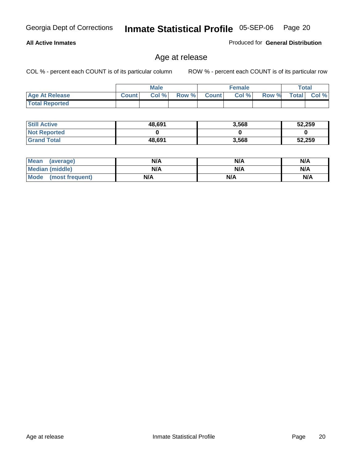#### **All Active Inmates**

Produced for **General Distribution**

### Age at release

|                       |              | Male |              |       | <b>Female</b> |       |              | Total |
|-----------------------|--------------|------|--------------|-------|---------------|-------|--------------|-------|
| <b>Age At Release</b> | <b>Count</b> | Col% | <b>Row %</b> | Count | Col %         | Row % | <b>Total</b> | Col % |
| <b>Total Reported</b> |              |      |              |       |               |       |              |       |

| <b>Still Active</b> | 48,691 | 3,568 | 52,259 |
|---------------------|--------|-------|--------|
| <b>Not Reported</b> |        |       |        |
| <b>Grand Total</b>  | 48,691 | 3,568 | 52,259 |

| Mean (average)       | N/A | N/A | N/A |
|----------------------|-----|-----|-----|
| Median (middle)      | N/A | N/A | N/A |
| Mode (most frequent) | N/A | N/A | N/A |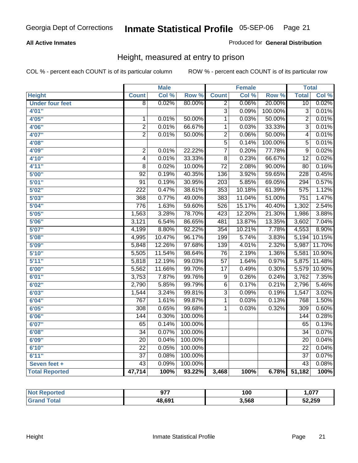#### **All Active Inmates**

Produced for **General Distribution**

### Height, measured at entry to prison

|                        |                         | <b>Male</b> |                  |                           | <b>Female</b> |         | <b>Total</b>     |        |
|------------------------|-------------------------|-------------|------------------|---------------------------|---------------|---------|------------------|--------|
| <b>Height</b>          | <b>Count</b>            | Col %       | Row <sup>%</sup> | <b>Count</b>              | Col %         | Row %   | <b>Total</b>     | Col %  |
| <b>Under four feet</b> | $\overline{8}$          | 0.02%       | 80.00%           | $\overline{2}$            | 0.06%         | 20.00%  | 10               | 0.02%  |
| 4'01"                  |                         |             |                  | $\overline{\overline{3}}$ | 0.09%         | 100.00% | $\overline{3}$   | 0.01%  |
| 4'05"                  | $\mathbf{1}$            | 0.01%       | 50.00%           | $\overline{1}$            | 0.03%         | 50.00%  | $\overline{2}$   | 0.01%  |
| 4'06"                  | $\overline{2}$          | 0.01%       | 66.67%           | $\overline{1}$            | 0.03%         | 33.33%  | $\overline{3}$   | 0.01%  |
| 4'07"                  | $\overline{2}$          | 0.01%       | 50.00%           | $\overline{2}$            | 0.06%         | 50.00%  | 4                | 0.01%  |
| 4'08"                  |                         |             |                  | $\overline{5}$            | 0.14%         | 100.00% | 5                | 0.01%  |
| 4'09"                  | $\overline{\mathbf{c}}$ | 0.01%       | 22.22%           | $\overline{7}$            | 0.20%         | 77.78%  | $\overline{9}$   | 0.02%  |
| 4'10"                  | 4                       | 0.01%       | 33.33%           | 8                         | 0.23%         | 66.67%  | $\overline{12}$  | 0.02%  |
| 4'11''                 | 8                       | 0.02%       | 10.00%           | $\overline{72}$           | 2.08%         | 90.00%  | $\overline{80}$  | 0.16%  |
| 5'00"                  | $\overline{92}$         | 0.19%       | 40.35%           | 136                       | 3.92%         | 59.65%  | $\overline{228}$ | 0.45%  |
| 5'01''                 | $\overline{91}$         | 0.19%       | 30.95%           | $\overline{203}$          | 5.85%         | 69.05%  | 294              | 0.57%  |
| 5'02''                 | $\overline{222}$        | 0.47%       | 38.61%           | 353                       | 10.18%        | 61.39%  | 575              | 1.12%  |
| 5'03''                 | 368                     | 0.77%       | 49.00%           | 383                       | 11.04%        | 51.00%  | $\overline{751}$ | 1.47%  |
| 5'04"                  | 776                     | 1.63%       | 59.60%           | 526                       | 15.17%        | 40.40%  | 1,302            | 2.54%  |
| 5'05''                 | 1,563                   | 3.28%       | 78.70%           | 423                       | 12.20%        | 21.30%  | 1,986            | 3.88%  |
| 5'06''                 | 3,121                   | 6.54%       | 86.65%           | 481                       | 13.87%        | 13.35%  | 3,602            | 7.04%  |
| 5'07''                 | 4,199                   | 8.80%       | 92.22%           | 354                       | 10.21%        | 7.78%   | 4,553            | 8.90%  |
| 5'08''                 | 4,995                   | 10.47%      | 96.17%           | 199                       | 5.74%         | 3.83%   | 5,194            | 10.15% |
| 5'09''                 | 5,848                   | 12.26%      | 97.68%           | 139                       | 4.01%         | 2.32%   | 5,987            | 11.70% |
| 5'10''                 | 5,505                   | 11.54%      | 98.64%           | 76                        | 2.19%         | 1.36%   | 5,581            | 10.90% |
| 5'11''                 | 5,818                   | 12.19%      | 99.03%           | $\overline{57}$           | 1.64%         | 0.97%   | 5,875            | 11.48% |
| 6'00''                 | 5,562                   | 11.66%      | 99.70%           | $\overline{17}$           | 0.49%         | 0.30%   | 5,579            | 10.90% |
| 6'01''                 | 3,753                   | 7.87%       | 99.76%           | $\overline{9}$            | 0.26%         | 0.24%   | 3,762            | 7.35%  |
| 6'02''                 | 2,790                   | 5.85%       | 99.79%           | $\overline{6}$            | 0.17%         | 0.21%   | 2,796            | 5.46%  |
| 6'03''                 | 1,544                   | 3.24%       | 99.81%           | $\overline{3}$            | 0.09%         | 0.19%   | 1,547            | 3.02%  |
| 6'04''                 | 767                     | 1.61%       | 99.87%           | $\mathbf 1$               | 0.03%         | 0.13%   | 768              | 1.50%  |
| 6'05''                 | 308                     | 0.65%       | 99.68%           | 1                         | 0.03%         | 0.32%   | $\overline{309}$ | 0.60%  |
| 6'06''                 | 144                     | 0.30%       | 100.00%          |                           |               |         | 144              | 0.28%  |
| 6'07''                 | 65                      | 0.14%       | 100.00%          |                           |               |         | 65               | 0.13%  |
| 6'08''                 | $\overline{34}$         | 0.07%       | 100.00%          |                           |               |         | $\overline{34}$  | 0.07%  |
| 6'09''                 | $\overline{20}$         | 0.04%       | 100.00%          |                           |               |         | $\overline{20}$  | 0.04%  |
| 6'10''                 | $\overline{22}$         | 0.05%       | 100.00%          |                           |               |         | $\overline{22}$  | 0.04%  |
| 6'11''                 | $\overline{37}$         | 0.08%       | 100.00%          |                           |               |         | $\overline{37}$  | 0.07%  |
| Seven feet +           | $\overline{43}$         | 0.09%       | 100.00%          |                           |               |         | $\overline{43}$  | 0.08%  |
| <b>Total Reported</b>  | 47,714                  | 100%        | 93.22%           | 3,468                     | 100%          | 6.78%   | 51,182           | 100%   |

| vrted | 077<br><i>. .</i><br>$  -$ | 100   | 077. ، |
|-------|----------------------------|-------|--------|
| ⊺ota⊾ | 48,691                     | 3.568 | 52,259 |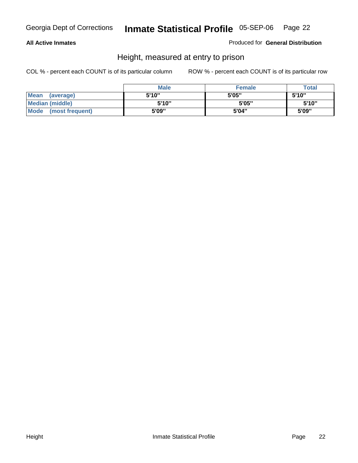#### **All Active Inmates**

Produced for **General Distribution**

### Height, measured at entry to prison

|                        | <b>Male</b> | <b>Female</b> | <b>Total</b> |
|------------------------|-------------|---------------|--------------|
| Mean (average)         | 5'10"       | 5'05"         | 5'10''       |
| <b>Median (middle)</b> | 5'10''      | 5'05"         | 5'10''       |
| Mode (most frequent)   | 5'09"       | 5'04"         | 5'09"        |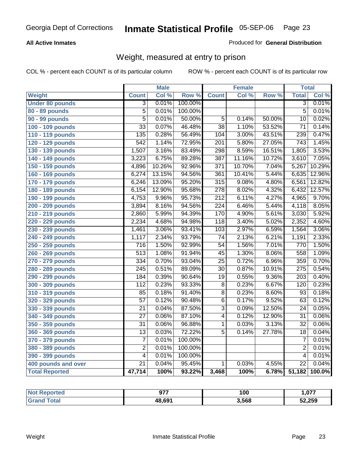#### **All Active Inmates**

#### Produced for **General Distribution**

### Weight, measured at entry to prison

|                        |                  | <b>Male</b> |                  |                  | <b>Female</b> |        | <b>Total</b>     |        |
|------------------------|------------------|-------------|------------------|------------------|---------------|--------|------------------|--------|
| Weight                 | <b>Count</b>     | Col %       | Row <sup>%</sup> | <b>Count</b>     | Col %         | Row %  | <b>Total</b>     | Col %  |
| <b>Under 80 pounds</b> | $\overline{3}$   | 0.01%       | 100.00%          |                  |               |        | $\overline{3}$   | 0.01%  |
| 80 - 89 pounds         | $\overline{5}$   | 0.01%       | 100.00%          |                  |               |        | $\overline{5}$   | 0.01%  |
| 90 - 99 pounds         | $\overline{5}$   | 0.01%       | 50.00%           | $\overline{5}$   | 0.14%         | 50.00% | $\overline{10}$  | 0.02%  |
| 100 - 109 pounds       | $\overline{33}$  | 0.07%       | 46.48%           | $\overline{38}$  | 1.10%         | 53.52% | $\overline{71}$  | 0.14%  |
| 110 - 119 pounds       | $\overline{135}$ | 0.28%       | 56.49%           | 104              | 3.00%         | 43.51% | 239              | 0.47%  |
| 120 - 129 pounds       | $\overline{542}$ | 1.14%       | 72.95%           | $\overline{201}$ | 5.80%         | 27.05% | $\overline{743}$ | 1.45%  |
| 130 - 139 pounds       | 1,507            | 3.16%       | 83.49%           | 298              | 8.59%         | 16.51% | 1,805            | 3.53%  |
| 140 - 149 pounds       | 3,223            | 6.75%       | 89.28%           | 387              | 11.16%        | 10.72% | 3,610            | 7.05%  |
| 150 - 159 pounds       | 4,896            | 10.26%      | 92.96%           | 371              | 10.70%        | 7.04%  | 5,267            | 10.29% |
| 160 - 169 pounds       | 6,274            | 13.15%      | 94.56%           | 361              | 10.41%        | 5.44%  | 6,635            | 12.96% |
| 170 - 179 pounds       | 6,246            | 13.09%      | 95.20%           | $\overline{315}$ | 9.08%         | 4.80%  | 6,561            | 12.82% |
| 180 - 189 pounds       | 6,154            | 12.90%      | 95.68%           | $\frac{278}{ }$  | 8.02%         | 4.32%  | 6,432            | 12.57% |
| 190 - 199 pounds       | 4,753            | 9.96%       | 95.73%           | $\overline{212}$ | 6.11%         | 4.27%  | 4,965            | 9.70%  |
| 200 - 209 pounds       | 3,894            | 8.16%       | 94.56%           | $\overline{224}$ | 6.46%         | 5.44%  | 4,118            | 8.05%  |
| 210 - 219 pounds       | 2,860            | 5.99%       | 94.39%           | 170              | 4.90%         | 5.61%  | 3,030            | 5.92%  |
| 220 - 229 pounds       | 2,234            | 4.68%       | 94.98%           | $\overline{118}$ | 3.40%         | 5.02%  | 2,352            | 4.60%  |
| 230 - 239 pounds       | 1,461            | 3.06%       | 93.41%           | 103              | 2.97%         | 6.59%  | 1,564            | 3.06%  |
| 240 - 249 pounds       | 1,117            | 2.34%       | 93.79%           | $\overline{74}$  | 2.13%         | 6.21%  | 1,191            | 2.33%  |
| 250 - 259 pounds       | $\overline{716}$ | 1.50%       | 92.99%           | $\overline{54}$  | 1.56%         | 7.01%  | 770              | 1.50%  |
| 260 - 269 pounds       | $\overline{513}$ | 1.08%       | 91.94%           | $\overline{45}$  | 1.30%         | 8.06%  | 558              | 1.09%  |
| 270 - 279 pounds       | 334              | 0.70%       | 93.04%           | $\overline{25}$  | 0.72%         | 6.96%  | 359              | 0.70%  |
| 280 - 289 pounds       | $\overline{245}$ | 0.51%       | 89.09%           | $\overline{30}$  | 0.87%         | 10.91% | $\overline{275}$ | 0.54%  |
| 290 - 299 pounds       | 184              | 0.39%       | 90.64%           | $\overline{19}$  | 0.55%         | 9.36%  | $\overline{203}$ | 0.40%  |
| 300 - 309 pounds       | 112              | 0.23%       | 93.33%           | $\overline{8}$   | 0.23%         | 6.67%  | 120              | 0.23%  |
| 310 - 319 pounds       | 85               | 0.18%       | 91.40%           | $\overline{8}$   | 0.23%         | 8.60%  | $\overline{93}$  | 0.18%  |
| 320 - 329 pounds       | $\overline{57}$  | 0.12%       | 90.48%           | $\overline{6}$   | 0.17%         | 9.52%  | 63               | 0.12%  |
| 330 - 339 pounds       | $\overline{21}$  | 0.04%       | 87.50%           | $\overline{3}$   | 0.09%         | 12.50% | $\overline{24}$  | 0.05%  |
| 340 - 349 pounds       | $\overline{27}$  | 0.06%       | 87.10%           | $\overline{4}$   | 0.12%         | 12.90% | $\overline{31}$  | 0.06%  |
| 350 - 359 pounds       | $\overline{31}$  | 0.06%       | 96.88%           | $\overline{1}$   | 0.03%         | 3.13%  | $\overline{32}$  | 0.06%  |
| 360 - 369 pounds       | $\overline{13}$  | 0.03%       | 72.22%           | $\overline{5}$   | 0.14%         | 27.78% | $\overline{18}$  | 0.04%  |
| 370 - 379 pounds       | $\overline{7}$   | 0.01%       | 100.00%          |                  |               |        | $\overline{7}$   | 0.01%  |
| 380 - 389 pounds       | $\overline{2}$   | 0.01%       | 100.00%          |                  |               |        | $\overline{2}$   | 0.01%  |
| 390 - 399 pounds       | $\overline{4}$   | 0.01%       | 100.00%          |                  |               |        | 4                | 0.01%  |
| 400 pounds and over    | $\overline{21}$  | 0.04%       | 95.45%           | $\mathbf{1}$     | 0.03%         | 4.55%  | $\overline{22}$  | 0.04%  |
| <b>Total Reported</b>  | 47,714           | 100%        | 93.22%           | 3,468            | 100%          | 6.78%  | 51,182           | 100.0% |

| N <sub>of</sub><br>Reported | 077    | 100   | ,077   |
|-----------------------------|--------|-------|--------|
| ™otaì                       | 48,691 | 3,568 | 52,259 |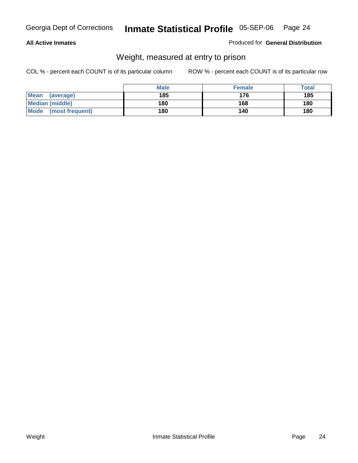#### **All Active Inmates**

#### Produced for **General Distribution**

### Weight, measured at entry to prison

|                          | <b>Male</b> | <b>Female</b> | <b>Total</b> |
|--------------------------|-------------|---------------|--------------|
| <b>Mean</b><br>(average) | 185         | 176           | 185          |
| <b>Median (middle)</b>   | 180         | 168           | 180          |
| Mode<br>(most frequent)  | 180         | 140           | 180          |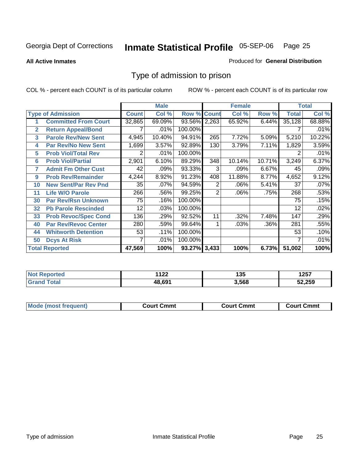#### **All Active Inmates**

#### Produced for **General Distribution**

### Type of admission to prison

|                          |                             |              | <b>Male</b> |                    |     | <b>Female</b> |         |              | <b>Total</b> |
|--------------------------|-----------------------------|--------------|-------------|--------------------|-----|---------------|---------|--------------|--------------|
| <b>Type of Admission</b> |                             | <b>Count</b> | Col %       | <b>Row % Count</b> |     | Col %         | Row %   | <b>Total</b> | Col %        |
| 1                        | <b>Committed From Court</b> | 32,865       | 69.09%      | 93.56% 2,263       |     | 65.92%        | 6.44%   | 35,128       | 68.88%       |
| $\overline{2}$           | <b>Return Appeal/Bond</b>   |              | .01%        | 100.00%            |     |               |         |              | .01%         |
| 3                        | <b>Parole Rev/New Sent</b>  | 4,945        | 10.40%      | 94.91%             | 265 | 7.72%         | 5.09%   | 5,210        | 10.22%       |
| 4                        | <b>Par Rev/No New Sent</b>  | 1,699        | 3.57%       | 92.89%             | 130 | 3.79%         | 7.11%   | 1,829        | 3.59%        |
| 5                        | <b>Prob Viol/Total Rev</b>  | 2            | .01%        | 100.00%            |     |               |         |              | .01%         |
| 6                        | <b>Prob Viol/Partial</b>    | 2,901        | 6.10%       | 89.29%             | 348 | 10.14%        | 10.71%  | 3,249        | 6.37%        |
| 7                        | <b>Admit Fm Other Cust</b>  | 42           | .09%        | 93.33%             | 3   | .09%          | 6.67%   | 45           | .09%         |
| 9                        | <b>Prob Rev/Remainder</b>   | 4,244        | 8.92%       | 91.23%             | 408 | 11.88%        | 8.77%   | 4,652        | 9.12%        |
| 10                       | <b>New Sent/Par Rev Pnd</b> | 35           | .07%        | 94.59%             | 2   | .06%          | 5.41%   | 37           | .07%         |
| 11                       | <b>Life W/O Parole</b>      | 266          | .56%        | 99.25%             | 2   | .06%          | .75%    | 268          | .53%         |
| 30                       | <b>Par Rev/Rsn Unknown</b>  | 75           | .16%        | 100.00%            |     |               |         | 75           | .15%         |
| 32                       | <b>Pb Parole Rescinded</b>  | 12           | .03%        | 100.00%            |     |               |         | 12           | .02%         |
| 33                       | <b>Prob Revoc/Spec Cond</b> | 136          | .29%        | 92.52%             | 11  | .32%          | 7.48%   | 147          | .29%         |
| 40                       | <b>Par Rev/Revoc Center</b> | 280          | .59%        | 99.64%             |     | .03%          | $.36\%$ | 281          | .55%         |
| 44                       | <b>Whitworth Detention</b>  | 53           | .11%        | 100.00%            |     |               |         | 53           | .10%         |
| 50                       | <b>Dcys At Risk</b>         | 7            | .01%        | 100.00%            |     |               |         |              | .01%         |
|                          | <b>Total Reported</b>       | 47,569       | 100%        | 93.27% 3,433       |     | 100%          | 6.73%   | 51,002       | 100%         |

| ≧rted      | 112c   | 1 2 5 | 1つドフ   |
|------------|--------|-------|--------|
| <b>NOT</b> | 144    | טט ו  | וטבו   |
|            | LR 691 | 3,568 | 52,259 |

| Mo<br>Cmmt<br>Cmmt<br>Court Cmmt<br>:nurt<br>∵∩urt เ<br>most trea |  |  |
|-------------------------------------------------------------------|--|--|
|                                                                   |  |  |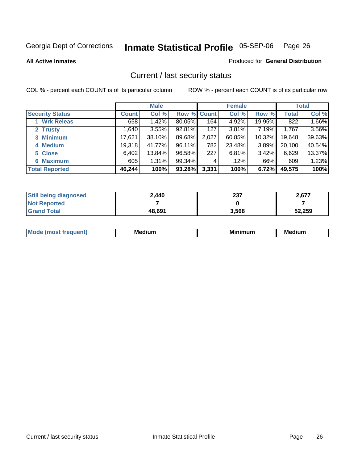**All Active Inmates**

Produced for **General Distribution**

### Current / last security status

|                        | <b>Male</b>  |        |             | <b>Female</b> |        |        | <b>Total</b> |        |
|------------------------|--------------|--------|-------------|---------------|--------|--------|--------------|--------|
| <b>Security Status</b> | <b>Count</b> | Col %  | Row % Count |               | Col %  | Row %  | <b>Total</b> | Col %  |
| 1 Wrk Releas           | 658          | 1.42%  | 80.05%      | 164           | 4.92%  | 19.95% | 822          | 1.66%  |
| 2 Trusty               | ا 640.       | 3.55%  | 92.81%      | 127           | 3.81%  | 7.19%  | 1,767        | 3.56%  |
| 3 Minimum              | 17,621       | 38.10% | 89.68%      | 2,027         | 60.85% | 10.32% | 19,648       | 39.63% |
| 4 Medium               | 19,318       | 41.77% | 96.11%      | 782           | 23.48% | 3.89%  | 20,100       | 40.54% |
| 5 Close                | 6,402        | 13.84% | 96.58%      | 227           | 6.81%  | 3.42%  | 6,629        | 13.37% |
| 6 Maximum              | 605          | 1.31%  | 99.34%      | 4             | .12%   | .66%   | 609          | 1.23%  |
| <b>Total Reported</b>  | 46,244       | 100%   | 93.28%      | 3,331         | 100%   | 6.72%  | 49,575       | 100%   |

| <b>Still being diagnosed</b> | 2,440  | 237   | 2.677  |
|------------------------------|--------|-------|--------|
| <b>Not Reported</b>          |        |       |        |
| <b>Grand Total</b>           | 48,691 | 3,568 | 52,259 |

| M.<br>.<br>--<br>M.<br><b>ALL 1999</b><br>----<br>w. |  |  |
|------------------------------------------------------|--|--|
|                                                      |  |  |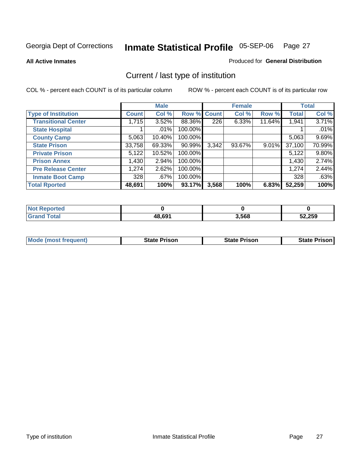**All Active Inmates**

#### Produced for **General Distribution**

### Current / last type of institution

|                            |              | <b>Male</b> |             |       | <b>Female</b> |          |              | <b>Total</b> |
|----------------------------|--------------|-------------|-------------|-------|---------------|----------|--------------|--------------|
| <b>Type of Institution</b> | <b>Count</b> | Col %       | Row % Count |       | Col %         | Row %    | <b>Total</b> | Col %        |
| <b>Transitional Center</b> | 1,715        | $3.52\%$    | 88.36%      | 226   | 6.33%         | 11.64%   | 1,941        | 3.71%        |
| <b>State Hospital</b>      |              | .01%        | 100.00%     |       |               |          |              | .01%         |
| <b>County Camp</b>         | 5,063        | 10.40%      | 100.00%     |       |               |          | 5,063        | 9.69%        |
| <b>State Prison</b>        | 33,758       | 69.33%      | 90.99%      | 3,342 | 93.67%        | $9.01\%$ | 37,100       | 70.99%       |
| <b>Private Prison</b>      | 5,122        | 10.52%      | 100.00%     |       |               |          | 5,122        | 9.80%        |
| <b>Prison Annex</b>        | 1,430        | 2.94%       | 100.00%     |       |               |          | 1,430        | 2.74%        |
| <b>Pre Release Center</b>  | 1,274        | 2.62%       | 100.00%     |       |               |          | 1,274        | 2.44%        |
| <b>Inmate Boot Camp</b>    | 328          | $.67\%$     | 100.00%     |       |               |          | 328          | .63%         |
| <b>Total Rported</b>       | 48,691       | 100%        | 93.17%      | 3,568 | 100%          | 6.83%    | 52,259       | 100%         |

| <b>Not Reported</b> |        |       |        |
|---------------------|--------|-------|--------|
| <b>Grand Total</b>  | 48,691 | 3,568 | 52,259 |

| Mode (most frequent) | <b>State Prison</b> | <b>State Prison</b> | <b>State Prison I</b> |
|----------------------|---------------------|---------------------|-----------------------|
|                      |                     |                     |                       |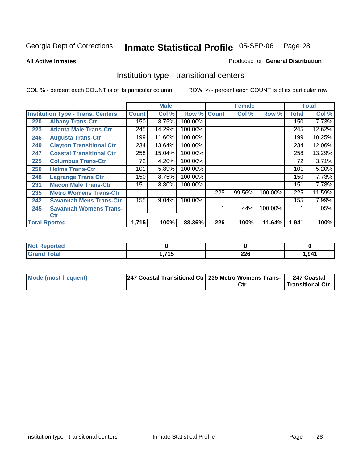**All Active Inmates**

#### Produced for **General Distribution**

### Institution type - transitional centers

|     |                                          |              | <b>Male</b> |         |              | <b>Female</b> |         |              | <b>Total</b> |
|-----|------------------------------------------|--------------|-------------|---------|--------------|---------------|---------|--------------|--------------|
|     | <b>Institution Type - Trans. Centers</b> | <b>Count</b> | Col %       | Row %   | <b>Count</b> | Col %         | Row %   | <b>Total</b> | Col %        |
| 220 | <b>Albany Trans-Ctr</b>                  | 150          | 8.75%       | 100.00% |              |               |         | 150          | 7.73%        |
| 223 | <b>Atlanta Male Trans-Ctr</b>            | 245          | 14.29%      | 100.00% |              |               |         | 245          | 12.62%       |
| 246 | <b>Augusta Trans-Ctr</b>                 | 199          | 11.60%      | 100.00% |              |               |         | 199          | 10.25%       |
| 249 | <b>Clayton Transitional Ctr</b>          | 234          | 13.64%      | 100.00% |              |               |         | 234          | 12.06%       |
| 247 | <b>Coastal Transitional Ctr</b>          | 258          | 15.04%      | 100.00% |              |               |         | 258          | 13.29%       |
| 225 | <b>Columbus Trans-Ctr</b>                | 72           | 4.20%       | 100.00% |              |               |         | 72           | 3.71%        |
| 250 | <b>Helms Trans-Ctr</b>                   | 101          | 5.89%       | 100.00% |              |               |         | 101          | 5.20%        |
| 248 | <b>Lagrange Trans Ctr</b>                | 150          | 8.75%       | 100.00% |              |               |         | 150          | 7.73%        |
| 231 | <b>Macon Male Trans-Ctr</b>              | 151          | 8.80%       | 100.00% |              |               |         | 151          | 7.78%        |
| 235 | <b>Metro Womens Trans-Ctr</b>            |              |             |         | 225          | 99.56%        | 100.00% | 225          | 11.59%       |
| 242 | <b>Savannah Mens Trans-Ctr</b>           | 155          | 9.04%       | 100.00% |              |               |         | 155          | 7.99%        |
| 245 | <b>Savannah Womens Trans-</b>            |              |             |         |              | .44%          | 100.00% |              | .05%         |
|     | Ctr                                      |              |             |         |              |               |         |              |              |
|     | <b>Total Rported</b>                     | 1,715        | 100%        | 88.36%  | 226          | 100%          | 11.64%  | 1,941        | 100%         |

| Reported<br>NOT             |            |     |       |
|-----------------------------|------------|-----|-------|
| <b>Total</b>                | 74E        | າງເ | 1,941 |
| $\mathbf{v}$ . $\mathbf{u}$ | . <u>.</u> | ZZU |       |

| Mode (most frequent) | 247 Coastal Transitional Ctr 235 Metro Womens Trans- | 247 Coastal      |
|----------------------|------------------------------------------------------|------------------|
|                      |                                                      | Transitional Ctr |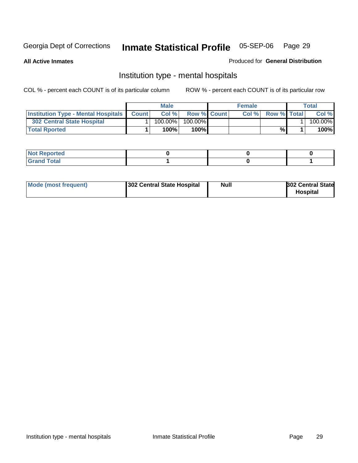**All Active Inmates**

#### Produced for **General Distribution**

### Institution type - mental hospitals

|                                                  | Male       |                    | <b>Female</b> |                    | Total   |
|--------------------------------------------------|------------|--------------------|---------------|--------------------|---------|
| <b>Institution Type - Mental Hospitals Count</b> | Col %      | <b>Row % Count</b> | Col%          | <b>Row % Total</b> | Col %   |
| 302 Central State Hospital                       | $100.00\%$ | 100.00%            |               |                    | 100.00% |
| <b>Total Rported</b>                             | 100%       | 100%I              |               | %                  | 100%    |

| Not Reported |  |  |
|--------------|--|--|
| <b>otal</b>  |  |  |

| Mode (most frequent)<br>302 Central State Hospital | Null | <b>302 Central State</b><br><b>Hospital</b> |
|----------------------------------------------------|------|---------------------------------------------|
|----------------------------------------------------|------|---------------------------------------------|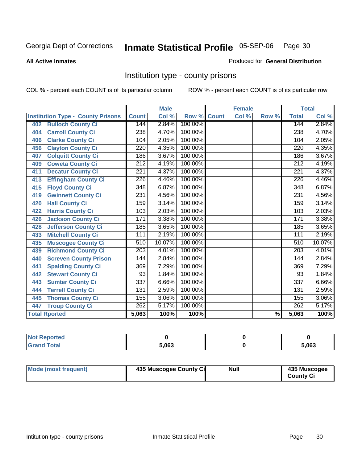#### **All Active Inmates**

#### Produced for **General Distribution**

### Institution type - county prisons

|                                          |                  | <b>Male</b> |         |              | <b>Female</b> |       |                  | <b>Total</b> |
|------------------------------------------|------------------|-------------|---------|--------------|---------------|-------|------------------|--------------|
| <b>Institution Type - County Prisons</b> | <b>Count</b>     | Col %       | Row %   | <b>Count</b> | Col %         | Row % | <b>Total</b>     | Col %        |
| <b>Bulloch County Ci</b><br>402          | 144              | 2.84%       | 100.00% |              |               |       | 144              | 2.84%        |
| <b>Carroll County Ci</b><br>404          | 238              | 4.70%       | 100.00% |              |               |       | 238              | 4.70%        |
| <b>Clarke County Ci</b><br>406           | $\overline{1}04$ | 2.05%       | 100.00% |              |               |       | 104              | 2.05%        |
| <b>Clayton County Ci</b><br>456          | 220              | 4.35%       | 100.00% |              |               |       | 220              | 4.35%        |
| <b>Colquitt County Ci</b><br>407         | 186              | 3.67%       | 100.00% |              |               |       | 186              | 3.67%        |
| <b>Coweta County Ci</b><br>409           | $\overline{212}$ | 4.19%       | 100.00% |              |               |       | $\overline{212}$ | 4.19%        |
| <b>Decatur County Ci</b><br>411          | $\overline{221}$ | 4.37%       | 100.00% |              |               |       | $\overline{221}$ | 4.37%        |
| <b>Effingham County Ci</b><br>413        | $\overline{226}$ | 4.46%       | 100.00% |              |               |       | $\overline{226}$ | 4.46%        |
| <b>Floyd County Ci</b><br>415            | 348              | 6.87%       | 100.00% |              |               |       | $\overline{348}$ | 6.87%        |
| <b>Gwinnett County Ci</b><br>419         | $\overline{231}$ | 4.56%       | 100.00% |              |               |       | 231              | 4.56%        |
| <b>Hall County Ci</b><br>420             | 159              | 3.14%       | 100.00% |              |               |       | 159              | 3.14%        |
| <b>Harris County Ci</b><br>422           | 103              | 2.03%       | 100.00% |              |               |       | 103              | 2.03%        |
| <b>Jackson County Ci</b><br>426          | 171              | 3.38%       | 100.00% |              |               |       | 171              | 3.38%        |
| <b>Jefferson County Ci</b><br>428        | 185              | 3.65%       | 100.00% |              |               |       | 185              | 3.65%        |
| <b>Mitchell County Ci</b><br>433         | 111              | 2.19%       | 100.00% |              |               |       | 111              | 2.19%        |
| <b>Muscogee County Ci</b><br>435         | 510              | 10.07%      | 100.00% |              |               |       | 510              | 10.07%       |
| <b>Richmond County Ci</b><br>439         | 203              | 4.01%       | 100.00% |              |               |       | 203              | 4.01%        |
| <b>Screven County Prison</b><br>440      | 144              | 2.84%       | 100.00% |              |               |       | 144              | 2.84%        |
| <b>Spalding County Ci</b><br>441         | 369              | 7.29%       | 100.00% |              |               |       | 369              | 7.29%        |
| <b>Stewart County Ci</b><br>442          | 93               | 1.84%       | 100.00% |              |               |       | 93               | 1.84%        |
| <b>Sumter County Ci</b><br>443           | 337              | 6.66%       | 100.00% |              |               |       | $\overline{337}$ | 6.66%        |
| <b>Terrell County Ci</b><br>444          | $\overline{131}$ | 2.59%       | 100.00% |              |               |       | 131              | 2.59%        |
| <b>Thomas County Ci</b><br>445           | 155              | 3.06%       | 100.00% |              |               |       | 155              | 3.06%        |
| <b>Troup County Ci</b><br>447            | 262              | 5.17%       | 100.00% |              |               |       | 262              | 5.17%        |
| <b>Total Rported</b>                     | 5,063            | 100%        | 100%    |              |               | %     | 5,063            | 100%         |

| -- | 5.063 | 5 NR3<br>ึ |
|----|-------|------------|

| Mode (most frequent) | 435 Muscogee County Ci | Null | 435 Muscogee |
|----------------------|------------------------|------|--------------|
|                      |                        |      | County Ci    |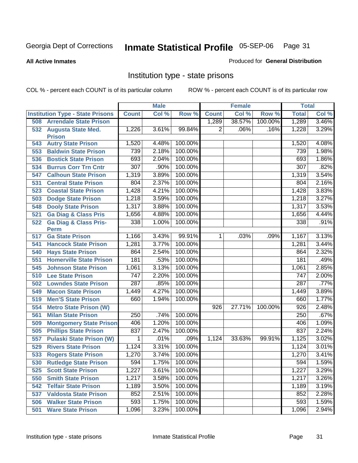**All Active Inmates**

#### Produced for **General Distribution**

### Institution type - state prisons

|     |                                         |                  | <b>Male</b> |         |                | <b>Female</b> |         | <b>Total</b>     |       |
|-----|-----------------------------------------|------------------|-------------|---------|----------------|---------------|---------|------------------|-------|
|     | <b>Institution Type - State Prisons</b> | <b>Count</b>     | Col %       | Row %   | <b>Count</b>   | Col %         | Row %   | <b>Total</b>     | Col % |
| 508 | <b>Arrendale State Prison</b>           |                  |             |         | 1,289          | 38.57%        | 100.00% | 1,289            | 3.46% |
|     | 532 Augusta State Med.<br><b>Prison</b> | 1,226            | 3.61%       | 99.84%  | $\overline{2}$ | .06%          | .16%    | 1,228            | 3.29% |
| 543 | <b>Autry State Prison</b>               | 1,520            | 4.48%       | 100.00% |                |               |         | 1,520            | 4.08% |
| 553 | <b>Baldwin State Prison</b>             | 739              | 2.18%       | 100.00% |                |               |         | 739              | 1.98% |
| 536 | <b>Bostick State Prison</b>             | 693              | 2.04%       | 100.00% |                |               |         | 693              | 1.86% |
| 534 | <b>Burrus Corr Trn Cntr</b>             | 307              | .90%        | 100.00% |                |               |         | 307              | .82%  |
| 547 | <b>Calhoun State Prison</b>             | 1,319            | 3.89%       | 100.00% |                |               |         | 1,319            | 3.54% |
| 531 | <b>Central State Prison</b>             | 804              | 2.37%       | 100.00% |                |               |         | 804              | 2.16% |
| 523 | <b>Coastal State Prison</b>             | 1,428            | 4.21%       | 100.00% |                |               |         | 1,428            | 3.83% |
| 503 | <b>Dodge State Prison</b>               | 1,218            | 3.59%       | 100.00% |                |               |         | 1,218            | 3.27% |
| 548 | <b>Dooly State Prison</b>               | 1,317            | 3.88%       | 100.00% |                |               |         | 1,317            | 3.53% |
| 521 | <b>Ga Diag &amp; Class Pris</b>         | 1,656            | 4.88%       | 100.00% |                |               |         | 1,656            | 4.44% |
| 522 | <b>Ga Diag &amp; Class Pris-</b>        | 338              | 1.00%       | 100.00% |                |               |         | 338              | .91%  |
|     | <b>Perm</b>                             |                  |             |         |                |               |         |                  |       |
| 517 | <b>Ga State Prison</b>                  | 1,166            | 3.43%       | 99.91%  | 1 <sup>1</sup> | .03%          | .09%    | 1,167            | 3.13% |
| 541 | <b>Hancock State Prison</b>             | 1,281            | 3.77%       | 100.00% |                |               |         | 1,281            | 3.44% |
| 540 | <b>Hays State Prison</b>                | 864              | 2.54%       | 100.00% |                |               |         | 864              | 2.32% |
| 551 | <b>Homerville State Prison</b>          | 181              | .53%        | 100.00% |                |               |         | 181              | .49%  |
| 545 | <b>Johnson State Prison</b>             | 1,061            | 3.13%       | 100.00% |                |               |         | 1,061            | 2.85% |
| 510 | <b>Lee State Prison</b>                 | $\overline{747}$ | 2.20%       | 100.00% |                |               |         | 747              | 2.00% |
| 502 | <b>Lowndes State Prison</b>             | 287              | .85%        | 100.00% |                |               |         | 287              | .77%  |
| 549 | <b>Macon State Prison</b>               | 1,449            | 4.27%       | 100.00% |                |               |         | 1,449            | 3.89% |
| 519 | <b>Men'S State Prison</b>               | 660              | 1.94%       | 100.00% |                |               |         | 660              | 1.77% |
| 554 | <b>Metro State Prison (W)</b>           |                  |             |         | 926            | 27.71%        | 100.00% | $\overline{926}$ | 2.48% |
| 561 | <b>Milan State Prison</b>               | 250              | .74%        | 100.00% |                |               |         | 250              | .67%  |
| 509 | <b>Montgomery State Prison</b>          | 406              | 1.20%       | 100.00% |                |               |         | 406              | 1.09% |
| 505 | <b>Phillips State Prison</b>            | 837              | 2.47%       | 100.00% |                |               |         | 837              | 2.24% |
| 557 | <b>Pulaski State Prison (W)</b>         | 1                | .01%        | .09%    | 1,124          | 33.63%        | 99.91%  | 1,125            | 3.02% |
| 529 | <b>Rivers State Prison</b>              | 1,124            | 3.31%       | 100.00% |                |               |         | 1,124            | 3.01% |
| 533 | <b>Rogers State Prison</b>              | 1,270            | 3.74%       | 100.00% |                |               |         | 1,270            | 3.41% |
| 530 | <b>Rutledge State Prison</b>            | 594              | 1.75%       | 100.00% |                |               |         | 594              | 1.59% |
| 525 | <b>Scott State Prison</b>               | 1,227            | 3.61%       | 100.00% |                |               |         | 1,227            | 3.29% |
| 550 | <b>Smith State Prison</b>               | 1,217            | 3.58%       | 100.00% |                |               |         | 1,217            | 3.26% |
| 542 | <b>Telfair State Prison</b>             | 1,189            | 3.50%       | 100.00% |                |               |         | 1,189            | 3.19% |
| 537 | <b>Valdosta State Prison</b>            | 852              | 2.51%       | 100.00% |                |               |         | 852              | 2.28% |
| 506 | <b>Walker State Prison</b>              | 593              | 1.75%       | 100.00% |                |               |         | 593              | 1.59% |
| 501 | <b>Ware State Prison</b>                | 1,096            | 3.23%       | 100.00% |                |               |         | 1,096            | 2.94% |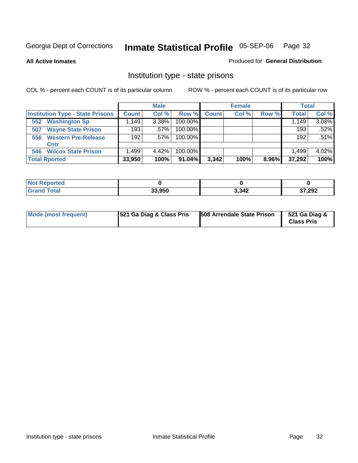**All Active Inmates**

#### Produced for **General Distribution**

### Institution type - state prisons

|                      |                                         |              | <b>Male</b> |         |              | <b>Female</b> |       | <b>Total</b> |         |
|----------------------|-----------------------------------------|--------------|-------------|---------|--------------|---------------|-------|--------------|---------|
|                      | <b>Institution Type - State Prisons</b> | <b>Count</b> | Col %       | Row %   | <b>Count</b> | Col %         | Row % | <b>Total</b> | Col %   |
| 552                  | <b>Washington Sp</b>                    | .149         | 3.38%       | 100.00% |              |               |       | 1,149        | 3.08%   |
| 507                  | <b>Wayne State Prison</b>               | 193          | $.57\%$     | 100.00% |              |               |       | 193          | $.52\%$ |
| 556                  | <b>Western Pre-Release</b>              | 192          | $.57\%$     | 100.00% |              |               |       | 192          | .51%    |
|                      | Cntr                                    |              |             |         |              |               |       |              |         |
| 546                  | <b>Wilcox State Prison</b>              | .499         | 4.42%       | 100.00% |              |               |       | 1.499        | 4.02%   |
| <b>Total Rported</b> |                                         | 33,950       | 100%        | 91.04%  | 3,342        | 100%          | 8.96% | 37,292       | 100%    |

| rtea  |        |       |        |
|-------|--------|-------|--------|
| 'ota. | 33.950 | 3,342 | 37,292 |

| Mode (most frequent) | <b>521 Ga Diag &amp; Class Pris</b> | 508 Arrendale State Prison | 521 Ga Diag &<br><b>Class Pris</b> |
|----------------------|-------------------------------------|----------------------------|------------------------------------|
|----------------------|-------------------------------------|----------------------------|------------------------------------|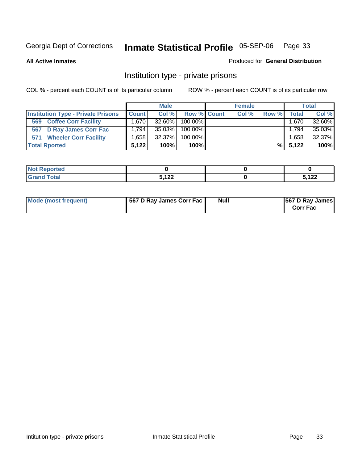**All Active Inmates**

#### Produced for **General Distribution**

### Institution type - private prisons

|                                           |                   | <b>Male</b> |             | <b>Female</b> |       |       | <b>Total</b> |
|-------------------------------------------|-------------------|-------------|-------------|---------------|-------|-------|--------------|
| <b>Institution Type - Private Prisons</b> | <b>Count</b>      | Col %       | Row % Count | Col %         | Row % | Total | Col %        |
| <b>Coffee Corr Facility</b><br>569        | 1.670 l           | 32.60%      | 100.00%     |               |       | 1,670 | 32.60%       |
| 567 D Ray James Corr Fac                  | 1.794             | 35.03%      | 100.00%     |               |       | 1,794 | 35.03%       |
| <b>Wheeler Corr Facility</b><br>571       | .658 <sup>1</sup> | 32.37%      | 100.00%     |               |       | 1,658 | 32.37%       |
| <b>Total Rported</b>                      | 5.122             | 100%        | 100%        |               | %     | 5.122 | 100%         |

| <b>Reported</b><br>' NOT |              |              |
|--------------------------|--------------|--------------|
| <b>Total</b>             | 5122         | .100         |
| ---                      | $\mathbf{L}$ | $L_{\rm{L}}$ |

| Mode (most frequent) | 567 D Ray James Corr Fac | <b>Null</b> | <b>567 D Ray James</b><br><b>Corr Fac</b> |
|----------------------|--------------------------|-------------|-------------------------------------------|
|----------------------|--------------------------|-------------|-------------------------------------------|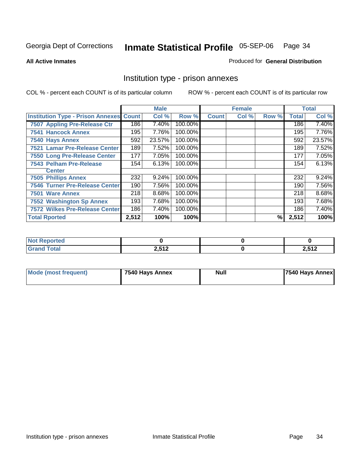#### **All Active Inmates**

#### Produced for **General Distribution**

### Institution type - prison annexes

|                                                |       | <b>Male</b> |         |              | <b>Female</b> |       |              | <b>Total</b> |
|------------------------------------------------|-------|-------------|---------|--------------|---------------|-------|--------------|--------------|
| <b>Institution Type - Prison Annexes Count</b> |       | Col %       | Row %   | <b>Count</b> | Col %         | Row % | <b>Total</b> | Col %        |
| 7507 Appling Pre-Release Ctr                   | 186   | 7.40%       | 100.00% |              |               |       | 186          | 7.40%        |
| <b>7541 Hancock Annex</b>                      | 195   | 7.76%       | 100.00% |              |               |       | 195          | 7.76%        |
| 7540 Hays Annex                                | 592   | 23.57%      | 100.00% |              |               |       | 592          | 23.57%       |
| 7521 Lamar Pre-Release Center                  | 189   | 7.52%       | 100.00% |              |               |       | 189          | 7.52%        |
| 7550 Long Pre-Release Center                   | 177   | 7.05%       | 100.00% |              |               |       | 177          | 7.05%        |
| <b>7543 Pelham Pre-Release</b>                 | 154   | 6.13%       | 100.00% |              |               |       | 154          | 6.13%        |
| <b>Center</b>                                  |       |             |         |              |               |       |              |              |
| <b>7505 Phillips Annex</b>                     | 232   | 9.24%       | 100.00% |              |               |       | 232          | 9.24%        |
| <b>7546 Turner Pre-Release Center</b>          | 190   | 7.56%       | 100.00% |              |               |       | 190          | 7.56%        |
| 7501 Ware Annex                                | 218   | 8.68%       | 100.00% |              |               |       | 218          | 8.68%        |
| <b>7552 Washington Sp Annex</b>                | 193   | 7.68%       | 100.00% |              |               |       | 193          | 7.68%        |
| <b>7572 Wilkes Pre-Release Center</b>          | 186   | 7.40%       | 100.00% |              |               |       | 186          | 7.40%        |
| <b>Total Rported</b>                           | 2,512 | 100%        | 100%    |              |               | %     | 2,512        | 100%         |

| <b>Not Reported</b>   |                        |       |
|-----------------------|------------------------|-------|
| <b>Total</b><br>Grand | <b>2542</b><br>4.J I 4 | 2,512 |

| <b>Mode (most frequent)</b> | 7540 Hays Annex | <b>Null</b> | 7540 Hays Annex |
|-----------------------------|-----------------|-------------|-----------------|
|-----------------------------|-----------------|-------------|-----------------|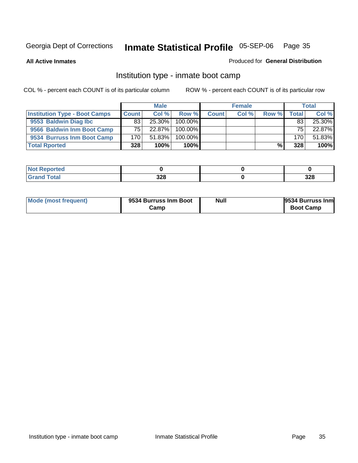**All Active Inmates**

#### Produced for **General Distribution**

### Institution type - inmate boot camp

|                                      |              | <b>Male</b> |            |              | <b>Female</b> |       |       | <b>Total</b> |
|--------------------------------------|--------------|-------------|------------|--------------|---------------|-------|-------|--------------|
| <b>Institution Type - Boot Camps</b> | <b>Count</b> | Col %       | Row %      | <b>Count</b> | Col %         | Row % | Total | Col %        |
| 9553 Baldwin Diag Ibc                | 83           | $25.30\%$   | $100.00\%$ |              |               |       | 83    | 25.30%       |
| 9566 Baldwin Inm Boot Camp           | 75           | $22.87\%$   | $100.00\%$ |              |               |       | 75    | 22.87%       |
| 9534 Burruss Inm Boot Camp           | 170          | 51.83%      | $100.00\%$ |              |               |       | 170   | 51.83%       |
| <b>Total Rported</b>                 | 328          | 100%        | 100%       |              |               | %     | 328   | 100%         |

| oorted<br><b>NOT</b>              |     |     |
|-----------------------------------|-----|-----|
| <b>otal</b><br>$-1$ . $-1$ . $-1$ | 328 | 328 |

| <b>Mode (most frequent)</b> | 9534 Burruss Inm Boot<br>Camp | Null | <b>9534 Burruss Inm</b><br><b>Boot Camp</b> |
|-----------------------------|-------------------------------|------|---------------------------------------------|
|-----------------------------|-------------------------------|------|---------------------------------------------|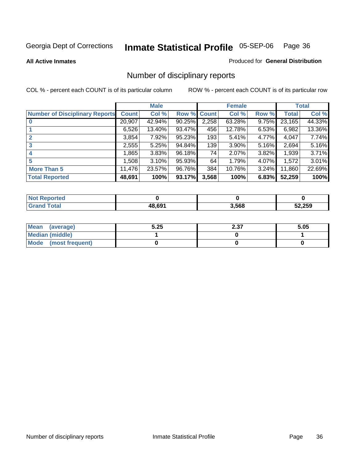**All Active Inmates**

#### Produced for **General Distribution**

### Number of disciplinary reports

|                                       |              | <b>Male</b> |        |              | <b>Female</b> |          |              | <b>Total</b> |
|---------------------------------------|--------------|-------------|--------|--------------|---------------|----------|--------------|--------------|
| <b>Number of Disciplinary Reports</b> | <b>Count</b> | Col %       | Row %  | <b>Count</b> | Col %         | Row %    | <b>Total</b> | Col %        |
|                                       | 20,907       | 42.94%      | 90.25% | 2,258        | 63.28%        | 9.75%    | 23,165       | 44.33%       |
|                                       | 6,526        | 13.40%      | 93.47% | 456          | 12.78%        | 6.53%    | 6,982        | 13.36%       |
| 2                                     | 3,854        | 7.92%       | 95.23% | 193          | 5.41%         | 4.77%    | 4,047        | 7.74%        |
| 3                                     | 2,555        | 5.25%       | 94.84% | 139          | 3.90%         | 5.16%    | 2,694        | 5.16%        |
|                                       | .865         | 3.83%       | 96.18% | 74           | 2.07%         | 3.82%    | 1,939        | 3.71%        |
| 5                                     | ,508         | 3.10%       | 95.93% | 64           | 1.79%         | 4.07%    | 1,572        | 3.01%        |
| <b>More Than 5</b>                    | 11,476       | 23.57%      | 96.76% | 384          | 10.76%        | $3.24\%$ | 11,860       | 22.69%       |
| <b>Total Reported</b>                 | 48,691       | 100%        | 93.17% | 3,568        | 100%          | 6.83%    | 52,259       | 100%         |

| N                  |                                 |       |        |
|--------------------|---------------------------------|-------|--------|
| $\sim$ 10<br>_____ | $\overline{AB}$ 69 <sup>4</sup> | 3.568 | 52,259 |

| Mean (average)       | 5.25 | 2.37 | 5.05 |
|----------------------|------|------|------|
| Median (middle)      |      |      |      |
| Mode (most frequent) |      |      |      |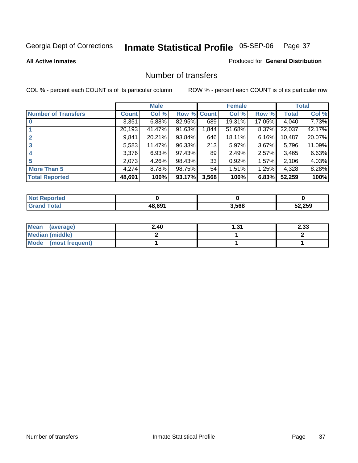### **All Active Inmates**

## Produced for **General Distribution**

## Number of transfers

|                            |         | <b>Male</b> |        |              | <b>Female</b> |          |              | <b>Total</b> |
|----------------------------|---------|-------------|--------|--------------|---------------|----------|--------------|--------------|
| <b>Number of Transfers</b> | Count l | Col %       | Row %  | <b>Count</b> | Col %         | Row %    | <b>Total</b> | Col %        |
|                            | 3,351   | 6.88%       | 82.95% | 689          | 19.31%        | 17.05%   | 4,040        | 7.73%        |
|                            | 20,193  | 41.47%      | 91.63% | 1,844        | 51.68%        | $8.37\%$ | 22,037       | 42.17%       |
|                            | 9,841   | 20.21%      | 93.84% | 646          | 18.11%        | 6.16%    | 10,487       | 20.07%       |
| 3                          | 5,583   | 11.47%      | 96.33% | 213          | 5.97%         | $3.67\%$ | 5,796        | 11.09%       |
|                            | 3,376   | 6.93%       | 97.43% | 89           | 2.49%         | $2.57\%$ | 3,465        | 6.63%        |
| 5                          | 2,073   | $4.26\%$    | 98.43% | 33           | 0.92%         | $1.57\%$ | 2,106        | 4.03%        |
| <b>More Than 5</b>         | 4,274   | 8.78%       | 98.75% | 54           | 1.51%         | $1.25\%$ | 4,328        | 8.28%        |
| <b>Total Reported</b>      | 48,691  | 100%        | 93.17% | 3,568        | 100%          | 6.83%    | 52,259       | 100%         |

| N               |            |       |        |
|-----------------|------------|-------|--------|
| $\sim$<br>_____ | $AB$ $60'$ | 3.568 | 52.259 |

| Mean (average)       | 2.40 | .31 | 2.33 |
|----------------------|------|-----|------|
| Median (middle)      |      |     |      |
| Mode (most frequent) |      |     |      |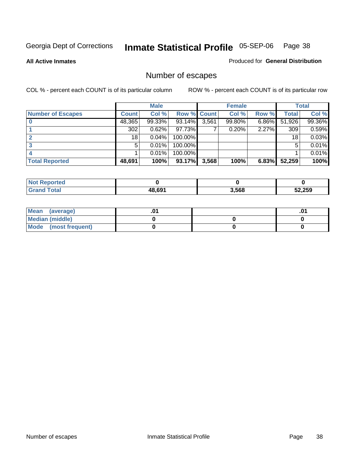**All Active Inmates**

Produced for **General Distribution**

# Number of escapes

|                          |              | <b>Male</b> |                    |       | <b>Female</b> |          |        | <b>Total</b> |
|--------------------------|--------------|-------------|--------------------|-------|---------------|----------|--------|--------------|
| <b>Number of Escapes</b> | <b>Count</b> | Col %       | <b>Row % Count</b> |       | Col %         | Row %    | Total  | Col %        |
|                          | 48,365       | 99.33%      | 93.14%             | 3,561 | 99.80%        | $6.86\%$ | 51,926 | 99.36%       |
|                          | 302          | 0.62%       | 97.73%I            |       | 0.20%         | 2.27%    | 309    | 0.59%        |
|                          | 18           | 0.04%       | $100.00\%$         |       |               |          | 18     | 0.03%        |
|                          | 5            | 0.01%       | 100.00%            |       |               |          | 5      | 0.01%        |
|                          |              | 0.01%       | 100.00%            |       |               |          |        | 0.01%        |
| <b>Total Reported</b>    | 48,691       | 100%        | 93.17%             | 3,568 | 100%          | 6.83%    | 52,259 | 100%         |

| тео |        |       |        |
|-----|--------|-------|--------|
|     | 18 691 | 3,568 | 52,259 |

| Mean (average)       |  | .01 |
|----------------------|--|-----|
| Median (middle)      |  |     |
| Mode (most frequent) |  |     |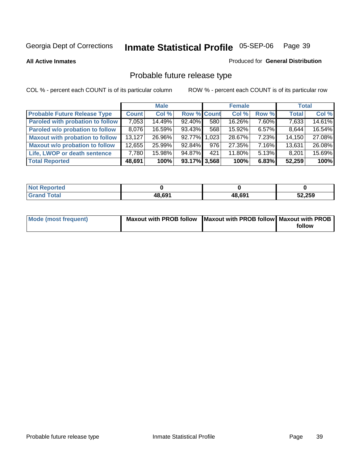**All Active Inmates**

## Produced for **General Distribution**

# Probable future release type

|                                         |              | <b>Male</b> |                    |       | <b>Female</b> |          | <b>Total</b> |        |
|-----------------------------------------|--------------|-------------|--------------------|-------|---------------|----------|--------------|--------|
| <b>Probable Future Release Type</b>     | <b>Count</b> | Col %       | <b>Row % Count</b> |       | Col %         | Row %    | <b>Total</b> | Col %  |
| <b>Paroled with probation to follow</b> | 7,053        | 14.49%      | 92.40%             | 580   | 16.26%        | $7.60\%$ | 7,633        | 14.61% |
| Paroled w/o probation to follow         | 8,076        | 16.59%      | 93.43%             | 568   | 15.92%        | $6.57\%$ | 8,644        | 16.54% |
| <b>Maxout with probation to follow</b>  | 13.127       | 26.96%      | 92.77%             | 1,023 | 28.67%        | $7.23\%$ | 14,150       | 27.08% |
| <b>Maxout w/o probation to follow</b>   | 12,655       | 25.99%      | $92.84\%$          | 976   | 27.35%        | 7.16%    | 13,631       | 26.08% |
| Life, LWOP or death sentence            | 7,780        | 15.98%      | 94.87%             | 421   | 11.80%        | 5.13%    | 8,201        | 15.69% |
| <b>Total Reported</b>                   | 48,691       | 100%        | $93.17\%$ 3,568    |       | 100%          | 6.83%    | 52,259       | 100%   |

| <b>Not</b><br>Reported       |        |        |        |
|------------------------------|--------|--------|--------|
| <b>Total</b><br><b>Grand</b> | 48,691 | 48.691 | 52,259 |

| Mode (most frequent) | Maxout with PROB follow   Maxout with PROB follow   Maxout with PROB |        |
|----------------------|----------------------------------------------------------------------|--------|
|                      |                                                                      | follow |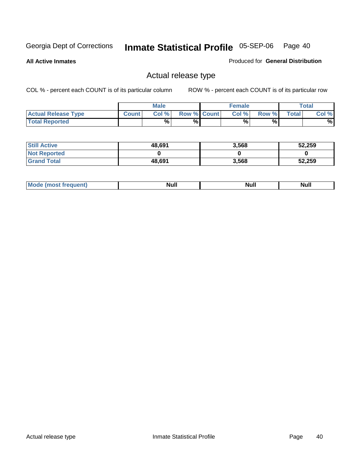**All Active Inmates**

Produced for **General Distribution**

# Actual release type

|                            |              | <b>Male</b> |                    | <b>Female</b> |       |       | <b>Total</b> |
|----------------------------|--------------|-------------|--------------------|---------------|-------|-------|--------------|
| <b>Actual Release Type</b> | <b>Count</b> | Col %       | <b>Row % Count</b> | Col %         | Row % | Total | Col %        |
| <b>Total Reported</b>      |              | %           | %                  | %             | %     |       | %            |

| <b>Still Active</b> | 48,691 | 3,568 | 52,259 |
|---------------------|--------|-------|--------|
| <b>Not Reported</b> |        |       |        |
| <b>Grand Total</b>  | 48,691 | 3,568 | 52,259 |

| M<br>_____<br>_____ | NI | Null | $\cdots$ |
|---------------------|----|------|----------|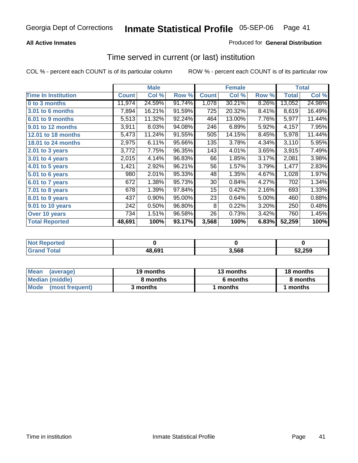## **All Active Inmates**

## Produced for **General Distribution**

## Time served in current (or last) institution

|                            |              | <b>Male</b> |        |              | <b>Female</b> |       |              | <b>Total</b> |
|----------------------------|--------------|-------------|--------|--------------|---------------|-------|--------------|--------------|
| <b>Time In Institution</b> | <b>Count</b> | Col %       | Row %  | <b>Count</b> | Col %         | Row % | <b>Total</b> | Col %        |
| 0 to 3 months              | 11,974       | 24.59%      | 91.74% | 1,078        | 30.21%        | 8.26% | 13,052       | 24.98%       |
| 3.01 to 6 months           | 7,894        | 16.21%      | 91.59% | 725          | 20.32%        | 8.41% | 8,619        | 16.49%       |
| 6.01 to 9 months           | 5,513        | 11.32%      | 92.24% | 464          | 13.00%        | 7.76% | 5,977        | 11.44%       |
| 9.01 to 12 months          | 3,911        | 8.03%       | 94.08% | 246          | 6.89%         | 5.92% | 4,157        | 7.95%        |
| 12.01 to 18 months         | 5,473        | 11.24%      | 91.55% | 505          | 14.15%        | 8.45% | 5,978        | 11.44%       |
| 18.01 to 24 months         | 2,975        | 6.11%       | 95.66% | 135          | 3.78%         | 4.34% | 3,110        | 5.95%        |
| 2.01 to 3 years            | 3,772        | 7.75%       | 96.35% | 143          | 4.01%         | 3.65% | 3,915        | 7.49%        |
| 3.01 to 4 years            | 2,015        | 4.14%       | 96.83% | 66           | 1.85%         | 3.17% | 2,081        | 3.98%        |
| 4.01 to 5 years            | 1,421        | 2.92%       | 96.21% | 56           | 1.57%         | 3.79% | 1,477        | 2.83%        |
| 5.01 to 6 years            | 980          | 2.01%       | 95.33% | 48           | 1.35%         | 4.67% | 1,028        | 1.97%        |
| 6.01 to 7 years            | 672          | 1.38%       | 95.73% | 30           | 0.84%         | 4.27% | 702          | 1.34%        |
| 7.01 to 8 years            | 678          | 1.39%       | 97.84% | 15           | 0.42%         | 2.16% | 693          | 1.33%        |
| 8.01 to 9 years            | 437          | 0.90%       | 95.00% | 23           | 0.64%         | 5.00% | 460          | 0.88%        |
| 9.01 to 10 years           | 242          | 0.50%       | 96.80% | 8            | 0.22%         | 3.20% | 250          | 0.48%        |
| Over 10 years              | 734          | 1.51%       | 96.58% | 26           | 0.73%         | 3.42% | 760          | 1.45%        |
| <b>Total Reported</b>      | 48,691       | 100%        | 93.17% | 3,568        | 100%          | 6.83% | 52,259       | 100%         |

| <b>Not Reported</b> |        |      |        |
|---------------------|--------|------|--------|
| <b>Total</b>        | 48,691 | ,568 | 52,259 |

| Mean<br>(average)              | 19 months | 13 months | 18 months |
|--------------------------------|-----------|-----------|-----------|
| Median (middle)                | 8 months  | 6 months  | 8 months  |
| <b>Mode</b><br>(most frequent) | 3 months  | 1 months  | months    |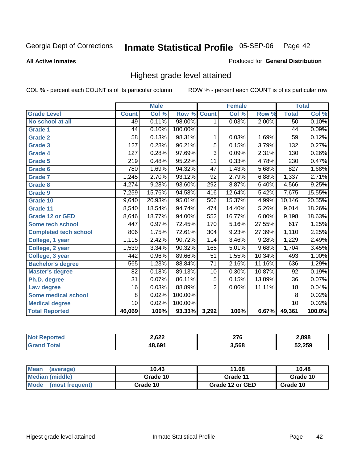**All Active Inmates**

## Produced for **General Distribution**

# Highest grade level attained

|                              |                  | <b>Male</b> |         |                  | <b>Female</b> |          |                  | <b>Total</b> |
|------------------------------|------------------|-------------|---------|------------------|---------------|----------|------------------|--------------|
| <b>Grade Level</b>           | <b>Count</b>     | Col %       | Row %   | <b>Count</b>     | Col %         | Row %    | <b>Total</b>     | Col %        |
| No school at all             | 49               | 0.11%       | 98.00%  | 1                | 0.03%         | 2.00%    | 50               | 0.10%        |
| <b>Grade 1</b>               | 44               | 0.10%       | 100.00% |                  |               |          | $\overline{44}$  | 0.09%        |
| <b>Grade 2</b>               | $\overline{58}$  | 0.13%       | 98.31%  | 1                | 0.03%         | 1.69%    | $\overline{59}$  | 0.12%        |
| <b>Grade 3</b>               | 127              | 0.28%       | 96.21%  | 5                | 0.15%         | 3.79%    | 132              | 0.27%        |
| <b>Grade 4</b>               | $\overline{127}$ | 0.28%       | 97.69%  | $\overline{3}$   | 0.09%         | 2.31%    | 130              | 0.26%        |
| Grade 5                      | 219              | 0.48%       | 95.22%  | $\overline{11}$  | 0.33%         | 4.78%    | $\overline{230}$ | 0.47%        |
| Grade 6                      | 780              | 1.69%       | 94.32%  | $\overline{47}$  | 1.43%         | 5.68%    | 827              | 1.68%        |
| <b>Grade 7</b>               | 1,245            | 2.70%       | 93.12%  | $\overline{92}$  | 2.79%         | 6.88%    | 1,337            | 2.71%        |
| <b>Grade 8</b>               | 4,274            | 9.28%       | 93.60%  | 292              | 8.87%         | 6.40%    | 4,566            | 9.25%        |
| Grade 9                      | 7,259            | 15.76%      | 94.58%  | $\overline{416}$ | 12.64%        | 5.42%    | 7,675            | 15.55%       |
| Grade 10                     | 9,640            | 20.93%      | 95.01%  | 506              | 15.37%        | 4.99%    | 10,146           | 20.55%       |
| Grade 11                     | 8,540            | 18.54%      | 94.74%  | 474              | 14.40%        | 5.26%    | 9,014            | 18.26%       |
| <b>Grade 12 or GED</b>       | 8,646            | 18.77%      | 94.00%  | 552              | 16.77%        | $6.00\%$ | 9,198            | 18.63%       |
| <b>Some tech school</b>      | 447              | 0.97%       | 72.45%  | 170              | 5.16%         | 27.55%   | 617              | 1.25%        |
| <b>Completed tech school</b> | 806              | 1.75%       | 72.61%  | 304              | 9.23%         | 27.39%   | 1,110            | 2.25%        |
| College, 1 year              | 1,115            | 2.42%       | 90.72%  | 114              | 3.46%         | 9.28%    | 1,229            | 2.49%        |
| College, 2 year              | 1,539            | 3.34%       | 90.32%  | 165              | 5.01%         | 9.68%    | 1,704            | 3.45%        |
| College, 3 year              | 442              | 0.96%       | 89.66%  | 51               | 1.55%         | 10.34%   | 493              | 1.00%        |
| <b>Bachelor's degree</b>     | 565              | 1.23%       | 88.84%  | $\overline{71}$  | 2.16%         | 11.16%   | 636              | 1.29%        |
| <b>Master's degree</b>       | 82               | 0.18%       | 89.13%  | 10               | 0.30%         | 10.87%   | 92               | 0.19%        |
| Ph.D. degree                 | $\overline{31}$  | 0.07%       | 86.11%  | $\overline{5}$   | 0.15%         | 13.89%   | 36               | 0.07%        |
| Law degree                   | $\overline{16}$  | 0.03%       | 88.89%  | $\overline{2}$   | 0.06%         | 11.11%   | $\overline{18}$  | 0.04%        |
| <b>Some medical school</b>   | 8                | 0.02%       | 100.00% |                  |               |          | 8                | 0.02%        |
| <b>Medical degree</b>        | $\overline{10}$  | 0.02%       | 100.00% |                  |               |          | 10               | 0.02%        |
| <b>Total Reported</b>        | 46,069           | 100%        | 93.33%  | 3,292            | 100%          | 6.67%    | 49,361           | 100.0%       |

| ን 622<br>the contract of the contract of | <b>270</b><br>- -<br>___ | 2.898  |
|------------------------------------------|--------------------------|--------|
| 10 CM                                    | 3.568                    | 52.250 |

| <b>Mean</b><br>(average)       | 10.43    | 11.08           | 10.48    |
|--------------------------------|----------|-----------------|----------|
| Median (middle)                | Grade 10 | Grade 11        | Grade 10 |
| <b>Mode</b><br>(most frequent) | Grade 10 | Grade 12 or GED | Grade 10 |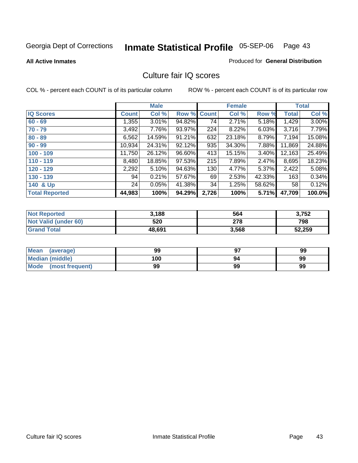#### **All Active Inmates**

## Produced for **General Distribution**

## Culture fair IQ scores

|                       |              | <b>Male</b> |        |              | <b>Female</b> |        |              | <b>Total</b> |
|-----------------------|--------------|-------------|--------|--------------|---------------|--------|--------------|--------------|
| <b>IQ Scores</b>      | <b>Count</b> | Col %       | Row %  | <b>Count</b> | Col %         | Row %  | <b>Total</b> | Col %        |
| $60 - 69$             | 1,355        | 3.01%       | 94.82% | 74           | 2.71%         | 5.18%  | 1,429        | $3.00\%$     |
| $70 - 79$             | 3,492        | 7.76%       | 93.97% | 224          | 8.22%         | 6.03%  | 3,716        | 7.79%        |
| $80 - 89$             | 6,562        | 14.59%      | 91.21% | 632          | 23.18%        | 8.79%  | 7,194        | 15.08%       |
| $90 - 99$             | 10,934       | 24.31%      | 92.12% | 935          | 34.30%        | 7.88%  | 11,869       | 24.88%       |
| $100 - 109$           | 11,750       | 26.12%      | 96.60% | 413          | 15.15%        | 3.40%  | 12,163       | 25.49%       |
| $110 - 119$           | 8,480        | 18.85%      | 97.53% | 215          | 7.89%         | 2.47%  | 8,695        | 18.23%       |
| $120 - 129$           | 2,292        | 5.10%       | 94.63% | 130          | 4.77%         | 5.37%  | 2,422        | 5.08%        |
| $130 - 139$           | 94           | 0.21%       | 57.67% | 69           | 2.53%         | 42.33% | 163          | 0.34%        |
| 140 & Up              | 24           | 0.05%       | 41.38% | 34           | 1.25%         | 58.62% | 58           | 0.12%        |
| <b>Total Reported</b> | 44,983       | 100%        | 94.29% | 2,726        | 100%          | 5.71%  | 47,709       | 100.0%       |

| <b>Not Reported</b>  | 3,188  | 564   | 3,752  |
|----------------------|--------|-------|--------|
| Not Valid (under 60) | 520    | 278   | 798    |
| <b>Grand Total</b>   | 48,691 | 3,568 | 52,259 |

| <b>Mean</b><br>(average)       | 99  | 67 | 99 |
|--------------------------------|-----|----|----|
| <b>Median (middle)</b>         | 100 | 94 | 99 |
| <b>Mode</b><br>(most frequent) | 99  | 99 | 99 |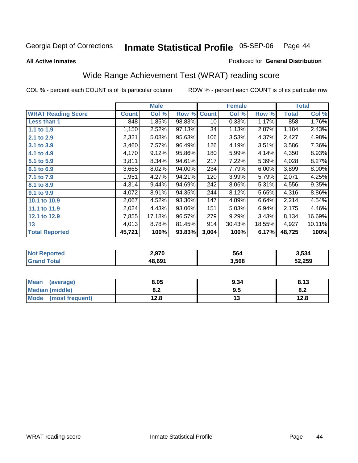## **All Active Inmates**

## Produced for **General Distribution**

# Wide Range Achievement Test (WRAT) reading score

|                           |              | <b>Male</b> |        |              | <b>Female</b> |        |              | <b>Total</b> |
|---------------------------|--------------|-------------|--------|--------------|---------------|--------|--------------|--------------|
| <b>WRAT Reading Score</b> | <b>Count</b> | Col %       | Row %  | <b>Count</b> | Col %         | Row %  | <b>Total</b> | Col %        |
| Less than 1               | 848          | 1.85%       | 98.83% | 10           | 0.33%         | 1.17%  | 858          | 1.76%        |
| 1.1 to 1.9                | 1,150        | 2.52%       | 97.13% | 34           | 1.13%         | 2.87%  | 1,184        | 2.43%        |
| 2.1 to 2.9                | 2,321        | 5.08%       | 95.63% | 106          | 3.53%         | 4.37%  | 2,427        | 4.98%        |
| 3.1 to 3.9                | 3,460        | 7.57%       | 96.49% | 126          | 4.19%         | 3.51%  | 3,586        | 7.36%        |
| 4.1 to 4.9                | 4,170        | 9.12%       | 95.86% | 180          | 5.99%         | 4.14%  | 4,350        | 8.93%        |
| 5.1 to 5.9                | 3,811        | 8.34%       | 94.61% | 217          | 7.22%         | 5.39%  | 4,028        | 8.27%        |
| 6.1 to 6.9                | 3,665        | 8.02%       | 94.00% | 234          | 7.79%         | 6.00%  | 3,899        | $8.00\%$     |
| 7.1 to 7.9                | 1,951        | 4.27%       | 94.21% | 120          | 3.99%         | 5.79%  | 2,071        | 4.25%        |
| 8.1 to 8.9                | 4,314        | 9.44%       | 94.69% | 242          | 8.06%         | 5.31%  | 4,556        | 9.35%        |
| 9.1 to 9.9                | 4,072        | 8.91%       | 94.35% | 244          | 8.12%         | 5.65%  | 4,316        | $8.86\%$     |
| 10.1 to 10.9              | 2,067        | 4.52%       | 93.36% | 147          | 4.89%         | 6.64%  | 2,214        | 4.54%        |
| 11.1 to 11.9              | 2,024        | 4.43%       | 93.06% | 151          | 5.03%         | 6.94%  | 2,175        | 4.46%        |
| 12.1 to 12.9              | 7,855        | 17.18%      | 96.57% | 279          | 9.29%         | 3.43%  | 8,134        | 16.69%       |
| 13                        | 4,013        | 8.78%       | 81.45% | 914          | 30.43%        | 18.55% | 4,927        | 10.11%       |
| <b>Total Reported</b>     | 45,721       | 100%        | 93.83% | 3,004        | 100%          | 6.17%  | 48,725       | 100%         |

| 14 (20      | 2,970  | 564   | 3.534  |
|-------------|--------|-------|--------|
| <b>otal</b> | 48.691 | 3,568 | 52,259 |

| <b>Mean</b><br>(average)       | 8.05          | 9.34 | 912<br>0. I J |
|--------------------------------|---------------|------|---------------|
| <b>Median (middle)</b>         | י ה<br>0.Z    | 9.5  | o.z           |
| <b>Mode</b><br>(most frequent) | 1 ລວ<br>ه.۷ ا | . .  | 12.8          |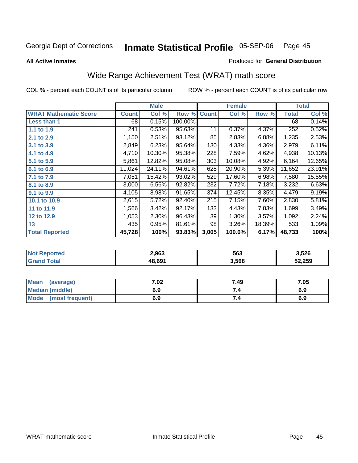**All Active Inmates**

### Produced for **General Distribution**

# Wide Range Achievement Test (WRAT) math score

|                              |              | <b>Male</b> |         |              | <b>Female</b> |        |              | <b>Total</b> |
|------------------------------|--------------|-------------|---------|--------------|---------------|--------|--------------|--------------|
| <b>WRAT Mathematic Score</b> | <b>Count</b> | Col %       | Row %   | <b>Count</b> | Col %         | Row %  | <b>Total</b> | Col %        |
| Less than 1                  | 68           | 0.15%       | 100.00% |              |               |        | 68           | 0.14%        |
| 1.1 to 1.9                   | 241          | 0.53%       | 95.63%  | 11           | 0.37%         | 4.37%  | 252          | 0.52%        |
| 2.1 to 2.9                   | 1,150        | 2.51%       | 93.12%  | 85           | 2.83%         | 6.88%  | 1,235        | 2.53%        |
| 3.1 to 3.9                   | 2,849        | 6.23%       | 95.64%  | 130          | 4.33%         | 4.36%  | 2,979        | 6.11%        |
| 4.1 to 4.9                   | 4,710        | 10.30%      | 95.38%  | 228          | 7.59%         | 4.62%  | 4,938        | 10.13%       |
| 5.1 to 5.9                   | 5,861        | 12.82%      | 95.08%  | 303          | 10.08%        | 4.92%  | 6,164        | 12.65%       |
| 6.1 to 6.9                   | 11,024       | 24.11%      | 94.61%  | 628          | 20.90%        | 5.39%  | 11,652       | 23.91%       |
| 7.1 to 7.9                   | 7,051        | 15.42%      | 93.02%  | 529          | 17.60%        | 6.98%  | 7,580        | 15.55%       |
| 8.1 to 8.9                   | 3,000        | 6.56%       | 92.82%  | 232          | 7.72%         | 7.18%  | 3,232        | 6.63%        |
| 9.1 to 9.9                   | 4,105        | 8.98%       | 91.65%  | 374          | 12.45%        | 8.35%  | 4,479        | 9.19%        |
| 10.1 to 10.9                 | 2,615        | 5.72%       | 92.40%  | 215          | 7.15%         | 7.60%  | 2,830        | 5.81%        |
| 11 to 11.9                   | 1,566        | 3.42%       | 92.17%  | 133          | 4.43%         | 7.83%  | 1,699        | 3.49%        |
| 12 to 12.9                   | 1,053        | 2.30%       | 96.43%  | 39           | 1.30%         | 3.57%  | 1,092        | 2.24%        |
| 13                           | 435          | 0.95%       | 81.61%  | 98           | 3.26%         | 18.39% | 533          | 1.09%        |
| <b>Total Reported</b>        | 45,728       | 100%        | 93.83%  | 3,005        | 100.0%        | 6.17%  | 48,733       | 100%         |

| 2,963  | 563   | 3.526  |
|--------|-------|--------|
| 48.691 | 3,568 | 52,259 |

| Mean<br>(average)              | 7.02 | 7.49 | 7.05 |
|--------------------------------|------|------|------|
| <b>Median (middle)</b>         | 6.9  |      | 6.9  |
| <b>Mode</b><br>(most frequent) | 6.9  | 7.4  | 6.9  |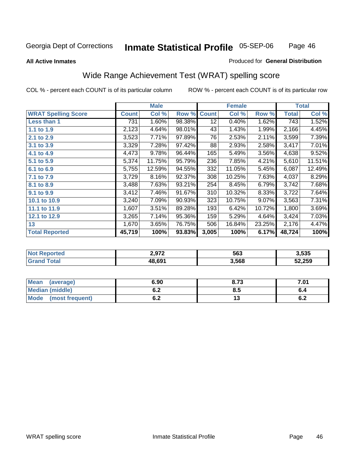Page 46

### **All Active Inmates**

## Produced for **General Distribution**

# Wide Range Achievement Test (WRAT) spelling score

|                            |              | <b>Male</b> |        |                 | <b>Female</b> |        |              | <b>Total</b> |
|----------------------------|--------------|-------------|--------|-----------------|---------------|--------|--------------|--------------|
| <b>WRAT Spelling Score</b> | <b>Count</b> | Col %       | Row %  | <b>Count</b>    | Col %         | Row %  | <b>Total</b> | Col %        |
| Less than 1                | 731          | 1.60%       | 98.38% | $\overline{12}$ | 0.40%         | 1.62%  | 743          | 1.52%        |
| 1.1 to 1.9                 | 2,123        | 4.64%       | 98.01% | 43              | 1.43%         | 1.99%  | 2,166        | 4.45%        |
| 2.1 to 2.9                 | 3,523        | 7.71%       | 97.89% | 76              | 2.53%         | 2.11%  | 3,599        | 7.39%        |
| 3.1 to 3.9                 | 3,329        | 7.28%       | 97.42% | 88              | 2.93%         | 2.58%  | 3,417        | 7.01%        |
| 4.1 to 4.9                 | 4,473        | 9.78%       | 96.44% | 165             | 5.49%         | 3.56%  | 4,638        | 9.52%        |
| 5.1 to 5.9                 | 5,374        | 11.75%      | 95.79% | 236             | 7.85%         | 4.21%  | 5,610        | 11.51%       |
| 6.1 to 6.9                 | 5,755        | 12.59%      | 94.55% | 332             | 11.05%        | 5.45%  | 6,087        | 12.49%       |
| 7.1 to 7.9                 | 3,729        | 8.16%       | 92.37% | 308             | 10.25%        | 7.63%  | 4,037        | 8.29%        |
| 8.1 to 8.9                 | 3,488        | 7.63%       | 93.21% | 254             | 8.45%         | 6.79%  | 3,742        | 7.68%        |
| 9.1 to 9.9                 | 3,412        | 7.46%       | 91.67% | 310             | 10.32%        | 8.33%  | 3,722        | 7.64%        |
| 10.1 to 10.9               | 3,240        | 7.09%       | 90.93% | 323             | 10.75%        | 9.07%  | 3,563        | 7.31%        |
| 11.1 to 11.9               | 1,607        | 3.51%       | 89.28% | 193             | 6.42%         | 10.72% | 1,800        | 3.69%        |
| 12.1 to 12.9               | 3,265        | 7.14%       | 95.36% | 159             | 5.29%         | 4.64%  | 3,424        | 7.03%        |
| 13                         | 1,670        | 3.65%       | 76.75% | 506             | 16.84%        | 23.25% | 2,176        | 4.47%        |
| <b>Total Reported</b>      | 45,719       | 100%        | 93.83% | 3,005           | 100%          | 6.17%  | 48,724       | 100%         |

| 2 Q72<br>$-1$<br>. . | 563   | 3,535  |
|----------------------|-------|--------|
| 48.691               | 3,568 | 52,259 |

| <b>Mean</b><br>(average)       | 6.90       | 8.73 | 7.01       |
|--------------------------------|------------|------|------------|
| Median (middle)                | ^ ^<br>0.Z | ტ.J  | o.4        |
| <b>Mode</b><br>(most frequent) | . .<br>U.Z | יי   | . .<br>υ.Ζ |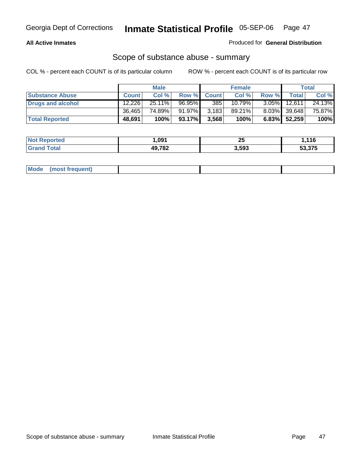## **All Active Inmates**

## Produced for **General Distribution**

## Scope of substance abuse - summary

|                        |              | <b>Male</b> |           |             | <b>Female</b> |          |                 | Total  |
|------------------------|--------------|-------------|-----------|-------------|---------------|----------|-----------------|--------|
| <b>Substance Abuse</b> | <b>Count</b> | Col %       |           | Row % Count | Col %         | Row %    | <b>Total</b>    | Col %  |
| Drugs and alcohol      | 12.226       | 25.11%      | 96.95%    | 385         | 10.79%        | $3.05\%$ | 12,611          | 24.13% |
|                        | 36,465       | 74.89%      | 91.97%    | 3,183       | 89.21%        |          | $8.03\%$ 39.648 | 75.87% |
| <b>Total Reported</b>  | 48,691       | 100%        | $93.17\%$ | 3,568       | 100%          |          | $6.83\%$ 52,259 | 100%   |

| <b>Not</b><br><b>Reported</b> | .091   | つい<br>Zυ | 116.،  |
|-------------------------------|--------|----------|--------|
| <b>Tota</b><br>' Grano        | 49,782 | 3,593    | 53.375 |

| Mode | (most frequent) |  |  |
|------|-----------------|--|--|
|      |                 |  |  |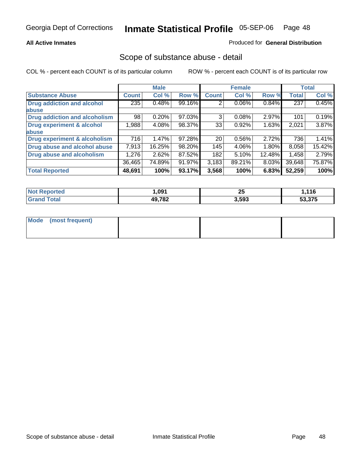## **All Active Inmates**

## Produced for **General Distribution**

## Scope of substance abuse - detail

|                                      |              | <b>Male</b> |        |              | <b>Female</b> |          |              | <b>Total</b> |
|--------------------------------------|--------------|-------------|--------|--------------|---------------|----------|--------------|--------------|
| <b>Substance Abuse</b>               | <b>Count</b> | Col %       | Row %  | <b>Count</b> | Col %         | Row %    | <b>Total</b> | Col %        |
| <b>Drug addiction and alcohol</b>    | 235          | 0.48%       | 99.16% | 2            | $0.06\%$      | 0.84%    | 237          | 0.45%        |
| abuse                                |              |             |        |              |               |          |              |              |
| <b>Drug addiction and alcoholism</b> | 98           | 0.20%       | 97.03% | 3            | 0.08%         | 2.97%    | 101          | 0.19%        |
| <b>Drug experiment &amp; alcohol</b> | 88, I        | 4.08%       | 98.37% | 33           | 0.92%         | 1.63%    | 2,021        | $3.87\%$     |
| abuse                                |              |             |        |              |               |          |              |              |
| Drug experiment & alcoholism         | 716          | 1.47%       | 97.28% | 20           | 0.56%         | 2.72%    | 736          | 1.41%        |
| Drug abuse and alcohol abuse         | 7,913        | 16.25%      | 98.20% | 145          | 4.06%         | $1.80\%$ | 8,058        | 15.42%       |
| Drug abuse and alcoholism            | 1,276        | 2.62%       | 87.52% | 182          | 5.10%         | 12.48%   | 1,458        | 2.79%        |
|                                      | 36,465       | 74.89%      | 91.97% | 3,183        | 89.21%        | 8.03%    | 39,648       | 75.87%       |
| <b>Total Reported</b>                | 48,691       | 100%        | 93.17% | 3,568        | 100%          | 6.83%    | 52,259       | 100%         |

| <b>Not</b><br><b>Reported</b> | .091   | חר<br>20 | .116   |
|-------------------------------|--------|----------|--------|
| <sup>τ</sup> ota.<br>'Gray    | 49,782 | 3.593    | 53.375 |

| Mode (most frequent) |  |  |
|----------------------|--|--|
|                      |  |  |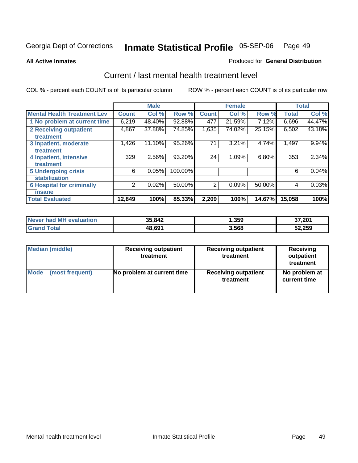**All Active Inmates**

### Produced for **General Distribution**

## Current / last mental health treatment level

|                                    |              | <b>Male</b> |         |              | <b>Female</b> |        |              | <b>Total</b> |
|------------------------------------|--------------|-------------|---------|--------------|---------------|--------|--------------|--------------|
| <b>Mental Health Treatment Lev</b> | <b>Count</b> | Col %       | Row %   | <b>Count</b> | Col%          | Row %  | <b>Total</b> | Col %        |
| 1 No problem at current time       | 6,219        | 48.40%      | 92.88%  | 477          | 21.59%        | 7.12%  | 6,696        | 44.47%       |
| <b>2 Receiving outpatient</b>      | 4,867        | 37.88%      | 74.85%  | 1,635        | 74.02%        | 25.15% | 6,502        | 43.18%       |
| treatment                          |              |             |         |              |               |        |              |              |
| 3 Inpatient, moderate              | 1,426        | 11.10%      | 95.26%  | 71           | 3.21%         | 4.74%  | 1,497        | 9.94%        |
| treatment                          |              |             |         |              |               |        |              |              |
| 4 Inpatient, intensive             | 329          | 2.56%       | 93.20%  | 24           | 1.09%         | 6.80%  | 353          | 2.34%        |
| treatment                          |              |             |         |              |               |        |              |              |
| <b>5 Undergoing crisis</b>         | 6            | 0.05%       | 100.00% |              |               |        | 6            | 0.04%        |
| stabilization                      |              |             |         |              |               |        |              |              |
| <b>6 Hospital for criminally</b>   | 2            | 0.02%       | 50.00%  | 2            | 0.09%         | 50.00% | 4            | 0.03%        |
| insane                             |              |             |         |              |               |        |              |              |
| <b>Total Evaluated</b>             | 12,849       | 100%        | 85.33%  | 2,209        | 100%          | 14.67% | 15,058       | 100%         |

| Never had MH evaluation | 35,842 | 359,⊧ | 37,201 |
|-------------------------|--------|-------|--------|
| <b>Grand Total</b>      | 48,691 | 3,568 | 52,259 |

| Median (middle) | <b>Receiving outpatient</b><br>treatment | <b>Receiving outpatient</b><br>treatment | <b>Receiving</b><br>outpatient<br>treatment |  |
|-----------------|------------------------------------------|------------------------------------------|---------------------------------------------|--|
| Mode            | No problem at current time               | <b>Receiving outpatient</b>              | No problem at                               |  |
| (most frequent) |                                          | treatment                                | current time                                |  |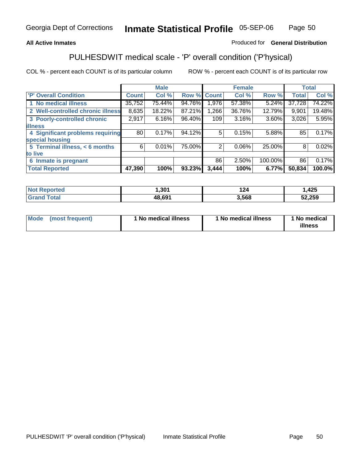## **All Active Inmates**

## Produced for **General Distribution**

# PULHESDWIT medical scale - 'P' overall condition ('P'hysical)

|                                   |                 | <b>Male</b> |        |              | <b>Female</b> |          |              | <b>Total</b> |
|-----------------------------------|-----------------|-------------|--------|--------------|---------------|----------|--------------|--------------|
| 'P' Overall Condition             | <b>Count</b>    | Col %       | Row %  | <b>Count</b> | Col %         | Row %    | <b>Total</b> | Col %        |
| 1 No medical illness              | 35,752          | 75.44%      | 94.76% | 1,976        | 57.38%        | 5.24%    | 37,728       | 74.22%l      |
| 2 Well-controlled chronic illness | 8,635           | 18.22%      | 87.21% | 1,266        | 36.76%        | 12.79%   | 9,901        | 19.48%       |
| 3 Poorly-controlled chronic       | 2,917           | 6.16%       | 96.40% | 109          | 3.16%         | $3.60\%$ | 3,026        | 5.95%        |
| <b>illness</b>                    |                 |             |        |              |               |          |              |              |
| 4 Significant problems requiring  | 80 <sub>1</sub> | 0.17%       | 94.12% | 5            | 0.15%         | 5.88%    | 85           | 0.17%        |
| special housing                   |                 |             |        |              |               |          |              |              |
| 5 Terminal illness, < 6 months    | 6               | 0.01%       | 75.00% | 2            | $0.06\%$      | 25.00%   | 8            | 0.02%        |
| to live                           |                 |             |        |              |               |          |              |              |
| 6 Inmate is pregnant              |                 |             |        | 86           | 2.50%         | 100.00%  | 86           | 0.17%        |
| <b>Total Reported</b>             | 47,390          | 100%        | 93.23% | 3,444        | 100%          | 6.77%    | 50,834       | 100.0%       |

| <b>eported</b><br>NO | 301,                           | .    | ,425   |
|----------------------|--------------------------------|------|--------|
| <b>ota</b>           | $\overline{AB}$ $\overline{B}$ | .568 | 52,259 |

| Mode | (most frequent) | 1 No medical illness | 1 No medical illness | 1 No medical<br>illness |
|------|-----------------|----------------------|----------------------|-------------------------|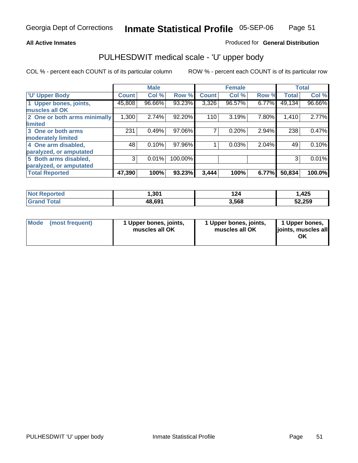## **All Active Inmates**

## Produced for **General Distribution**

## PULHESDWIT medical scale - 'U' upper body

|                              |              | <b>Male</b> |         |              | <b>Female</b> |       |              | <b>Total</b> |
|------------------------------|--------------|-------------|---------|--------------|---------------|-------|--------------|--------------|
| <b>U' Upper Body</b>         | <b>Count</b> | Col %       | Row %   | <b>Count</b> | Col %         | Row % | <b>Total</b> | Col %        |
| 1 Upper bones, joints,       | 45,808       | 96.66%      | 93.23%  | 3,326        | 96.57%        | 6.77% | 49,134       | 96.66%       |
| muscles all OK               |              |             |         |              |               |       |              |              |
| 2 One or both arms minimally | 1,300        | 2.74%       | 92.20%  | 110          | 3.19%         | 7.80% | 1,410        | 2.77%        |
| limited                      |              |             |         |              |               |       |              |              |
| 3 One or both arms           | 231          | 0.49%       | 97.06%  |              | 0.20%         | 2.94% | 238          | 0.47%        |
| moderately limited           |              |             |         |              |               |       |              |              |
| 4 One arm disabled,          | 48           | 0.10%       | 97.96%  |              | 0.03%         | 2.04% | 49           | 0.10%        |
| paralyzed, or amputated      |              |             |         |              |               |       |              |              |
| 5 Both arms disabled,        | 3            | 0.01%       | 100.00% |              |               |       | 3            | 0.01%        |
| paralyzed, or amputated      |              |             |         |              |               |       |              |              |
| <b>Total Reported</b>        | 47,390       | 100%        | 93.23%  | 3,444        | 100%          | 6.77% | 50,834       | 100.0%       |

| <b>Not Reported</b>  | 301, ا | 124   | ,425   |
|----------------------|--------|-------|--------|
| $\tau$ otal<br>Grand | 48,691 | 3,568 | 52,259 |

| <b>Mode</b> | (most frequent) | 1 Upper bones, joints,<br>muscles all OK | 1 Upper bones, joints,<br>muscles all OK | 1 Upper bones,<br>joints, muscles all<br>ΟK |
|-------------|-----------------|------------------------------------------|------------------------------------------|---------------------------------------------|
|-------------|-----------------|------------------------------------------|------------------------------------------|---------------------------------------------|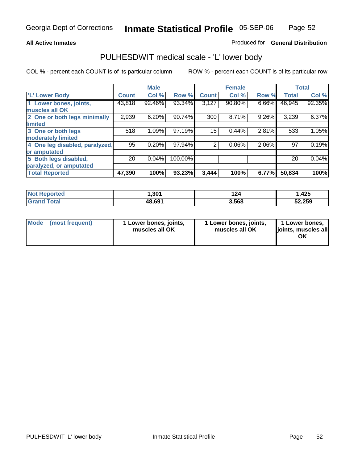## **All Active Inmates**

## Produced for **General Distribution**

## PULHESDWIT medical scale - 'L' lower body

|                                |                 | <b>Male</b> |         |              | <b>Female</b> |       |              | <b>Total</b> |
|--------------------------------|-----------------|-------------|---------|--------------|---------------|-------|--------------|--------------|
| <b>L' Lower Body</b>           | Count!          | Col %       | Row %   | <b>Count</b> | Col %         | Row % | <b>Total</b> | Col %        |
| 1 Lower bones, joints,         | 43,818          | 92.46%      | 93.34%  | 3,127        | 90.80%        | 6.66% | 46,945       | 92.35%       |
| muscles all OK                 |                 |             |         |              |               |       |              |              |
| 2 One or both legs minimally   | 2,939           | 6.20%       | 90.74%  | 300          | 8.71%         | 9.26% | 3,239        | 6.37%        |
| limited                        |                 |             |         |              |               |       |              |              |
| 3 One or both legs             | 518             | 1.09%       | 97.19%  | 15           | 0.44%         | 2.81% | 533          | 1.05%        |
| moderately limited             |                 |             |         |              |               |       |              |              |
| 4 One leg disabled, paralyzed, | 95              | 0.20%       | 97.94%  | 2            | 0.06%         | 2.06% | 97           | 0.19%        |
| or amputated                   |                 |             |         |              |               |       |              |              |
| 5 Both legs disabled,          | 20 <sub>1</sub> | 0.04%       | 100.00% |              |               |       | 20           | 0.04%        |
| paralyzed, or amputated        |                 |             |         |              |               |       |              |              |
| <b>Total Reported</b>          | 47,390          | 100%        | 93.23%  | 3,444        | 100%          | 6.77% | 50,834       | 100%         |

| <b>Not Reported</b> | 301,ا  | 124   | .425   |
|---------------------|--------|-------|--------|
| <b>Grand Total</b>  | 48,691 | 3,568 | 52,259 |

|  | Mode (most frequent) | 1 Lower bones, joints,<br>muscles all OK | 1 Lower bones, joints,<br>muscles all OK | 1 Lower bones,<br>joints, muscles all<br>OK |
|--|----------------------|------------------------------------------|------------------------------------------|---------------------------------------------|
|--|----------------------|------------------------------------------|------------------------------------------|---------------------------------------------|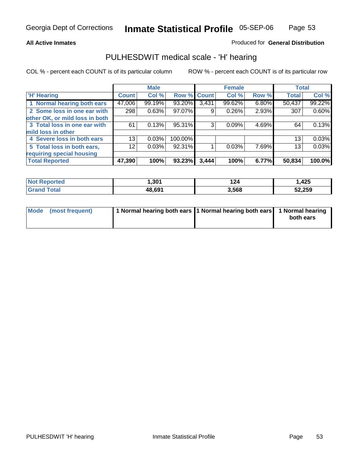## **All Active Inmates**

## Produced for **General Distribution**

## PULHESDWIT medical scale - 'H' hearing

|                                |                 | <b>Male</b> |             |       | <b>Female</b> |       | <b>Total</b> |        |
|--------------------------------|-----------------|-------------|-------------|-------|---------------|-------|--------------|--------|
| <b>H'</b> Hearing              | <b>Count</b>    | Col %       | Row % Count |       | Col %         | Row % | <b>Total</b> | Col %  |
| 1 Normal hearing both ears     | 47,006          | 99.19%      | 93.20%      | 3,431 | 99.62%        | 6.80% | 50,437       | 99.22% |
| 2 Some loss in one ear with    | 298             | 0.63%       | 97.07%      | 9     | 0.26%         | 2.93% | 307          | 0.60%  |
| other OK, or mild loss in both |                 |             |             |       |               |       |              |        |
| 3 Total loss in one ear with   | 61              | 0.13%       | 95.31%      | 3     | 0.09%         | 4.69% | 64           | 0.13%  |
| mild loss in other             |                 |             |             |       |               |       |              |        |
| 4 Severe loss in both ears     | 13              | 0.03%       | 100.00%     |       |               |       | 13           | 0.03%  |
| 5 Total loss in both ears,     | 12 <sub>1</sub> | 0.03%       | 92.31%      |       | 0.03%         | 7.69% | 13           | 0.03%  |
| requiring special housing      |                 |             |             |       |               |       |              |        |
| <b>Total Reported</b>          | 47,390          | 100%        | 93.23%      | 3,444 | 100%          | 6.77% | 50,834       | 100.0% |

| วrted     | <b>201</b><br>ו שכר | 124   | ,425   |
|-----------|---------------------|-------|--------|
| $\sim$ 40 | 48.691              | 3,568 | 52,259 |

| Mode (most frequent) | 1 Normal hearing both ears 11 Normal hearing both ears 1 Normal hearing |           |
|----------------------|-------------------------------------------------------------------------|-----------|
|                      |                                                                         | both ears |
|                      |                                                                         |           |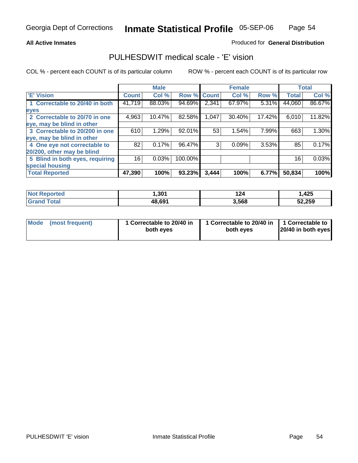## **All Active Inmates**

## Produced for **General Distribution**

## PULHESDWIT medical scale - 'E' vision

|                                 |              | <b>Male</b> |                    |       | <b>Female</b> |        |              | <b>Total</b> |
|---------------------------------|--------------|-------------|--------------------|-------|---------------|--------|--------------|--------------|
| 'E' Vision                      | <b>Count</b> | Col %       | <b>Row % Count</b> |       | Col %         | Row %  | <b>Total</b> | Col %        |
| 1 Correctable to 20/40 in both  | 41,719       | 88.03%      | 94.69%             | 2,341 | 67.97%        | 5.31%  | 44,060       | 86.67%       |
| eyes                            |              |             |                    |       |               |        |              |              |
| 2 Correctable to 20/70 in one   | 4,963        | 10.47%      | 82.58%             | 1,047 | 30.40%        | 17.42% | 6,010        | 11.82%       |
| eye, may be blind in other      |              |             |                    |       |               |        |              |              |
| 3 Correctable to 20/200 in one  | 610          | 1.29%       | 92.01%             | 53    | 1.54%         | 7.99%  | 663          | 1.30%        |
| eye, may be blind in other      |              |             |                    |       |               |        |              |              |
| 4 One eye not correctable to    | 82           | 0.17%       | 96.47%             | 3     | 0.09%         | 3.53%  | 85           | 0.17%        |
| 20/200, other may be blind      |              |             |                    |       |               |        |              |              |
| 5 Blind in both eyes, requiring | 16           | 0.03%       | 100.00%            |       |               |        | 16           | 0.03%        |
| special housing                 |              |             |                    |       |               |        |              |              |
| <b>Total Reported</b>           | 47,390       | 100%        | 93.23%             | 3,444 | 100%          | 6.77%  | 50,834       | 100%         |

| <b>Not Reported</b> | 1,301  | .<br>124 | .425   |
|---------------------|--------|----------|--------|
| Total               | 48,691 | 3,568    | 52,259 |

| Mode | (most frequent) | 1 Correctable to 20/40 in<br>both eves | 1 Correctable to 20/40 in   1 Correctable to<br>both eves | 20/40 in both eyes |
|------|-----------------|----------------------------------------|-----------------------------------------------------------|--------------------|
|      |                 |                                        |                                                           |                    |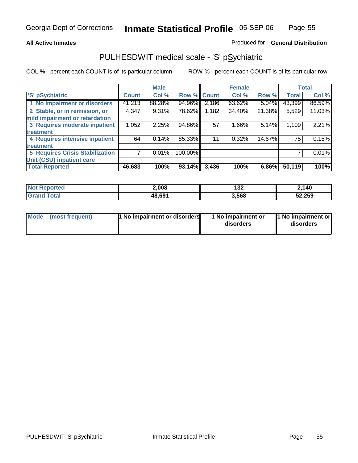## **All Active Inmates**

## Produced for **General Distribution**

# PULHESDWIT medical scale - 'S' pSychiatric

|                                        |              | <b>Male</b> |         |              | <b>Female</b> |        |              | <b>Total</b> |
|----------------------------------------|--------------|-------------|---------|--------------|---------------|--------|--------------|--------------|
| 'S' pSychiatric                        | <b>Count</b> | Col %       | Row %   | <b>Count</b> | Col %         | Row %  | <b>Total</b> | Col %        |
| 1 No impairment or disorders           | 41,213       | 88.28%      | 94.96%  | 2,186        | 63.62%        | 5.04%  | 43,399       | 86.59%       |
| 2 Stable, or in remission, or          | 4,347        | $9.31\%$    | 78.62%  | 1,182        | 34.40%        | 21.38% | 5,529        | 11.03%       |
| mild impairment or retardation         |              |             |         |              |               |        |              |              |
| 3 Requires moderate inpatient          | 1,052        | 2.25%       | 94.86%  | 57           | 1.66%         | 5.14%  | 1,109        | 2.21%        |
| treatment                              |              |             |         |              |               |        |              |              |
| 4 Requires intensive inpatient         | 64           | 0.14%       | 85.33%  | 11           | 0.32%         | 14.67% | 75           | 0.15%        |
| treatment                              |              |             |         |              |               |        |              |              |
| <b>5 Requires Crisis Stabilization</b> |              | 0.01%       | 100.00% |              |               |        |              | 0.01%        |
| Unit (CSU) inpatient care              |              |             |         |              |               |        |              |              |
| <b>Total Reported</b>                  | 46,683       | 100%        | 93.14%  | 3,436        | 100%          | 6.86%  | 50,119       | 100%         |

| <b>Not Reported</b> | 2,008  | 132   | 2,140  |
|---------------------|--------|-------|--------|
| <b>Grand Total</b>  | 48,691 | 3,568 | 52,259 |

| Mode (most frequent) | <b>1</b> No impairment or disorders | 1 No impairment or<br>disorders | 1 No impairment or<br>disorders |
|----------------------|-------------------------------------|---------------------------------|---------------------------------|
|                      |                                     |                                 |                                 |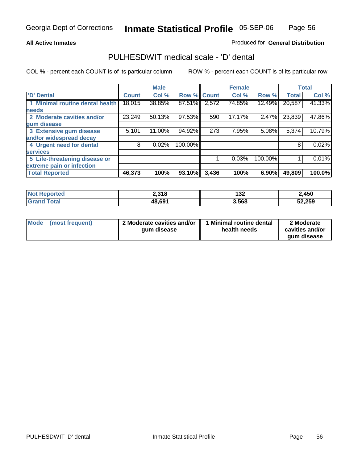## **All Active Inmates**

## Produced for **General Distribution**

## PULHESDWIT medical scale - 'D' dental

|                                 |              | <b>Male</b> |             |       | <b>Female</b> |          |              | <b>Total</b> |
|---------------------------------|--------------|-------------|-------------|-------|---------------|----------|--------------|--------------|
| 'D' Dental                      | <b>Count</b> | Col %       | Row % Count |       | Col %         | Row %    | <b>Total</b> | Col %        |
| 1 Minimal routine dental health | 18,015       | 38.85%      | 87.51%      | 2,572 | 74.85%        | 12.49%   | 20,587       | 41.33%       |
| <b>needs</b>                    |              |             |             |       |               |          |              |              |
| 2 Moderate cavities and/or      | 23,249       | 50.13%      | 97.53%      | 590   | 17.17%        | 2.47%    | 23,839       | 47.86%       |
| gum disease                     |              |             |             |       |               |          |              |              |
| 3 Extensive gum disease         | 5,101        | 11.00%      | 94.92%      | 273   | 7.95%         | 5.08%    | 5,374        | 10.79%       |
| and/or widespread decay         |              |             |             |       |               |          |              |              |
| 4 Urgent need for dental        | 8            | 0.02%       | 100.00%     |       |               |          | 8            | 0.02%        |
| <b>services</b>                 |              |             |             |       |               |          |              |              |
| 5 Life-threatening disease or   |              |             |             |       | 0.03%         | 100.00%  |              | 0.01%        |
| extreme pain or infection       |              |             |             |       |               |          |              |              |
| <b>Total Reported</b>           | 46,373       | 100%        | 93.10%      | 3,436 | 100%          | $6.90\%$ | 49,809       | 100.0%       |

| <b>Not Reported</b> | 2,318  | . הו<br>I JZ | 2,450  |
|---------------------|--------|--------------|--------|
| Total<br>'Grand     | 48,691 | 3,568        | 52,259 |

| <b>Mode</b> | (most frequent) | 2 Moderate cavities and/or<br>qum disease | Minimal routine dental<br>health needs | 2 Moderate<br>cavities and/or |
|-------------|-----------------|-------------------------------------------|----------------------------------------|-------------------------------|
|             |                 |                                           |                                        | qum disease                   |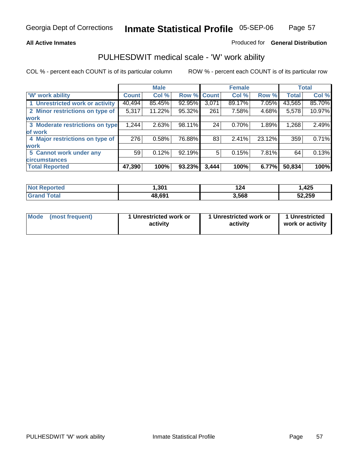## **All Active Inmates**

## Produced for **General Distribution**

## PULHESDWIT medical scale - 'W' work ability

|                                 |              | <b>Male</b> |             |       | <b>Female</b> |        |              | <b>Total</b> |
|---------------------------------|--------------|-------------|-------------|-------|---------------|--------|--------------|--------------|
| W' work ability                 | <b>Count</b> | Col %       | Row % Count |       | Col %         | Row %  | <b>Total</b> | Col %        |
| 1 Unrestricted work or activity | 40,494       | 85.45%      | 92.95%      | 3,071 | 89.17%        | 7.05%  | 43,565       | 85.70%       |
| 2 Minor restrictions on type of | 5,317        | 11.22%      | 95.32%      | 261   | 7.58%         | 4.68%  | 5,578        | 10.97%       |
| <b>work</b>                     |              |             |             |       |               |        |              |              |
| 3 Moderate restrictions on type | 1,244        | 2.63%       | 98.11%      | 24    | 0.70%         | 1.89%  | 1,268        | 2.49%        |
| of work                         |              |             |             |       |               |        |              |              |
| 4 Major restrictions on type of | 276          | 0.58%       | 76.88%      | 83    | 2.41%         | 23.12% | 359          | 0.71%        |
| work                            |              |             |             |       |               |        |              |              |
| 5 Cannot work under any         | 59           | 0.12%       | 92.19%      | 5     | 0.15%         | 7.81%  | 64           | 0.13%        |
| <b>circumstances</b>            |              |             |             |       |               |        |              |              |
| <b>Total Reported</b>           | 47,390       | 100%        | 93.23%      | 3,444 | 100%          | 6.77%  | 50,834       | 100%         |

| <b>Not Reported</b>      | 301,ا  | 124   | ,425   |
|--------------------------|--------|-------|--------|
| <b>Total</b><br>ˈGrand . | 48,691 | 3,568 | 52,259 |

| Mode (most frequent) | 1 Unrestricted work or | 1 Unrestricted work or | 1 Unrestricted   |
|----------------------|------------------------|------------------------|------------------|
|                      | activity               | activity               | work or activity |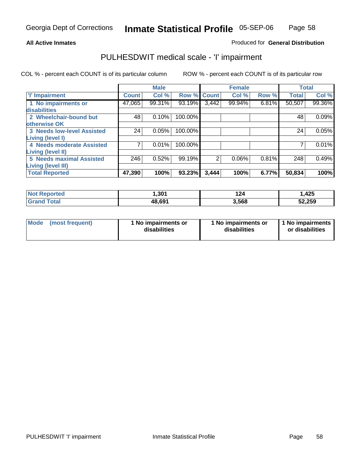## **All Active Inmates**

## Produced for **General Distribution**

# PULHESDWIT medical scale - 'I' impairment

|                                 |              | <b>Male</b> |             |                | <b>Female</b> |          | <b>Total</b> |        |
|---------------------------------|--------------|-------------|-------------|----------------|---------------|----------|--------------|--------|
| <b>T' Impairment</b>            | <b>Count</b> | Col %       | Row % Count |                | Col %         | Row %    | <b>Total</b> | Col %  |
| 1 No impairments or             | 47,065       | 99.31%      | 93.19%      | 3,442          | 99.94%        | $6.81\%$ | 50,507       | 99.36% |
| disabilities                    |              |             |             |                |               |          |              |        |
| 2 Wheelchair-bound but          | 48           | 0.10%       | 100.00%     |                |               |          | 48           | 0.09%  |
| otherwise OK                    |              |             |             |                |               |          |              |        |
| 3 Needs low-level Assisted      | 24           | 0.05%       | 100.00%     |                |               |          | 24           | 0.05%  |
| Living (level I)                |              |             |             |                |               |          |              |        |
| 4 Needs moderate Assisted       |              | 0.01%       | 100.00%     |                |               |          |              | 0.01%  |
| <b>Living (level II)</b>        |              |             |             |                |               |          |              |        |
| <b>5 Needs maximal Assisted</b> | 246          | 0.52%       | 99.19%      | $\overline{2}$ | 0.06%         | 0.81%    | 248          | 0.49%  |
| <b>Living (level III)</b>       |              |             |             |                |               |          |              |        |
| <b>Total Reported</b>           | 47,390       | 100%        | 93.23%      | 3,444          | 100%          | 6.77%    | 50,834       | 100%l  |

| <b>ported</b><br><b>Not</b> | 301.ا  | 124   | 425. ، |
|-----------------------------|--------|-------|--------|
| `otal<br>. Grer             | 48,691 | 3,568 | 52,259 |

| Mode | (most frequent) | 1 No impairments or<br>disabilities | 1 No impairments or<br>disabilities | 1 1 No impairments<br>or disabilities |
|------|-----------------|-------------------------------------|-------------------------------------|---------------------------------------|
|------|-----------------|-------------------------------------|-------------------------------------|---------------------------------------|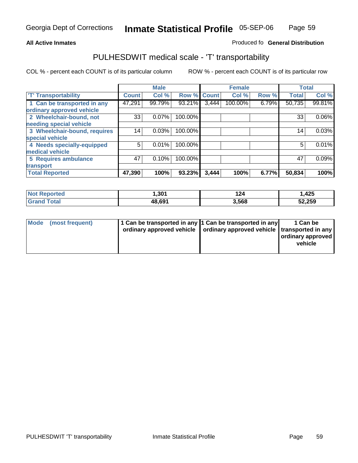#### **Inmate Statistical Profile** 05-SEP-06 Page Page 59

## **All Active Inmates Allowski** Produced fo **General Distribution**

## PULHESDWIT medical scale - 'T' transportability

|                              |              | <b>Male</b> |         |              | <b>Female</b> |       | <b>Total</b> |        |
|------------------------------|--------------|-------------|---------|--------------|---------------|-------|--------------|--------|
| <b>T' Transportability</b>   | <b>Count</b> | Col %       | Row %   | <b>Count</b> | Col %         | Row % | <b>Total</b> | Col %  |
| 1 Can be transported in any  | 47,291       | 99.79%      | 93.21%  | 3,444        | 100.00%       | 6.79% | 50,735       | 99.81% |
| ordinary approved vehicle    |              |             |         |              |               |       |              |        |
| 2 Wheelchair-bound, not      | 33           | 0.07%       | 100.00% |              |               |       | 33           | 0.06%  |
| needing special vehicle      |              |             |         |              |               |       |              |        |
| 3 Wheelchair-bound, requires | 14           | 0.03%       | 100.00% |              |               |       | 14           | 0.03%  |
| special vehicle              |              |             |         |              |               |       |              |        |
| 4 Needs specially-equipped   | 5            | 0.01%       | 100.00% |              |               |       | 5            | 0.01%  |
| medical vehicle              |              |             |         |              |               |       |              |        |
| <b>5 Requires ambulance</b>  | 47           | 0.10%       | 100.00% |              |               |       | 47           | 0.09%  |
| transport                    |              |             |         |              |               |       |              |        |
| <b>Total Reported</b>        | 47,390       | 100%        | 93.23%  | 3,444        | 100%          | 6.77% | 50,834       | 100%   |

| Not F<br>Reported  | 301.،  | 124   | 1,425  |
|--------------------|--------|-------|--------|
| <b>Grand Total</b> | 48,691 | 3,568 | 52,259 |

| Mode (most frequent) | 1 Can be transported in any 1 Can be transported in any | ordinary approved vehicle   ordinary approved vehicle   transported in any | 1 Can be<br>ordinary approved<br>vehicle |
|----------------------|---------------------------------------------------------|----------------------------------------------------------------------------|------------------------------------------|
|                      |                                                         |                                                                            |                                          |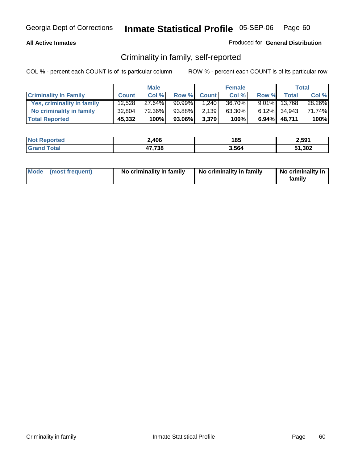## **All Active Inmates**

## Produced for **General Distribution**

# Criminality in family, self-reported

|                              |              | <b>Male</b> |           |              | <b>Female</b> |       |                 | <b>Total</b> |
|------------------------------|--------------|-------------|-----------|--------------|---------------|-------|-----------------|--------------|
| <b>Criminality In Family</b> | <b>Count</b> | Col %       | Row %     | <b>Count</b> | Col %         | Row % | Total           | Col %        |
| Yes, criminality in family   | 12,528       | 27.64%      | $90.99\%$ | 1,240        | 36.70%        |       | $9.01\%$ 13,768 | 28.26%       |
| No criminality in family     | 32,804       | 72.36%      | 93.88%    | 2,139        | $63.30\%$     |       | $6.12\%$ 34,943 | 71.74%       |
| <b>Total Reported</b>        | 45,332       | 100%        | 93.06%I   | 3,379        | 100%          |       | $6.94\%$ 48,711 | 100%         |

| <b>Not Reported</b>   | 2,406  | 185   | 2,591  |
|-----------------------|--------|-------|--------|
| ™otal<br><b>Grand</b> | 17,738 | 5.564 | 51,302 |

|  | Mode (most frequent) | No criminality in family | No criminality in family | No criminality in<br>familv |
|--|----------------------|--------------------------|--------------------------|-----------------------------|
|--|----------------------|--------------------------|--------------------------|-----------------------------|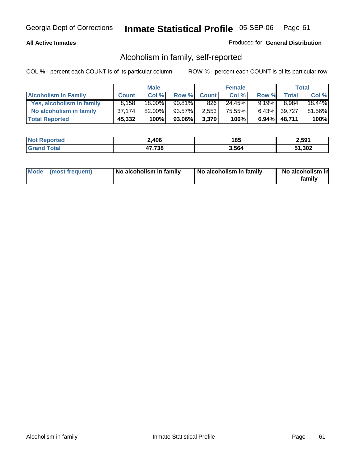## **All Active Inmates**

## Produced for **General Distribution**

# Alcoholism in family, self-reported

|                             |              | <b>Male</b> |        |              | <b>Female</b> |          |              | <b>Total</b> |
|-----------------------------|--------------|-------------|--------|--------------|---------------|----------|--------------|--------------|
| <b>Alcoholism In Family</b> | <b>Count</b> | Col %       | Row %  | <b>Count</b> | Col %         | Row %    | <b>Total</b> | Col %        |
| Yes, alcoholism in family   | 8.158        | 18.00%      | 90.81% | 826          | 24.45%        | $9.19\%$ | 8.984        | 18.44%       |
| No alcoholism in family     | 37.174       | $82.00\%$   | 93.57% | 2,553        | 75.55%        |          | 6.43% 39,727 | 81.56%       |
| <b>Total Reported</b>       | 45,332       | 100%        | 93.06% | 3,379        | 100%          |          | 6.94% 48,711 | 100%         |

| <b>Not Reported</b>     | 2,406  | 185   | 2,591 |
|-------------------------|--------|-------|-------|
| <b>Srand</b><br>l Total | 47,738 | 564،د | 1,302 |

|  | Mode (most frequent) | No alcoholism in family | No alcoholism in family | No alcoholism in<br>family |
|--|----------------------|-------------------------|-------------------------|----------------------------|
|--|----------------------|-------------------------|-------------------------|----------------------------|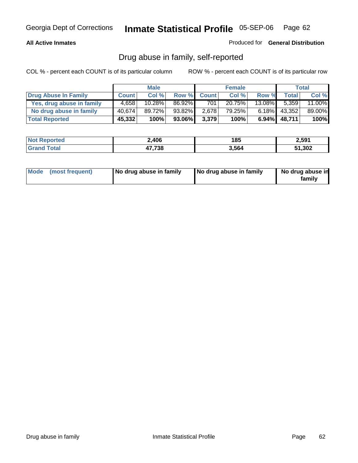## **All Active Inmates**

Produced for **General Distribution**

# Drug abuse in family, self-reported

|                           |              | <b>Male</b> |           |              | <b>Female</b> |           |              | <b>Total</b> |
|---------------------------|--------------|-------------|-----------|--------------|---------------|-----------|--------------|--------------|
| Drug Abuse In Family      | <b>Count</b> | Col %       | Row %     | <b>Count</b> | Col %         | Row %     | <b>Total</b> | Col %        |
| Yes, drug abuse in family | 4,658        | 10.28%      | 86.92%    | 701          | 20.75%        | $13.08\%$ | 5,359        | 11.00%       |
| No drug abuse in family   | 40.674       | 89.72%      | $93.82\%$ | 2,678        | 79.25%        | $6.18\%$  | 43,352       | 89.00%       |
| <b>Total Reported</b>     | 45,332       | 100%        | 93.06%    | 3,379        | 100%          | 6.94%     | 48,711       | 100%         |

| <b>Not Reported</b> | 2,406         | 185   | 2,591  |
|---------------------|---------------|-------|--------|
| <b>Grand Total</b>  | 47,738<br>a , | 3,564 | 51,302 |

|  | Mode (most frequent) | No drug abuse in family | No drug abuse in family | No drug abuse in<br>family |
|--|----------------------|-------------------------|-------------------------|----------------------------|
|--|----------------------|-------------------------|-------------------------|----------------------------|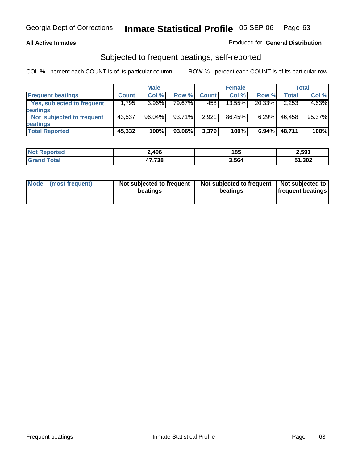## **All Active Inmates**

## Produced for **General Distribution**

## Subjected to frequent beatings, self-reported

|                            |              | <b>Male</b> |         |              | <b>Female</b> |        |        | <b>Total</b> |
|----------------------------|--------------|-------------|---------|--------------|---------------|--------|--------|--------------|
| <b>Frequent beatings</b>   | <b>Count</b> | Col%        | Row %   | <b>Count</b> | Col%          | Row %  | Total  | Col %        |
| Yes, subjected to frequent | .795         | 3.96%       | 79.67%I | 458          | 13.55%        | 20.33% | 2,253  | 4.63%        |
| <b>beatings</b>            |              |             |         |              |               |        |        |              |
| Not subjected to frequent  | 43,537       | $96.04\%$   | 93.71%  | 2,921        | 86.45%        | 6.29%  | 46,458 | 95.37%       |
| <b>beatings</b>            |              |             |         |              |               |        |        |              |
| <b>Total Reported</b>      | 45,332       | 100%        | 93.06%  | 3,379        | 100%          | 6.94%  | 48,711 | 100%         |

| N <sub>of</sub><br>rted<br>Renoi | ∡,406  | 185   | 2,591  |
|----------------------------------|--------|-------|--------|
| ັ <sub></sub> าtal               | 47,738 | 3,564 | 51,302 |

| Mode (most frequent) | Not subjected to frequent<br>beatings | Not subjected to frequent<br>beatings | Not subjected to<br>frequent beatings |  |
|----------------------|---------------------------------------|---------------------------------------|---------------------------------------|--|
|                      |                                       |                                       |                                       |  |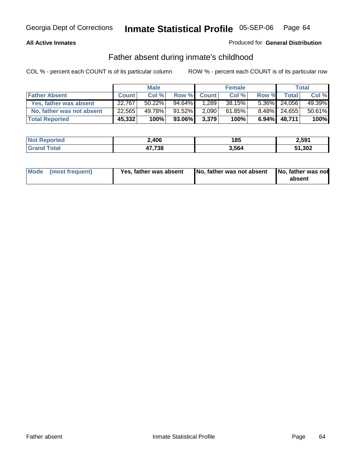## **All Active Inmates**

## Produced for **General Distribution**

# Father absent during inmate's childhood

|                           |              | <b>Male</b> |        |              | <b>Female</b> |          |              | Total  |
|---------------------------|--------------|-------------|--------|--------------|---------------|----------|--------------|--------|
| <b>Father Absent</b>      | <b>Count</b> | Col %       | Row %  | <b>Count</b> | Col %         | Row %    | Total        | Col %  |
| Yes, father was absent    | 22,767       | $50.22\%$   | 94.64% | 1,289        | 38.15%        |          | 5.36% 24,056 | 49.39% |
| No, father was not absent | 22,565       | 49.78%      | 91.52% | 2,090        | 61.85%        |          | 8.48% 24,655 | 50.61% |
| <b>Total Reported</b>     | 45,332       | 100%        | 93.06% | 3,379        | 100%          | $6.94\%$ | 48,711       | 100%   |

| <b>Not Reported</b> | 2,406  | 185   | 2,591  |
|---------------------|--------|-------|--------|
| <b>Srand Total</b>  | 47,738 | 3,564 | 51,302 |

| Mode (most frequent) | Yes, father was absent | No, father was not absent No, father was not | absent |
|----------------------|------------------------|----------------------------------------------|--------|
|                      |                        |                                              |        |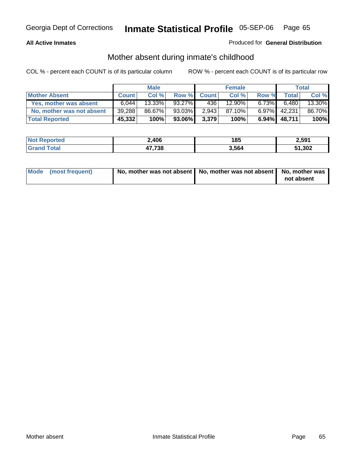## **All Active Inmates**

## Produced for **General Distribution**

# Mother absent during inmate's childhood

|                           | <b>Male</b>  |           |        | <b>Female</b> |        |          | Total        |        |
|---------------------------|--------------|-----------|--------|---------------|--------|----------|--------------|--------|
| <b>Mother Absent</b>      | <b>Count</b> | Col %     | Row %  | <b>Count</b>  | Col %  | Row %    | <b>Total</b> | Col %  |
| Yes, mother was absent    | 6.044        | $13.33\%$ | 93.27% | 4361          | 12.90% | $6.73\%$ | 6,480        | 13.30% |
| No, mother was not absent | 39.288       | 86.67%    | 93.03% | 2,943         | 87.10% | $6.97\%$ | 42,231       | 86.70% |
| <b>Total Reported</b>     | 45,332       | 100%      | 93.06% | 3,379         | 100%   | $6.94\%$ | 48,711       | 100%   |

| <b>Not Reported</b>  | ∠,406  | 185   | 2,591 |
|----------------------|--------|-------|-------|
| <b>Tota</b><br>Grand | 47,738 | 3,564 | 1,302 |

| Mode (most frequent) | No, mother was not absent   No, mother was not absent   No, mother was | not absent |
|----------------------|------------------------------------------------------------------------|------------|
|----------------------|------------------------------------------------------------------------|------------|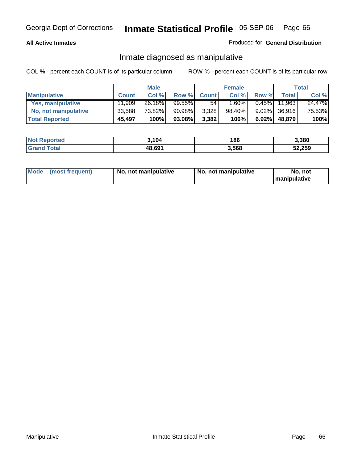## **All Active Inmates**

## Produced for **General Distribution**

## Inmate diagnosed as manipulative

|                       | <b>Male</b>  |        |           | <b>Female</b> |        |          | Total        |        |
|-----------------------|--------------|--------|-----------|---------------|--------|----------|--------------|--------|
| <b>Manipulative</b>   | <b>Count</b> | Col %  | Row %     | <b>Count</b>  | Col %  | Row %    | <b>Total</b> | Col %  |
| Yes, manipulative     | 11.909       | 26.18% | $99.55\%$ | 54            | 1.60%  | $0.45\%$ | 11.963       | 24.47% |
| No, not manipulative  | 33.588       | 73.82% | 90.98%    | 3,328         | 98.40% | $9.02\%$ | 36,916       | 75.53% |
| <b>Total Reported</b> | 45,497       | 100%   | 93.08%    | 3,382         | 100%   | $6.92\%$ | 48.879       | 100%   |

| <b>Not Reported</b>   | 3,194  | 186   | 3,380  |
|-----------------------|--------|-------|--------|
| Total<br><b>Grand</b> | 48,691 | 3,568 | 52,259 |

| <b>Mode</b><br>No, not manipulative<br>(most frequent) | No. not manipulative | No. not<br>I manipulative |
|--------------------------------------------------------|----------------------|---------------------------|
|--------------------------------------------------------|----------------------|---------------------------|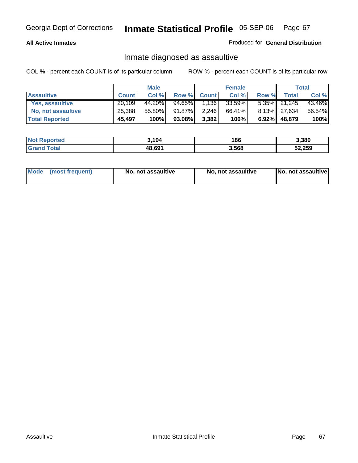## **All Active Inmates**

## Produced for **General Distribution**

# Inmate diagnosed as assaultive

|                        | <b>Male</b>  |        |        | <b>Female</b> |        |          | <b>Total</b> |        |
|------------------------|--------------|--------|--------|---------------|--------|----------|--------------|--------|
| <b>Assaultive</b>      | <b>Count</b> | Col %  | Row %  | <b>Count</b>  | Col %  | Row %    | Total        | Col %  |
| <b>Yes. assaultive</b> | 20.109       | 44.20% | 94.65% | 1,136         | 33.59% |          | 5.35% 21,245 | 43.46% |
| No, not assaultive     | 25,388       | 55.80% | 91.87% | 2,246         | 66.41% |          | 8.13% 27,634 | 56.54% |
| <b>Total Reported</b>  | 45,497       | 100%   | 93.08% | 3,382         | 100%   | $6.92\%$ | 48,879       | 100%   |

| <b>Not Reported</b> | 3.194  | 186   | 3,380  |
|---------------------|--------|-------|--------|
| <b>Srand Total</b>  | 48,691 | 3,568 | 52,259 |

| Mode | ↑ (most frequent) | No, not assaultive | No, not assaultive | [No, not assaultive] |
|------|-------------------|--------------------|--------------------|----------------------|
|------|-------------------|--------------------|--------------------|----------------------|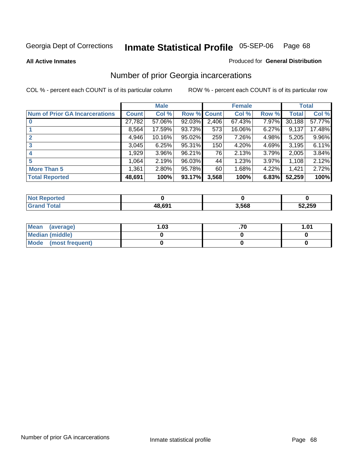#### **All Active Inmates**

### Produced for **General Distribution**

# Number of prior Georgia incarcerations

|                                       |              | <b>Male</b> |             |       | <b>Female</b> |       |        | <b>Total</b> |
|---------------------------------------|--------------|-------------|-------------|-------|---------------|-------|--------|--------------|
| <b>Num of Prior GA Incarcerations</b> | <b>Count</b> | Col %       | Row % Count |       | Col %         | Row % | Total  | Col %        |
| $\bf{0}$                              | 27,782       | 57.06%      | 92.03%      | 2,406 | 67.43%        | 7.97% | 30,188 | 57.77%       |
|                                       | 8,564        | 17.59%      | 93.73%      | 573   | 16.06%        | 6.27% | 9,137  | 17.48%       |
|                                       | 4,946        | 10.16%      | 95.02%      | 259   | 7.26%         | 4.98% | 5,205  | 9.96%        |
| 3                                     | 3,045        | 6.25%       | 95.31%      | 150   | 4.20%         | 4.69% | 3,195  | 6.11%        |
|                                       | 1,929        | 3.96%       | 96.21%      | 76    | 2.13%         | 3.79% | 2,005  | 3.84%        |
| 5                                     | 1,064        | 2.19%       | 96.03%      | 44    | 1.23%         | 3.97% | 1,108  | 2.12%        |
| <b>More Than 5</b>                    | 1,361        | 2.80%       | 95.78%      | 60    | 1.68%         | 4.22% | 1,421  | 2.72%        |
| <b>Total Reported</b>                 | 48,691       | 100%        | 93.17%      | 3,568 | 100%          | 6.83% | 52,259 | 100%         |

| orted<br>NO.        |        |       |        |
|---------------------|--------|-------|--------|
| <b>Total</b><br>Gra | 48.691 | 3,568 | 52,259 |

| Mean (average)       | l.O3 | 1.01 |
|----------------------|------|------|
| Median (middle)      |      |      |
| Mode (most frequent) |      |      |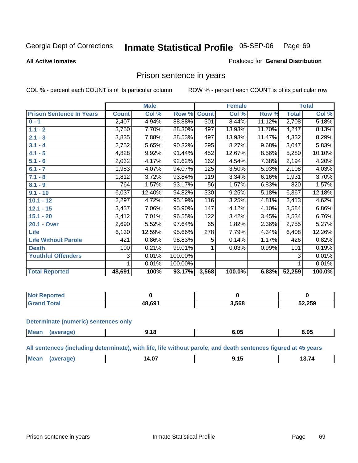#### **All Active Inmates**

### Produced for **General Distribution**

## Prison sentence in years

COL % - percent each COUNT is of its particular column ROW % - percent each COUNT is of its particular row

|                                 |              | <b>Male</b> |         |                 | <b>Female</b> |        |              | <b>Total</b> |
|---------------------------------|--------------|-------------|---------|-----------------|---------------|--------|--------------|--------------|
| <b>Prison Sentence In Years</b> | <b>Count</b> | Col %       | Row %   | <b>Count</b>    | Col %         | Row %  | <b>Total</b> | Col %        |
| $0 - 1$                         | 2,407        | 4.94%       | 88.88%  | 301             | 8.44%         | 11.12% | 2,708        | 5.18%        |
| $1.1 - 2$                       | 3,750        | 7.70%       | 88.30%  | 497             | 13.93%        | 11.70% | 4,247        | 8.13%        |
| $2.1 - 3$                       | 3,835        | 7.88%       | 88.53%  | 497             | 13.93%        | 11.47% | 4,332        | 8.29%        |
| $3.1 - 4$                       | 2,752        | 5.65%       | 90.32%  | 295             | 8.27%         | 9.68%  | 3,047        | 5.83%        |
| $4.1 - 5$                       | 4,828        | 9.92%       | 91.44%  | 452             | 12.67%        | 8.56%  | 5,280        | 10.10%       |
| $5.1 - 6$                       | 2,032        | 4.17%       | 92.62%  | 162             | 4.54%         | 7.38%  | 2,194        | 4.20%        |
| $6.1 - 7$                       | 1,983        | 4.07%       | 94.07%  | 125             | 3.50%         | 5.93%  | 2,108        | 4.03%        |
| $7.1 - 8$                       | 1,812        | 3.72%       | 93.84%  | 119             | 3.34%         | 6.16%  | 1,931        | 3.70%        |
| $8.1 - 9$                       | 764          | 1.57%       | 93.17%  | $\overline{56}$ | 1.57%         | 6.83%  | 820          | 1.57%        |
| $9.1 - 10$                      | 6,037        | 12.40%      | 94.82%  | 330             | 9.25%         | 5.18%  | 6,367        | 12.18%       |
| $10.1 - 12$                     | 2,297        | 4.72%       | 95.19%  | 116             | 3.25%         | 4.81%  | 2,413        | 4.62%        |
| $12.1 - 15$                     | 3,437        | 7.06%       | 95.90%  | 147             | 4.12%         | 4.10%  | 3,584        | 6.86%        |
| $15.1 - 20$                     | 3,412        | 7.01%       | 96.55%  | 122             | 3.42%         | 3.45%  | 3,534        | 6.76%        |
| 20.1 - Over                     | 2,690        | 5.52%       | 97.64%  | 65              | 1.82%         | 2.36%  | 2,755        | 5.27%        |
| <b>Life</b>                     | 6,130        | 12.59%      | 95.66%  | 278             | 7.79%         | 4.34%  | 6,408        | 12.26%       |
| <b>Life Without Parole</b>      | 421          | 0.86%       | 98.83%  | 5               | 0.14%         | 1.17%  | 426          | 0.82%        |
| <b>Death</b>                    | 100          | 0.21%       | 99.01%  |                 | 0.03%         | 0.99%  | 101          | 0.19%        |
| <b>Youthful Offenders</b>       | 3            | 0.01%       | 100.00% |                 |               |        | 3            | 0.01%        |
|                                 | 1            | 0.01%       | 100.00% |                 |               |        | 1            | 0.01%        |
| <b>Total Reported</b>           | 48,691       | 100%        | 93.17%  | 3,568           | 100.0%        | 6.83%  | 52,259       | 100.0%       |

| .⊀eported    |        |       |        |
|--------------|--------|-------|--------|
| <b>Total</b> | 10 GO1 | 3,568 | 52,259 |

#### **Determinate (numeric) sentences only**

| Mear<br>"ANA | . . | $\sim$ $\sim$<br>ን.ሀ: | $-$<br>8.95 |
|--------------|-----|-----------------------|-------------|
|              |     |                       |             |

## **All sentences (including determinate), with life, life without parole, and death sentences figured at 45 years**

| <b>Mes</b><br>$\sim$ $\sim$ $\sim$<br>$-$<br>$\mathbf{a}$<br>80 O<br>4.V.<br>--- <i>--</i> ---<br>______<br>_____<br>___ |
|--------------------------------------------------------------------------------------------------------------------------|
|--------------------------------------------------------------------------------------------------------------------------|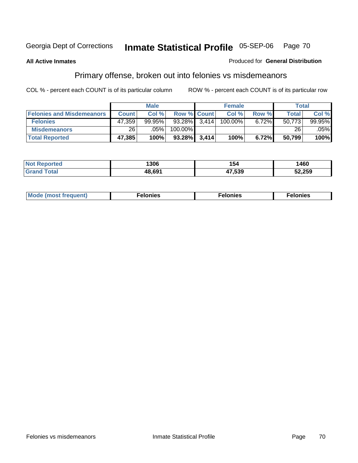## **All Active Inmates**

## Produced for **General Distribution**

# Primary offense, broken out into felonies vs misdemeanors

|                                  | <b>Male</b>  |           |                    | <b>Female</b> |         |       | Total        |        |
|----------------------------------|--------------|-----------|--------------------|---------------|---------|-------|--------------|--------|
| <b>Felonies and Misdemeanors</b> | <b>Count</b> | Col%      | <b>Row % Count</b> |               | Col %   | Row % | <b>Total</b> | Col %  |
| <b>Felonies</b>                  | 47,359       | $99.95\%$ | 93.28%             | 3.414         | 100.00% | 6.72% | 50.773       | 99.95% |
| <b>Misdemeanors</b>              | ا 26         | $.05\%$   | 100.00%            |               |         |       | 26           | .05%   |
| <b>Total Reported</b>            | 47,385       | 100%      | 93.28%             | 3,414         | 100%    | 6.72% | 50,799       | 100%   |

| ted.<br>NO:<br>⋯ | 1306   | I 54   | 1460   |
|------------------|--------|--------|--------|
|                  | IR 691 | 17 520 | 52,259 |

| Mode (most frequent) | elonies | elonies | onies<br>-е к |
|----------------------|---------|---------|---------------|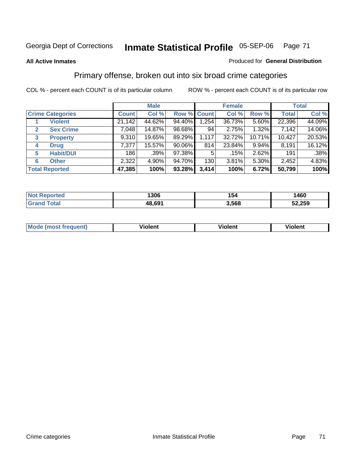## **All Active Inmates**

## Produced for **General Distribution**

# Primary offense, broken out into six broad crime categories

|                                  | <b>Male</b>                                            |        |              | <b>Female</b> |        |        | <b>Total</b> |        |
|----------------------------------|--------------------------------------------------------|--------|--------------|---------------|--------|--------|--------------|--------|
| <b>Crime Categories</b>          | Col %<br>Col %<br>Row % Count<br>Row %<br><b>Count</b> |        | <b>Total</b> | Col %         |        |        |              |        |
| <b>Violent</b>                   | 21,142                                                 | 44.62% | 94.40%       | 1,254         | 36.73% | 5.60%  | 22,396       | 44.09% |
| <b>Sex Crime</b><br>$\mathbf{2}$ | 7,048                                                  | 14.87% | 98.68%       | 94            | 2.75%  | 1.32%  | 7,142        | 14.06% |
| 3<br><b>Property</b>             | 9,310                                                  | 19.65% | 89.29%       | 1,117         | 32.72% | 10.71% | 10,427       | 20.53% |
| <b>Drug</b><br>4                 | 7,377                                                  | 15.57% | 90.06%       | 814           | 23.84% | 9.94%  | 8,191        | 16.12% |
| <b>Habit/DUI</b><br>5            | 186                                                    | .39%   | 97.38%       | 5             | .15%   | 2.62%  | 191          | .38%   |
| <b>Other</b><br>6                | 2,322                                                  | 4.90%  | 94.70%       | 130           | 3.81%  | 5.30%  | 2,452        | 4.83%  |
| <b>Total Reported</b>            | 47,385                                                 | 100%   | 93.28%       | 3,414         | 100%   | 6.72%  | 50,799       | 100%   |

| orted<br>N | 1306   | 154   | 460    |
|------------|--------|-------|--------|
| otal       | 48,691 | 3.568 | 52,259 |

| M<br>$\sim$ $\sim$ $\sim$ $\sim$ | - --<br>.<br>-------- | .<br>-------- | -------- |
|----------------------------------|-----------------------|---------------|----------|
|                                  |                       |               |          |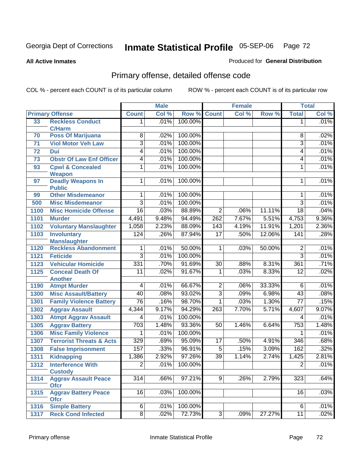**All Active Inmates**

### Produced for **General Distribution**

# Primary offense, detailed offense code

|      |                                            |                  | <b>Male</b> |         |                  | <b>Female</b> |        |                 | <b>Total</b> |
|------|--------------------------------------------|------------------|-------------|---------|------------------|---------------|--------|-----------------|--------------|
|      | <b>Primary Offense</b>                     | <b>Count</b>     | Col %       | Row %   | <b>Count</b>     | Col %         | Row %  | <b>Total</b>    | Col %        |
| 33   | <b>Reckless Conduct</b>                    | 1                | .01%        | 100.00% |                  |               |        | 1               | .01%         |
|      | <b>C/Harm</b>                              |                  |             |         |                  |               |        |                 |              |
| 70   | <b>Poss Of Marijuana</b>                   | 8                | .02%        | 100.00% |                  |               |        | 8               | .02%         |
| 71   | <b>Viol Motor Veh Law</b>                  | 3                | .01%        | 100.00% |                  |               |        | 3               | .01%         |
| 72   | <b>Dui</b>                                 | 4                | .01%        | 100.00% |                  |               |        | 4               | .01%         |
| 73   | <b>Obstr Of Law Enf Officer</b>            | 4                | .01%        | 100.00% |                  |               |        | 4               | .01%         |
| 93   | <b>Cpwl &amp; Concealed</b>                | 1                | .01%        | 100.00% |                  |               |        | 1               | .01%         |
|      | <b>Weapon</b>                              |                  |             |         |                  |               |        |                 |              |
| 97   | <b>Deadly Weapons In</b>                   | 1                | .01%        | 100.00% |                  |               |        | 1               | .01%         |
|      | <b>Public</b><br><b>Other Misdemeanor</b>  | 1                | .01%        | 100.00% |                  |               |        | 1               | .01%         |
| 99   |                                            |                  |             |         |                  |               |        | $\overline{3}$  |              |
| 500  | <b>Misc Misdemeanor</b>                    | $\overline{3}$   | .01%        | 100.00% |                  |               |        |                 | .01%         |
| 1100 | <b>Misc Homicide Offense</b>               | 16               | .03%        | 88.89%  | $\overline{2}$   | .06%          | 11.11% | $\overline{18}$ | .04%         |
| 1101 | <b>Murder</b>                              | 4,491            | 9.48%       | 94.49%  | $\overline{262}$ | 7.67%         | 5.51%  | 4,753           | 9.36%        |
| 1102 | <b>Voluntary Manslaughter</b>              | 1,058            | 2.23%       | 88.09%  | 143              | 4.19%         | 11.91% | 1,201           | 2.36%        |
| 1103 | <b>Involuntary</b>                         | 124              | .26%        | 87.94%  | $\overline{17}$  | .50%          | 12.06% | 141             | .28%         |
|      | <b>Manslaughter</b>                        | 1                | .01%        | 50.00%  | $\mathbf 1$      |               | 50.00% |                 | .01%         |
| 1120 | <b>Reckless Abandonment</b>                |                  |             |         |                  | .03%          |        | 2               |              |
| 1121 | <b>Feticide</b>                            | 3                | .01%        | 100.00% |                  |               |        | $\overline{3}$  | .01%         |
| 1123 | <b>Vehicular Homicide</b>                  | 331              | .70%        | 91.69%  | $\overline{30}$  | .88%          | 8.31%  | 361             | .71%         |
| 1125 | <b>Conceal Death Of</b>                    | 11               | .02%        | 91.67%  | 1                | .03%          | 8.33%  | $\overline{12}$ | .02%         |
| 1190 | <b>Another</b><br><b>Atmpt Murder</b>      | 4                | .01%        | 66.67%  | $\overline{2}$   | .06%          | 33.33% | 6               | .01%         |
| 1300 | <b>Misc Assault/Battery</b>                | 40               | .08%        | 93.02%  | $\overline{3}$   | .09%          | 6.98%  | $\overline{43}$ | .08%         |
| 1301 | <b>Family Violence Battery</b>             | $\overline{76}$  | .16%        | 98.70%  | $\mathbf{1}$     | .03%          | 1.30%  | $\overline{77}$ | .15%         |
|      |                                            |                  | 9.17%       | 94.29%  | 263              | 7.70%         | 5.71%  |                 | 9.07%        |
| 1302 | <b>Aggrav Assault</b>                      | 4,344            |             |         |                  |               |        | 4,607           |              |
| 1303 | <b>Atmpt Aggrav Assault</b>                | 4                | .01%        | 100.00% |                  |               |        | 4               | .01%         |
| 1305 | <b>Aggrav Battery</b>                      | $\overline{703}$ | 1.48%       | 93.36%  | 50               | 1.46%         | 6.64%  | 753             | 1.48%        |
| 1306 | <b>Misc Family Violence</b>                | 1                | .01%        | 100.00% |                  |               |        | 1               | .01%         |
| 1307 | <b>Terrorist Threats &amp; Acts</b>        | 329              | .69%        | 95.09%  | 17               | .50%          | 4.91%  | 346             | .68%         |
| 1308 | <b>False Imprisonment</b>                  | 157              | .33%        | 96.91%  | $\overline{5}$   | .15%          | 3.09%  | 162             | .32%         |
| 1311 | <b>Kidnapping</b>                          | 1,386            | 2.92%       | 97.26%  | $\overline{39}$  | 1.14%         | 2.74%  | 1,425           | 2.81%        |
| 1312 | <b>Interference With</b>                   | $\overline{2}$   | .01%        | 100.00% |                  |               |        | $\overline{2}$  | .01%         |
|      | <b>Custody</b>                             |                  |             |         |                  |               |        |                 |              |
| 1314 | <b>Aggrav Assault Peace</b>                | $\overline{314}$ | .66%        | 97.21%  | 9                | .26%          | 2.79%  | 323             | .64%         |
| 1315 | <b>Ofcr</b><br><b>Aggrav Battery Peace</b> | $\overline{16}$  | .03%        | 100.00% |                  |               |        | 16              | .03%         |
|      | <b>Ofcr</b>                                |                  |             |         |                  |               |        |                 |              |
| 1316 | <b>Simple Battery</b>                      | 6                | .01%        | 100.00% |                  |               |        | 6               | .01%         |
| 1317 | <b>Reck Cond Infected</b>                  | $\overline{8}$   | .02%        | 72.73%  | $\overline{3}$   | .09%          | 27.27% | $\overline{11}$ | .02%         |
|      |                                            |                  |             |         |                  |               |        |                 |              |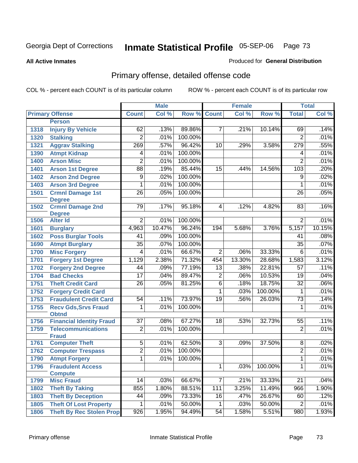**All Active Inmates**

#### Produced for **General Distribution**

# Primary offense, detailed offense code

|              |                                                             |                 | <b>Male</b> |         |                         | <b>Female</b> |         |                      | <b>Total</b> |
|--------------|-------------------------------------------------------------|-----------------|-------------|---------|-------------------------|---------------|---------|----------------------|--------------|
|              | <b>Primary Offense</b>                                      | <b>Count</b>    | Col %       | Row %   | <b>Count</b>            | Col %         | Row %   | <b>Total</b>         | Col %        |
|              | <b>Person</b>                                               |                 |             |         |                         |               |         |                      |              |
| 1318         | <b>Injury By Vehicle</b>                                    | 62              | .13%        | 89.86%  | $\overline{7}$          | .21%          | 10.14%  | 69                   | .14%         |
| 1320         | <b>Stalking</b>                                             | $\overline{2}$  | .01%        | 100.00% |                         |               |         | $\overline{2}$       | .01%         |
| 1321         | <b>Aggrav Stalking</b>                                      | 269             | .57%        | 96.42%  | 10                      | .29%          | 3.58%   | 279                  | .55%         |
| 1390         | <b>Atmpt Kidnap</b>                                         | 4               | .01%        | 100.00% |                         |               |         | 4                    | .01%         |
| 1400         | <b>Arson Misc</b>                                           | $\overline{2}$  | .01%        | 100.00% |                         |               |         | $\overline{2}$       | .01%         |
| 1401         | <b>Arson 1st Degree</b>                                     | $\overline{88}$ | .19%        | 85.44%  | 15                      | .44%          | 14.56%  | 103                  | .20%         |
| 1402         | <b>Arson 2nd Degree</b>                                     | $\overline{9}$  | .02%        | 100.00% |                         |               |         | $\overline{9}$       | .02%         |
| 1403         | <b>Arson 3rd Degree</b>                                     | 1               | .01%        | 100.00% |                         |               |         | $\mathbf{1}$         | .01%         |
| 1501         | <b>Crmnl Damage 1st</b>                                     | $\overline{26}$ | .05%        | 100.00% |                         |               |         | $\overline{26}$      | .05%         |
|              | <b>Degree</b>                                               |                 |             |         |                         |               |         |                      |              |
| 1502         | <b>Crmnl Damage 2nd</b>                                     | 79              | .17%        | 95.18%  | 4                       | .12%          | 4.82%   | 83                   | .16%         |
| 1506         | <b>Degree</b><br><b>Alter Id</b>                            | $\overline{2}$  | .01%        | 100.00% |                         |               |         | $\overline{2}$       | .01%         |
| 1601         |                                                             | 4,963           | 10.47%      | 96.24%  | 194                     | 5.68%         | 3.76%   | 5,157                | 10.15%       |
| 1602         | <b>Burglary</b><br><b>Poss Burglar Tools</b>                | $\overline{41}$ | .09%        | 100.00% |                         |               |         | 41                   | .08%         |
| 1690         | <b>Atmpt Burglary</b>                                       | $\overline{35}$ | .07%        | 100.00% |                         |               |         | $\overline{35}$      | .07%         |
| 1700         | <b>Misc Forgery</b>                                         | 4               | .01%        | 66.67%  | $\overline{2}$          | .06%          | 33.33%  | $\overline{6}$       | .01%         |
| 1701         | <b>Forgery 1st Degree</b>                                   | 1,129           | 2.38%       | 71.32%  | 454                     | 13.30%        | 28.68%  | 1,583                | 3.12%        |
| 1702         | <b>Forgery 2nd Degree</b>                                   | 44              | .09%        | 77.19%  | $\overline{13}$         | .38%          | 22.81%  | $\overline{57}$      | .11%         |
| 1704         | <b>Bad Checks</b>                                           | $\overline{17}$ | .04%        | 89.47%  | $\overline{2}$          | .06%          | 10.53%  | 19                   | .04%         |
| 1751         | <b>Theft Credit Card</b>                                    | $\overline{26}$ | .05%        | 81.25%  | $\overline{6}$          | .18%          | 18.75%  | $\overline{32}$      | .06%         |
|              |                                                             |                 |             |         | $\overline{\mathbf{1}}$ | .03%          | 100.00% |                      | .01%         |
| 1752<br>1753 | <b>Forgery Credit Card</b><br><b>Fraudulent Credit Card</b> | 54              | .11%        | 73.97%  | $\overline{19}$         | .56%          | 26.03%  | 1<br>$\overline{73}$ | .14%         |
| 1755         | <b>Recv Gds, Srvs Fraud</b>                                 | $\overline{1}$  | .01%        | 100.00% |                         |               |         | 1                    | .01%         |
|              | <b>Obtnd</b>                                                |                 |             |         |                         |               |         |                      |              |
| 1756         | <b>Financial Identity Fraud</b>                             | $\overline{37}$ | .08%        | 67.27%  | $\overline{18}$         | .53%          | 32.73%  | $\overline{55}$      | .11%         |
| 1759         | <b>Telecommunications</b>                                   | $\overline{2}$  | .01%        | 100.00% |                         |               |         | $\overline{2}$       | .01%         |
|              | <b>Fraud</b>                                                |                 |             |         |                         |               |         |                      |              |
| 1761         | <b>Computer Theft</b>                                       | $\overline{5}$  | .01%        | 62.50%  | $\overline{3}$          | .09%          | 37.50%  | $\overline{8}$       | .02%         |
| 1762         | <b>Computer Trespass</b>                                    | $\overline{2}$  | .01%        | 100.00% |                         |               |         | 2                    | .01%         |
| 1790         | <b>Atmpt Forgery</b>                                        | 1               | .01%        | 100.00% |                         |               |         | 1                    | .01%         |
| 1796         | <b>Fraudulent Access</b>                                    |                 |             |         | 1                       | .03%          | 100.00% | 1                    | .01%         |
|              | <b>Compute</b>                                              |                 |             |         |                         |               |         |                      |              |
| 1799         | <b>Misc Fraud</b>                                           | 14              | .03%        | 66.67%  | $\overline{7}$          | .21%          | 33.33%  | 21                   | .04%         |
| 1802         | <b>Theft By Taking</b>                                      | 855             | 1.80%       | 88.51%  | 111                     | 3.25%         | 11.49%  | 966                  | 1.90%        |
| 1803         | <b>Theft By Deception</b>                                   | 44              | .09%        | 73.33%  | 16                      | .47%          | 26.67%  | 60                   | .12%         |
| 1805         | <b>Theft Of Lost Property</b>                               | 1               | .01%        | 50.00%  | 1.                      | .03%          | 50.00%  | $\overline{2}$       | .01%         |
| 1806         | <b>Theft By Rec Stolen Prop</b>                             | 926             | 1.95%       | 94.49%  | 54                      | 1.58%         | 5.51%   | 980                  | 1.93%        |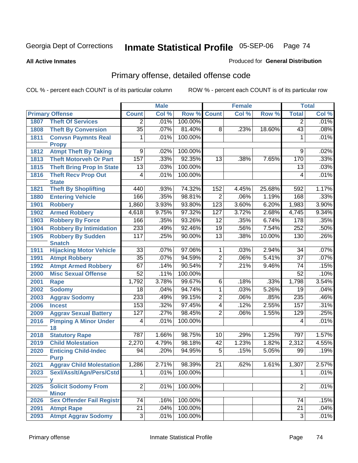#### **All Active Inmates**

#### Produced for **General Distribution**

# Primary offense, detailed offense code

|      |                                  | <b>Male</b>      |       |         | <b>Female</b>   | <b>Total</b> |        |                 |       |
|------|----------------------------------|------------------|-------|---------|-----------------|--------------|--------|-----------------|-------|
|      | <b>Primary Offense</b>           | <b>Count</b>     | Col % | Row %   | <b>Count</b>    | Col %        | Row %  | <b>Total</b>    | Col % |
| 1807 | <b>Theft Of Services</b>         | $\overline{2}$   | .01%  | 100.00% |                 |              |        | $\overline{2}$  | .01%  |
| 1808 | <b>Theft By Conversion</b>       | $\overline{35}$  | .07%  | 81.40%  | 8               | .23%         | 18.60% | 43              | .08%  |
| 1811 | <b>Convsn Paymnts Real</b>       | 1                | .01%  | 100.00% |                 |              |        | $\mathbf 1$     | .01%  |
|      | <b>Propy</b>                     |                  |       |         |                 |              |        |                 |       |
| 1812 | <b>Atmpt Theft By Taking</b>     | 9                | .02%  | 100.00% |                 |              |        | 9               | .02%  |
| 1813 | <b>Theft Motorveh Or Part</b>    | 157              | .33%  | 92.35%  | 13              | .38%         | 7.65%  | 170             | .33%  |
| 1815 | <b>Theft Bring Prop In State</b> | 13               | .03%  | 100.00% |                 |              |        | 13              | .03%  |
| 1816 | <b>Theft Recv Prop Out</b>       | 4                | .01%  | 100.00% |                 |              |        | 4               | .01%  |
|      | <b>State</b>                     |                  |       |         |                 |              |        |                 |       |
| 1821 | <b>Theft By Shoplifting</b>      | 440              | .93%  | 74.32%  | 152             | 4.45%        | 25.68% | 592             | 1.17% |
| 1880 | <b>Entering Vehicle</b>          | 166              | .35%  | 98.81%  | $\overline{2}$  | .06%         | 1.19%  | 168             | .33%  |
| 1901 | <b>Robbery</b>                   | 1,860            | 3.93% | 93.80%  | 123             | 3.60%        | 6.20%  | 1,983           | 3.90% |
| 1902 | <b>Armed Robbery</b>             | 4,618            | 9.75% | 97.32%  | 127             | 3.72%        | 2.68%  | 4,745           | 9.34% |
| 1903 | <b>Robbery By Force</b>          | 166              | .35%  | 93.26%  | 12              | .35%         | 6.74%  | 178             | .35%  |
| 1904 | <b>Robbery By Intimidation</b>   | 233              | .49%  | 92.46%  | $\overline{19}$ | .56%         | 7.54%  | 252             | .50%  |
| 1905 | <b>Robbery By Sudden</b>         | 117              | .25%  | 90.00%  | $\overline{13}$ | .38%         | 10.00% | 130             | .26%  |
|      | <b>Snatch</b>                    |                  |       |         |                 |              |        |                 |       |
| 1911 | <b>Hijacking Motor Vehicle</b>   | $\overline{33}$  | .07%  | 97.06%  | $\mathbf{1}$    | .03%         | 2.94%  | 34              | .07%  |
| 1991 | <b>Atmpt Robbery</b>             | $\overline{35}$  | .07%  | 94.59%  | $\overline{2}$  | .06%         | 5.41%  | $\overline{37}$ | .07%  |
| 1992 | <b>Atmpt Armed Robbery</b>       | 67               | .14%  | 90.54%  | $\overline{7}$  | .21%         | 9.46%  | $\overline{74}$ | .15%  |
| 2000 | <b>Misc Sexual Offense</b>       | $\overline{52}$  | .11%  | 100.00% |                 |              |        | 52              | .10%  |
| 2001 | Rape                             | 1,792            | 3.78% | 99.67%  | 6               | .18%         | .33%   | 1,798           | 3.54% |
| 2002 | <b>Sodomy</b>                    | $\overline{18}$  | .04%  | 94.74%  | $\overline{1}$  | .03%         | 5.26%  | $\overline{19}$ | .04%  |
| 2003 | <b>Aggrav Sodomy</b>             | 233              | .49%  | 99.15%  | $\overline{2}$  | .06%         | .85%   | 235             | .46%  |
| 2006 | <b>Incest</b>                    | 153              | .32%  | 97.45%  | $\overline{4}$  | .12%         | 2.55%  | 157             | .31%  |
| 2009 | <b>Aggrav Sexual Battery</b>     | $\overline{127}$ | .27%  | 98.45%  | $\overline{2}$  | .06%         | 1.55%  | 129             | .25%  |
| 2016 | <b>Pimping A Minor Under</b>     | $\overline{4}$   | .01%  | 100.00% |                 |              |        | 4               | .01%  |
|      | 18                               |                  |       |         |                 |              |        |                 |       |
| 2018 | <b>Statutory Rape</b>            | 787              | 1.66% | 98.75%  | 10              | .29%         | 1.25%  | 797             | 1.57% |
| 2019 | <b>Child Molestation</b>         | 2,270            | 4.79% | 98.18%  | 42              | 1.23%        | 1.82%  | 2,312           | 4.55% |
| 2020 | <b>Enticing Child-Indec</b>      | 94               | .20%  | 94.95%  | $\overline{5}$  | .15%         | 5.05%  | 99              | .19%  |
|      | <b>Purp</b>                      |                  |       |         |                 |              |        |                 |       |
| 2021 | <b>Aggrav Child Molestation</b>  | 1,286            | 2.71% | 98.39%  | 21              | .62%         | 1.61%  | 1,307           | 2.57% |
| 2023 | Sexl/AssIt/Agn/Pers/Cstd         | 1                | .01%  | 100.00% |                 |              |        | 1               | .01%  |
| 2025 | У<br><b>Solicit Sodomy From</b>  | $\overline{2}$   | .01%  | 100.00% |                 |              |        | $\overline{2}$  | .01%  |
|      | <b>Minor</b>                     |                  |       |         |                 |              |        |                 |       |
| 2026 | <b>Sex Offender Fail Registr</b> | 74               | .16%  | 100.00% |                 |              |        | 74              | .15%  |
| 2091 | <b>Atmpt Rape</b>                | $\overline{21}$  | .04%  | 100.00% |                 |              |        | $\overline{21}$ | .04%  |
| 2093 | <b>Atmpt Aggrav Sodomy</b>       | $\overline{3}$   | .01%  | 100.00% |                 |              |        | 3               | .01%  |
|      |                                  |                  |       |         |                 |              |        |                 |       |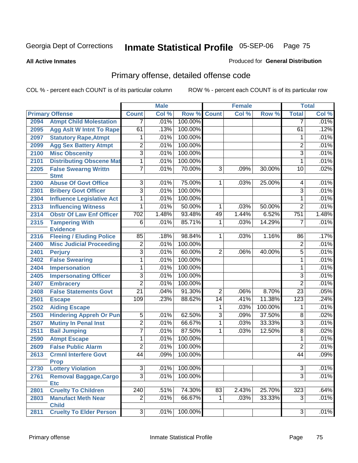**All Active Inmates**

#### Produced for **General Distribution**

# Primary offense, detailed offense code

|      |                                            | <b>Male</b>     |       |         | <b>Female</b>  | <b>Total</b> |         |                 |       |
|------|--------------------------------------------|-----------------|-------|---------|----------------|--------------|---------|-----------------|-------|
|      | <b>Primary Offense</b>                     | <b>Count</b>    | Col % | Row %   | <b>Count</b>   | Col %        | Row %   | <b>Total</b>    | Col % |
| 2094 | <b>Atmpt Child Molestation</b>             | $\overline{7}$  | .01%  | 100.00% |                |              |         | 7               | .01%  |
| 2095 | <b>Agg Aslt W Intnt To Rape</b>            | 61              | .13%  | 100.00% |                |              |         | 61              | .12%  |
| 2097 | <b>Statutory Rape, Atmpt</b>               | 1               | .01%  | 100.00% |                |              |         | 1               | .01%  |
| 2099 | <b>Agg Sex Battery Atmpt</b>               | $\overline{2}$  | .01%  | 100.00% |                |              |         | $\overline{2}$  | .01%  |
| 2100 | <b>Misc Obscenity</b>                      | $\overline{3}$  | .01%  | 100.00% |                |              |         | $\overline{3}$  | .01%  |
| 2101 | <b>Distributing Obscene Mat</b>            | $\overline{1}$  | .01%  | 100.00% |                |              |         | $\mathbf{1}$    | .01%  |
| 2205 | <b>False Swearng Writtn</b>                | $\overline{7}$  | .01%  | 70.00%  | $\overline{3}$ | .09%         | 30.00%  | $\overline{10}$ | .02%  |
|      | <b>Stmt</b>                                |                 |       |         |                |              |         |                 |       |
| 2300 | <b>Abuse Of Govt Office</b>                | $\overline{3}$  | .01%  | 75.00%  | $\mathbf{1}$   | .03%         | 25.00%  | 4               | .01%  |
| 2301 | <b>Bribery Govt Officer</b>                | $\overline{3}$  | .01%  | 100.00% |                |              |         | $\overline{3}$  | .01%  |
| 2304 | <b>Influence Legislative Act</b>           | 1               | .01%  | 100.00% |                |              |         | $\mathbf 1$     | .01%  |
| 2313 | <b>Influencing Witness</b>                 | $\overline{1}$  | .01%  | 50.00%  | 1              | .03%         | 50.00%  | $\overline{2}$  | .01%  |
| 2314 | <b>Obstr Of Law Enf Officer</b>            | 702             | 1.48% | 93.48%  | 49             | 1.44%        | 6.52%   | 751             | 1.48% |
| 2315 | <b>Tampering With</b>                      | 6               | .01%  | 85.71%  | 1              | .03%         | 14.29%  | 7               | .01%  |
|      | <b>Evidence</b>                            |                 |       |         |                |              |         |                 |       |
| 2316 | <b>Fleeing / Eluding Police</b>            | 85              | .18%  | 98.84%  | 1.             | .03%         | 1.16%   | 86              | .17%  |
| 2400 | <b>Misc Judicial Proceeding</b>            | $\overline{2}$  | .01%  | 100.00% |                |              |         | $\overline{2}$  | .01%  |
| 2401 | <b>Perjury</b>                             | $\overline{3}$  | .01%  | 60.00%  | $\overline{2}$ | .06%         | 40.00%  | $\overline{5}$  | .01%  |
| 2402 | <b>False Swearing</b>                      | $\overline{1}$  | .01%  | 100.00% |                |              |         | 1               | .01%  |
| 2404 | <b>Impersonation</b>                       | $\overline{1}$  | .01%  | 100.00% |                |              |         | 1               | .01%  |
| 2405 | <b>Impersonating Officer</b>               | $\overline{3}$  | .01%  | 100.00% |                |              |         | $\overline{3}$  | .01%  |
| 2407 | <b>Embracery</b>                           | $\overline{2}$  | .01%  | 100.00% |                |              |         | $\overline{2}$  | .01%  |
| 2408 | <b>False Statements Govt</b>               | $\overline{21}$ | .04%  | 91.30%  | $\overline{2}$ | .06%         | 8.70%   | $\overline{23}$ | .05%  |
| 2501 | <b>Escape</b>                              | 109             | .23%  | 88.62%  | 14             | .41%         | 11.38%  | 123             | .24%  |
| 2502 | <b>Aiding Escape</b>                       |                 |       |         | $\overline{1}$ | .03%         | 100.00% | 1               | .01%  |
| 2503 | <b>Hindering Appreh Or Pun</b>             | $\overline{5}$  | .01%  | 62.50%  | $\overline{3}$ | .09%         | 37.50%  | $\overline{8}$  | .02%  |
| 2507 | <b>Mutiny In Penal Inst</b>                | $\overline{2}$  | .01%  | 66.67%  | $\overline{1}$ | .03%         | 33.33%  | $\overline{3}$  | .01%  |
| 2511 | <b>Bail Jumping</b>                        | $\overline{7}$  | .01%  | 87.50%  | 1              | .03%         | 12.50%  | $\overline{8}$  | .02%  |
| 2590 | <b>Atmpt Escape</b>                        | $\overline{1}$  | .01%  | 100.00% |                |              |         | $\overline{1}$  | .01%  |
| 2609 | <b>False Public Alarm</b>                  | $\overline{2}$  | .01%  | 100.00% |                |              |         | $\overline{2}$  | .01%  |
| 2613 | <b>Crmnl Interfere Govt</b><br><b>Prop</b> | 44              | .09%  | 100.00% |                |              |         | 44              | .09%  |
| 2730 | <b>Lottery Violation</b>                   | $\overline{3}$  | .01%  | 100.00% |                |              |         | $\overline{3}$  | .01%  |
| 2761 | <b>Removal Baggage, Cargo</b>              | $\overline{3}$  | .01%  | 100.00% |                |              |         | $\overline{3}$  | .01%  |
|      | <b>Etc</b>                                 |                 |       |         |                |              |         |                 |       |
| 2801 | <b>Cruelty To Children</b>                 | 240             | .51%  | 74.30%  | 83             | 2.43%        | 25.70%  | 323             | .64%  |
| 2803 | <b>Manufact Meth Near</b>                  | $\overline{2}$  | .01%  | 66.67%  | 1              | .03%         | 33.33%  | $\overline{3}$  | .01%  |
|      | <b>Child</b>                               |                 |       |         |                |              |         |                 |       |
| 2811 | <b>Cruelty To Elder Person</b>             | $\overline{3}$  | .01%  | 100.00% |                |              |         | $\overline{3}$  | .01%  |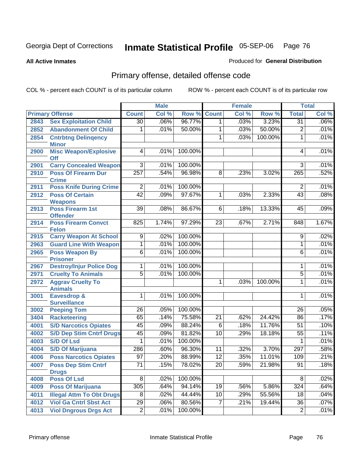**All Active Inmates**

#### Produced for **General Distribution**

# Primary offense, detailed offense code

|      |                                             |                 | <b>Male</b> |         |                 | <b>Female</b> |         |                 | <b>Total</b> |
|------|---------------------------------------------|-----------------|-------------|---------|-----------------|---------------|---------|-----------------|--------------|
|      | <b>Primary Offense</b>                      | <b>Count</b>    | Col %       | Row %   | <b>Count</b>    | Col %         | Row %   | <b>Total</b>    | Col %        |
| 2843 | <b>Sex Exploitation Child</b>               | $\overline{30}$ | .06%        | 96.77%  | 1 <sup>1</sup>  | .03%          | 3.23%   | $\overline{31}$ | .06%         |
| 2852 | <b>Abandonment Of Child</b>                 | 1               | .01%        | 50.00%  | 1               | .03%          | 50.00%  | $\overline{2}$  | .01%         |
| 2854 | <b>Cntrbtng Delingency</b>                  |                 |             |         | 1               | .03%          | 100.00% | $\mathbf{1}$    | .01%         |
|      | <b>Minor</b>                                |                 |             |         |                 |               |         |                 |              |
| 2900 | <b>Misc Weapon/Explosive</b>                | 4               | .01%        | 100.00% |                 |               |         | 4               | .01%         |
| 2901 | <b>Off</b><br><b>Carry Concealed Weapon</b> | $\overline{3}$  | .01%        | 100.00% |                 |               |         | $\overline{3}$  | .01%         |
| 2910 | <b>Poss Of Firearm Dur</b>                  | 257             | .54%        | 96.98%  | $\overline{8}$  | .23%          | 3.02%   | 265             | .52%         |
|      | <b>Crime</b>                                |                 |             |         |                 |               |         |                 |              |
| 2911 | <b>Poss Knife During Crime</b>              | $\overline{2}$  | .01%        | 100.00% |                 |               |         | $\overline{2}$  | .01%         |
| 2912 | <b>Poss Of Certain</b>                      | $\overline{42}$ | .09%        | 97.67%  | $\mathbf{1}$    | .03%          | 2.33%   | $\overline{43}$ | .08%         |
|      | <b>Weapons</b>                              |                 |             |         |                 |               |         |                 |              |
| 2913 | Poss Firearm 1st                            | 39              | .08%        | 86.67%  | 6               | .18%          | 13.33%  | 45              | .09%         |
|      | <b>Offender</b>                             | 825             |             | 97.29%  | $\overline{23}$ |               | 2.71%   | 848             | 1.67%        |
| 2914 | <b>Poss Firearm Convct</b><br><b>Felon</b>  |                 | 1.74%       |         |                 | .67%          |         |                 |              |
| 2915 | <b>Carry Weapon At School</b>               | $\overline{9}$  | .02%        | 100.00% |                 |               |         | $\overline{9}$  | .02%         |
| 2963 | <b>Guard Line With Weapon</b>               | $\overline{1}$  | .01%        | 100.00% |                 |               |         | 1               | .01%         |
| 2965 | <b>Poss Weapon By</b>                       | $\overline{6}$  | .01%        | 100.00% |                 |               |         | 6               | .01%         |
|      | <b>Prisoner</b>                             |                 |             |         |                 |               |         |                 |              |
| 2967 | <b>Destroy/Injur Police Dog</b>             | 1               | .01%        | 100.00% |                 |               |         | 1               | .01%         |
| 2971 | <b>Cruelty To Animals</b>                   | $\overline{5}$  | .01%        | 100.00% |                 |               |         | $\overline{5}$  | .01%         |
| 2972 | <b>Aggrav Cruelty To</b>                    |                 |             |         | 1               | .03%          | 100.00% | 1               | .01%         |
|      | <b>Animals</b>                              |                 |             |         |                 |               |         |                 |              |
| 3001 | <b>Eavesdrop &amp;</b>                      | 1               | .01%        | 100.00% |                 |               |         | 1               | .01%         |
| 3002 | <b>Surveillance</b><br><b>Peeping Tom</b>   | 26              | .05%        | 100.00% |                 |               |         | 26              | .05%         |
| 3404 | <b>Racketeering</b>                         | 65              | .14%        | 75.58%  | $\overline{21}$ | .62%          | 24.42%  | 86              | .17%         |
| 4001 | <b>S/D Narcotics Opiates</b>                | 45              | .09%        | 88.24%  | $\overline{6}$  | .18%          | 11.76%  | 51              | .10%         |
| 4002 | <b>S/D Dep Stim Cntrf Drugs</b>             | 45              | .09%        | 81.82%  | 10              | .29%          | 18.18%  | 55              | .11%         |
| 4003 | <b>S/D Of Lsd</b>                           | 1               | .01%        | 100.00% |                 |               |         | 1               | .01%         |
| 4004 | <b>S/D Of Marijuana</b>                     | 286             | .60%        | 96.30%  | 11              | .32%          | 3.70%   | 297             | .58%         |
| 4006 | <b>Poss Narcotics Opiates</b>               | $\overline{97}$ | .20%        | 88.99%  | $\overline{12}$ | .35%          | 11.01%  | 109             | .21%         |
| 4007 | <b>Poss Dep Stim Cntrf</b>                  | $\overline{71}$ | .15%        | 78.02%  | $\overline{20}$ | .59%          | 21.98%  | $\overline{91}$ | .18%         |
|      | <b>Drugs</b>                                |                 |             |         |                 |               |         |                 |              |
| 4008 | <b>Poss Of Lsd</b>                          | $\overline{8}$  | .02%        | 100.00% |                 |               |         | 8               | .02%         |
| 4009 | <b>Poss Of Marijuana</b>                    | 305             | .64%        | 94.14%  | 19              | .56%          | 5.86%   | 324             | .64%         |
| 4011 | <b>Illegal Attm To Obt Drugs</b>            | $\overline{8}$  | .02%        | 44.44%  | 10              | .29%          | 55.56%  | 18              | .04%         |
| 4012 | <b>Viol Ga Cntrl Sbst Act</b>               | $\overline{29}$ | .06%        | 80.56%  | $\overline{7}$  | .21%          | 19.44%  | $\overline{36}$ | .07%         |
| 4013 | <b>Viol Dngrous Drgs Act</b>                | $\overline{2}$  | .01%        | 100.00% |                 |               |         | $\overline{2}$  | .01%         |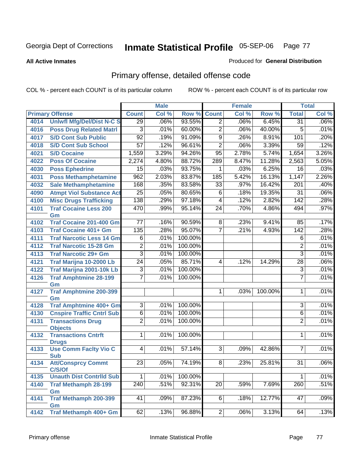**All Active Inmates**

#### Produced for **General Distribution**

# Primary offense, detailed offense code

|      |                                            | <b>Male</b>     |       |         | <b>Female</b>   |       | <b>Total</b> |                  |       |
|------|--------------------------------------------|-----------------|-------|---------|-----------------|-------|--------------|------------------|-------|
|      | <b>Primary Offense</b>                     | <b>Count</b>    | Col % | Row %   | <b>Count</b>    | Col % | Row %        | <b>Total</b>     | Col % |
| 4014 | <b>Uniwfl Mfg/Del/Dist N-C S</b>           | $\overline{29}$ | .06%  | 93.55%  | $\overline{2}$  | .06%  | 6.45%        | $\overline{31}$  | .06%  |
| 4016 | <b>Poss Drug Related Matri</b>             | 3               | .01%  | 60.00%  | $\overline{2}$  | .06%  | 40.00%       | 5                | .01%  |
| 4017 | <b>S/D Cont Sub Public</b>                 | $\overline{92}$ | .19%  | 91.09%  | $\overline{9}$  | .26%  | 8.91%        | 101              | .20%  |
| 4018 | <b>S/D Cont Sub School</b>                 | $\overline{57}$ | .12%  | 96.61%  | $\overline{2}$  | .06%  | 3.39%        | $\overline{59}$  | .12%  |
| 4021 | <b>S/D Cocaine</b>                         | 1,559           | 3.29% | 94.26%  | $\overline{95}$ | 2.78% | 5.74%        | 1,654            | 3.26% |
| 4022 | <b>Poss Of Cocaine</b>                     | 2,274           | 4.80% | 88.72%  | 289             | 8.47% | 11.28%       | 2,563            | 5.05% |
| 4030 | <b>Poss Ephedrine</b>                      | 15              | .03%  | 93.75%  | 1               | .03%  | 6.25%        | 16               | .03%  |
| 4031 | <b>Poss Methamphetamine</b>                | 962             | 2.03% | 83.87%  | 185             | 5.42% | 16.13%       | 1,147            | 2.26% |
| 4032 | <b>Sale Methamphetamine</b>                | 168             | .35%  | 83.58%  | $\overline{33}$ | .97%  | 16.42%       | 201              | .40%  |
| 4090 | <b>Atmpt Viol Substance Act</b>            | $\overline{25}$ | .05%  | 80.65%  | $\overline{6}$  | .18%  | 19.35%       | $\overline{31}$  | .06%  |
| 4100 | <b>Misc Drugs Trafficking</b>              | 138             | .29%  | 97.18%  | 4               | .12%  | 2.82%        | $\overline{142}$ | .28%  |
| 4101 | <b>Traf Cocaine Less 200</b><br>Gm         | 470             | .99%  | 95.14%  | $\overline{24}$ | .70%  | 4.86%        | 494              | .97%  |
| 4102 | <b>Traf Cocaine 201-400 Gm</b>             | $\overline{77}$ | .16%  | 90.59%  | $\overline{8}$  | .23%  | 9.41%        | 85               | .17%  |
| 4103 | <b>Traf Cocaine 401+ Gm</b>                | 135             | .28%  | 95.07%  | $\overline{7}$  | .21%  | 4.93%        | $\overline{142}$ | .28%  |
| 4111 | <b>Traf Narcotic Less 14 Gm</b>            | $\overline{6}$  | .01%  | 100.00% |                 |       |              | 6                | .01%  |
| 4112 | <b>Traf Narcotic 15-28 Gm</b>              | $\overline{2}$  | .01%  | 100.00% |                 |       |              | $\overline{2}$   | .01%  |
| 4113 | <b>Traf Narcotic 29+ Gm</b>                | $\overline{3}$  | .01%  | 100.00% |                 |       |              | $\overline{3}$   | .01%  |
| 4121 | Traf Marijna 10-2000 Lb                    | $\overline{24}$ | .05%  | 85.71%  | 4               | .12%  | 14.29%       | $\overline{28}$  | .06%  |
| 4122 | Traf Marijna 2001-10k Lb                   | 3               | .01%  | 100.00% |                 |       |              | $\overline{3}$   | .01%  |
| 4126 | <b>Traf Amphtmine 28-199</b>               | $\overline{7}$  | .01%  | 100.00% |                 |       |              | $\overline{7}$   | .01%  |
|      | Gm                                         |                 |       |         |                 |       |              |                  |       |
| 4127 | <b>Traf Amphtmine 200-399</b>              |                 |       |         | 1 <sup>1</sup>  | .03%  | 100.00%      | $\mathbf 1$      | .01%  |
| 4128 | Gm<br><b>Traf Amphtmine 400+ Gm</b>        | $\overline{3}$  | .01%  | 100.00% |                 |       |              | $\overline{3}$   | .01%  |
| 4130 | <b>Cnspire Traffic Cntrl Sub</b>           | $\overline{6}$  | .01%  | 100.00% |                 |       |              | 6                | .01%  |
| 4131 | <b>Transactions Drug</b>                   | $\overline{2}$  | .01%  | 100.00% |                 |       |              | $\overline{2}$   | .01%  |
|      | <b>Objects</b>                             |                 |       |         |                 |       |              |                  |       |
| 4132 | <b>Transactions Cntrft</b><br><b>Drugs</b> | 1               | .01%  | 100.00% |                 |       |              | 1                | .01%  |
| 4133 | <b>Use Comm Facity Vio C</b>               | $\overline{4}$  | .01%  | 57.14%  | 3               | .09%  | 42.86%       | $\overline{7}$   | .01%  |
| 4134 | <b>Sub</b><br><b>Att/Consprcy Commt</b>    | $\overline{23}$ | .05%  | 74.19%  | $\overline{8}$  | .23%  | 25.81%       | $\overline{31}$  | .06%  |
| 4135 | C/S/Of<br><b>Unauth Dist Contrild Sub</b>  | $\overline{1}$  | .01%  | 100.00% |                 |       |              | 1                | .01%  |
| 4140 | <b>Traf Methamph 28-199</b>                | 240             | .51%  | 92.31%  | $\overline{20}$ | .59%  | 7.69%        | 260              | .51%  |
|      | Gm                                         |                 |       |         |                 |       |              |                  |       |
| 4141 | <b>Traf Methamph 200-399</b>               | $\overline{41}$ | .09%  | 87.23%  | 6 <sup>1</sup>  | .18%  | 12.77%       | 47               | .09%  |
|      | Gm                                         |                 |       |         |                 |       |              |                  |       |
| 4142 | <b>Traf Methamph 400+ Gm</b>               | 62              | .13%  | 96.88%  | $\overline{2}$  | .06%  | 3.13%        | 64               | .13%  |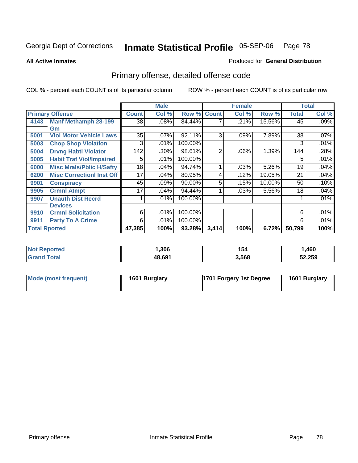**All Active Inmates**

### Produced for **General Distribution**

# Primary offense, detailed offense code

|                      |                                  | <b>Male</b><br><b>Female</b> |       |         | <b>Total</b> |       |        |              |         |
|----------------------|----------------------------------|------------------------------|-------|---------|--------------|-------|--------|--------------|---------|
|                      | <b>Primary Offense</b>           | <b>Count</b>                 | Col % | Row %   | <b>Count</b> | Col % | Row %  | <b>Total</b> | Col %   |
| 4143                 | <b>Manf Methamph 28-199</b>      | 38                           | .08%  | 84.44%  |              | .21%  | 15.56% | 45           | $.09\%$ |
|                      | Gm                               |                              |       |         |              |       |        |              |         |
| 5001                 | <b>Viol Motor Vehicle Laws</b>   | 35                           | .07%  | 92.11%  | 3            | .09%  | 7.89%  | 38           | .07%    |
| 5003                 | <b>Chop Shop Violation</b>       | 3                            | .01%  | 100.00% |              |       |        | 3            | .01%    |
| 5004                 | <b>Drvng Habtl Violator</b>      | 142                          | .30%  | 98.61%  | 2            | .06%  | 1.39%  | 144          | .28%    |
| 5005                 | <b>Habit Traf Viol/Impaired</b>  | 5                            | .01%  | 100.00% |              |       |        | 5            | .01%    |
| 6000                 | <b>Misc Mrals/Pblic H/Safty</b>  | 18                           | .04%  | 94.74%  | 4            | .03%  | 5.26%  | 19           | .04%    |
| 6200                 | <b>Misc CorrectionI Inst Off</b> | 17                           | .04%  | 80.95%  | 4            | .12%  | 19.05% | 21           | .04%    |
| 9901                 | <b>Conspiracy</b>                | 45                           | .09%  | 90.00%  | 5            | .15%  | 10.00% | 50           | .10%    |
| 9905                 | <b>Crmnl Atmpt</b>               | 17                           | .04%  | 94.44%  |              | .03%  | 5.56%  | 18           | .04%    |
| 9907                 | <b>Unauth Dist Recrd</b>         |                              | .01%  | 100.00% |              |       |        |              | .01%    |
|                      | <b>Devices</b>                   |                              |       |         |              |       |        |              |         |
| 9910                 | <b>Crmnl Solicitation</b>        | 6                            | .01%  | 100.00% |              |       |        | 6            | .01%    |
| 9911                 | <b>Party To A Crime</b>          | 6                            | .01%  | 100.00% |              |       |        | 6            | .01%    |
| <b>Total Rported</b> |                                  | 47,385                       | 100%  | 93.28%  | 3,414        | 100%  | 6.72%  | 50,799       | 100%    |

| теа | .306       | 154   | ,460   |
|-----|------------|-------|--------|
|     | $AB$ $694$ | 3,568 | 52.259 |

| Mode (most frequent) | 1601 Burglary | <b>1701 Forgery 1st Degree</b> | 1601 Burglary |
|----------------------|---------------|--------------------------------|---------------|
|----------------------|---------------|--------------------------------|---------------|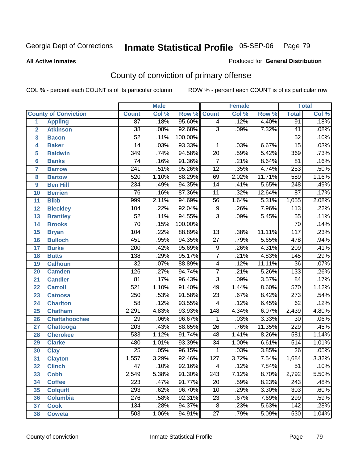**All Active Inmates**

### Produced for **General Distribution**

# County of conviction of primary offense

|                 |                             |                  | <b>Male</b> |         |                 | <b>Female</b> |        |                  | <b>Total</b> |
|-----------------|-----------------------------|------------------|-------------|---------|-----------------|---------------|--------|------------------|--------------|
|                 | <b>County of Conviction</b> | <b>Count</b>     | Col %       | Row %   | <b>Count</b>    | Col %         | Row %  | <b>Total</b>     | Col %        |
| 1               | <b>Appling</b>              | $\overline{87}$  | .18%        | 95.60%  | $\overline{4}$  | .12%          | 4.40%  | 91               | .18%         |
| $\overline{2}$  | <b>Atkinson</b>             | $\overline{38}$  | .08%        | 92.68%  | $\overline{3}$  | .09%          | 7.32%  | 41               | .08%         |
| 3               | <b>Bacon</b>                | $\overline{52}$  | .11%        | 100.00% |                 |               |        | $\overline{52}$  | .10%         |
| 4               | <b>Baker</b>                | 14               | .03%        | 93.33%  | 1               | .03%          | 6.67%  | $\overline{15}$  | .03%         |
| 5               | <b>Baldwin</b>              | $\overline{349}$ | .74%        | 94.58%  | $\overline{20}$ | .59%          | 5.42%  | 369              | .73%         |
| 6               | <b>Banks</b>                | $\overline{74}$  | .16%        | 91.36%  | $\overline{7}$  | .21%          | 8.64%  | $\overline{81}$  | .16%         |
| 7               | <b>Barrow</b>               | $\overline{241}$ | .51%        | 95.26%  | $\overline{12}$ | .35%          | 4.74%  | 253              | .50%         |
| 8               | <b>Bartow</b>               | 520              | 1.10%       | 88.29%  | 69              | 2.02%         | 11.71% | 589              | 1.16%        |
| 9               | <b>Ben Hill</b>             | 234              | .49%        | 94.35%  | $\overline{14}$ | .41%          | 5.65%  | 248              | .49%         |
| 10              | <b>Berrien</b>              | $\overline{76}$  | .16%        | 87.36%  | $\overline{11}$ | .32%          | 12.64% | $\overline{87}$  | .17%         |
| 11              | <b>Bibb</b>                 | 999              | 2.11%       | 94.69%  | $\overline{56}$ | 1.64%         | 5.31%  | 1,055            | 2.08%        |
| 12              | <b>Bleckley</b>             | 104              | .22%        | 92.04%  | 9               | .26%          | 7.96%  | $\overline{113}$ | .22%         |
| $\overline{13}$ | <b>Brantley</b>             | $\overline{52}$  | .11%        | 94.55%  | $\overline{3}$  | .09%          | 5.45%  | $\overline{55}$  | .11%         |
| 14              | <b>Brooks</b>               | $\overline{70}$  | .15%        | 100.00% |                 |               |        | $\overline{70}$  | .14%         |
| 15              | <b>Bryan</b>                | 104              | .22%        | 88.89%  | 13              | .38%          | 11.11% | $\overline{117}$ | .23%         |
| 16              | <b>Bulloch</b>              | 451              | .95%        | 94.35%  | 27              | .79%          | 5.65%  | 478              | .94%         |
| $\overline{17}$ | <b>Burke</b>                | $\overline{200}$ | .42%        | 95.69%  | $\overline{9}$  | .26%          | 4.31%  | $\overline{209}$ | .41%         |
| 18              | <b>Butts</b>                | 138              | .29%        | 95.17%  | $\overline{7}$  | .21%          | 4.83%  | 145              | .29%         |
| 19              | <b>Calhoun</b>              | $\overline{32}$  | .07%        | 88.89%  | 4               | .12%          | 11.11% | $\overline{36}$  | .07%         |
| 20              | <b>Camden</b>               | 126              | .27%        | 94.74%  | $\overline{7}$  | .21%          | 5.26%  | 133              | .26%         |
| 21              | <b>Candler</b>              | $\overline{81}$  | .17%        | 96.43%  | $\overline{3}$  | .09%          | 3.57%  | $\overline{84}$  | .17%         |
| 22              | <b>Carroll</b>              | $\overline{521}$ | 1.10%       | 91.40%  | 49              | 1.44%         | 8.60%  | 570              | 1.12%        |
| 23              | <b>Catoosa</b>              | 250              | .53%        | 91.58%  | $\overline{23}$ | .67%          | 8.42%  | $\overline{273}$ | .54%         |
| 24              | <b>Charlton</b>             | $\overline{58}$  | .12%        | 93.55%  | 4               | .12%          | 6.45%  | 62               | .12%         |
| 25              | <b>Chatham</b>              | 2,291            | 4.83%       | 93.93%  | 148             | 4.34%         | 6.07%  | 2,439            | 4.80%        |
| 26              | <b>Chattahoochee</b>        | 29               | .06%        | 96.67%  | 1               | .03%          | 3.33%  | $\overline{30}$  | .06%         |
| 27              | Chattooga                   | $\overline{203}$ | .43%        | 88.65%  | $\overline{26}$ | .76%          | 11.35% | 229              | .45%         |
| 28              | <b>Cherokee</b>             | 533              | 1.12%       | 91.74%  | 48              | 1.41%         | 8.26%  | 581              | 1.14%        |
| 29              | <b>Clarke</b>               | 480              | 1.01%       | 93.39%  | $\overline{34}$ | 1.00%         | 6.61%  | $\overline{514}$ | 1.01%        |
| 30              | <b>Clay</b>                 | $\overline{25}$  | .05%        | 96.15%  | 1               | .03%          | 3.85%  | 26               | .05%         |
| $\overline{31}$ | <b>Clayton</b>              | 1,557            | 3.29%       | 92.46%  | 127             | 3.72%         | 7.54%  | 1,684            | 3.32%        |
| 32              | <b>Clinch</b>               | 47               | .10%        | 92.16%  | 4               | .12%          | 7.84%  | 51               | .10%         |
| 33              | <b>Cobb</b>                 | 2,549            | 5.38%       | 91.30%  | 243             | 7.12%         | 8.70%  | 2,792            | 5.50%        |
| 34              | <b>Coffee</b>               | 223              | .47%        | 91.77%  | 20              | .59%          | 8.23%  | 243              | .48%         |
| 35              | <b>Colquitt</b>             | 293              | .62%        | 96.70%  | 10              | .29%          | 3.30%  | 303              | .60%         |
| 36              | <b>Columbia</b>             | $\overline{276}$ | .58%        | 92.31%  | 23              | .67%          | 7.69%  | 299              | .59%         |
| 37              | <b>Cook</b>                 | 134              | .28%        | 94.37%  | $\overline{8}$  | .23%          | 5.63%  | 142              | .28%         |
| 38              | <b>Coweta</b>               | 503              | 1.06%       | 94.91%  | 27              | .79%          | 5.09%  | 530              | 1.04%        |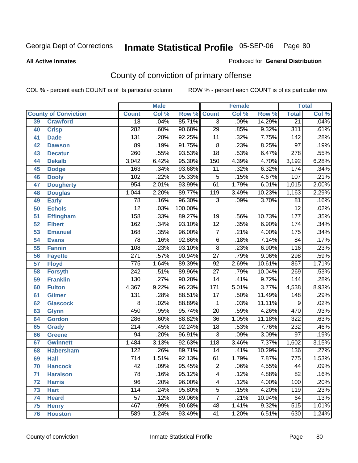**All Active Inmates**

#### Produced for **General Distribution**

# County of conviction of primary offense

|    |                             |                  | <b>Male</b> |         | <b>Female</b>   |       |        | <b>Total</b>     |         |
|----|-----------------------------|------------------|-------------|---------|-----------------|-------|--------|------------------|---------|
|    | <b>County of Conviction</b> | <b>Count</b>     | Col %       | Row %   | <b>Count</b>    | Col % | Row %  | <b>Total</b>     | Col %   |
| 39 | <b>Crawford</b>             | $\overline{18}$  | .04%        | 85.71%  | $\overline{3}$  | .09%  | 14.29% | $\overline{21}$  | .04%    |
| 40 | <b>Crisp</b>                | 282              | .60%        | 90.68%  | $\overline{29}$ | .85%  | 9.32%  | $\overline{311}$ | .61%    |
| 41 | <b>Dade</b>                 | 131              | .28%        | 92.25%  | 11              | .32%  | 7.75%  | 142              | .28%    |
| 42 | <b>Dawson</b>               | 89               | .19%        | 91.75%  | 8               | .23%  | 8.25%  | $\overline{97}$  | .19%    |
| 43 | <b>Decatur</b>              | 260              | .55%        | 93.53%  | $\overline{18}$ | .53%  | 6.47%  | $\overline{278}$ | .55%    |
| 44 | <b>Dekalb</b>               | 3,042            | 6.42%       | 95.30%  | 150             | 4.39% | 4.70%  | 3,192            | 6.28%   |
| 45 | <b>Dodge</b>                | 163              | .34%        | 93.68%  | 11              | .32%  | 6.32%  | 174              | .34%    |
| 46 | <b>Dooly</b>                | 102              | .22%        | 95.33%  | $\mathbf 5$     | .15%  | 4.67%  | 107              | .21%    |
| 47 | <b>Dougherty</b>            | 954              | 2.01%       | 93.99%  | 61              | 1.79% | 6.01%  | 1,015            | 2.00%   |
| 48 | <b>Douglas</b>              | 1,044            | 2.20%       | 89.77%  | 119             | 3.49% | 10.23% | 1,163            | 2.29%   |
| 49 | <b>Early</b>                | $\overline{78}$  | .16%        | 96.30%  | 3               | .09%  | 3.70%  | 81               | .16%    |
| 50 | <b>Echols</b>               | $\overline{12}$  | .03%        | 100.00% |                 |       |        | $\overline{12}$  | .02%    |
| 51 | <b>Effingham</b>            | 158              | .33%        | 89.27%  | 19              | .56%  | 10.73% | $\overline{177}$ | .35%    |
| 52 | <b>Elbert</b>               | 162              | .34%        | 93.10%  | $\overline{12}$ | .35%  | 6.90%  | 174              | .34%    |
| 53 | <b>Emanuel</b>              | 168              | .35%        | 96.00%  | $\overline{7}$  | .21%  | 4.00%  | 175              | .34%    |
| 54 | <b>Evans</b>                | $\overline{78}$  | .16%        | 92.86%  | 6               | .18%  | 7.14%  | 84               | .17%    |
| 55 | <b>Fannin</b>               | 108              | .23%        | 93.10%  | $\overline{8}$  | .23%  | 6.90%  | $\overline{116}$ | .23%    |
| 56 | <b>Fayette</b>              | $\overline{271}$ | .57%        | 90.94%  | $\overline{27}$ | .79%  | 9.06%  | 298              | .59%    |
| 57 | <b>Floyd</b>                | 775              | 1.64%       | 89.39%  | 92              | 2.69% | 10.61% | 867              | 1.71%   |
| 58 | <b>Forsyth</b>              | $\overline{242}$ | .51%        | 89.96%  | $\overline{27}$ | .79%  | 10.04% | 269              | .53%    |
| 59 | <b>Franklin</b>             | 130              | .27%        | 90.28%  | $\overline{14}$ | .41%  | 9.72%  | 144              | .28%    |
| 60 | <b>Fulton</b>               | 4,367            | 9.22%       | 96.23%  | 171             | 5.01% | 3.77%  | 4,538            | 8.93%   |
| 61 | Gilmer                      | 131              | .28%        | 88.51%  | $\overline{17}$ | .50%  | 11.49% | $\overline{148}$ | .29%    |
| 62 | <b>Glascock</b>             | 8                | .02%        | 88.89%  | $\mathbf{1}$    | .03%  | 11.11% | 9                | .02%    |
| 63 | <b>Glynn</b>                | 450              | .95%        | 95.74%  | $\overline{20}$ | .59%  | 4.26%  | 470              | .93%    |
| 64 | <b>Gordon</b>               | 286              | .60%        | 88.82%  | $\overline{36}$ | 1.05% | 11.18% | 322              | .63%    |
| 65 | <b>Grady</b>                | $\overline{214}$ | .45%        | 92.24%  | 18              | .53%  | 7.76%  | 232              | .46%    |
| 66 | <b>Greene</b>               | $\overline{94}$  | .20%        | 96.91%  | $\overline{3}$  | .09%  | 3.09%  | $\overline{97}$  | .19%    |
| 67 | <b>Gwinnett</b>             | 1,484            | 3.13%       | 92.63%  | 118             | 3.46% | 7.37%  | 1,602            | 3.15%   |
| 68 | <b>Habersham</b>            | 122              | .26%        | 89.71%  | 14              | .41%  | 10.29% | 136              | .27%    |
| 69 | <b>Hall</b>                 | $\overline{714}$ | 1.51%       | 92.13%  | 61              | 1.79% | 7.87%  | 775              | 1.53%   |
| 70 | <b>Hancock</b>              | 42               | .09%        | 95.45%  | 2               | .06%  | 4.55%  | 44               | $.09\%$ |
| 71 | <b>Haralson</b>             | $\overline{78}$  | .16%        | 95.12%  | $\overline{4}$  | .12%  | 4.88%  | $\overline{82}$  | .16%    |
| 72 | <b>Harris</b>               | $\overline{96}$  | .20%        | 96.00%  | 4               | .12%  | 4.00%  | 100              | .20%    |
| 73 | <b>Hart</b>                 | 114              | .24%        | 95.80%  | $\overline{5}$  | .15%  | 4.20%  | 119              | .23%    |
| 74 | <b>Heard</b>                | $\overline{57}$  | .12%        | 89.06%  | $\overline{7}$  | .21%  | 10.94% | 64               | .13%    |
| 75 | <b>Henry</b>                | 467              | .99%        | 90.68%  | 48              | 1.41% | 9.32%  | $\overline{515}$ | 1.01%   |
| 76 | <b>Houston</b>              | 589              | 1.24%       | 93.49%  | 41              | 1.20% | 6.51%  | 630              | 1.24%   |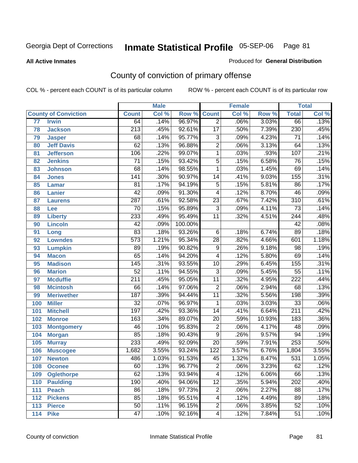#### **All Active Inmates**

### Produced for **General Distribution**

# County of conviction of primary offense

|     |                             |                  | <b>Male</b> |         |                  | <b>Female</b> |        |                  | <b>Total</b> |
|-----|-----------------------------|------------------|-------------|---------|------------------|---------------|--------|------------------|--------------|
|     | <b>County of Conviction</b> | <b>Count</b>     | Col %       | Row %   | <b>Count</b>     | Col %         | Row %  | <b>Total</b>     | Col %        |
| 77  | <b>Irwin</b>                | 64               | .14%        | 96.97%  | $\overline{2}$   | .06%          | 3.03%  | 66               | .13%         |
| 78  | <b>Jackson</b>              | $\overline{213}$ | .45%        | 92.61%  | $\overline{17}$  | .50%          | 7.39%  | 230              | .45%         |
| 79  | <b>Jasper</b>               | 68               | .14%        | 95.77%  | $\overline{3}$   | .09%          | 4.23%  | $\overline{71}$  | .14%         |
| 80  | <b>Jeff Davis</b>           | $\overline{62}$  | .13%        | 96.88%  | $\overline{2}$   | .06%          | 3.13%  | 64               | .13%         |
| 81  | <b>Jefferson</b>            | 106              | .22%        | 99.07%  | $\mathbf{1}$     | .03%          | .93%   | 107              | .21%         |
| 82  | <b>Jenkins</b>              | $\overline{71}$  | .15%        | 93.42%  | $\overline{5}$   | .15%          | 6.58%  | $\overline{76}$  | .15%         |
| 83  | <b>Johnson</b>              | 68               | .14%        | 98.55%  | $\mathbf{1}$     | .03%          | 1.45%  | 69               | .14%         |
| 84  | <b>Jones</b>                | $\overline{141}$ | .30%        | 90.97%  | 14               | .41%          | 9.03%  | 155              | .31%         |
| 85  | <b>Lamar</b>                | $\overline{81}$  | .17%        | 94.19%  | $\overline{5}$   | .15%          | 5.81%  | 86               | .17%         |
| 86  | <b>Lanier</b>               | $\overline{42}$  | .09%        | 91.30%  | 4                | .12%          | 8.70%  | 46               | .09%         |
| 87  | <b>Laurens</b>              | 287              | .61%        | 92.58%  | $\overline{23}$  | .67%          | 7.42%  | $\overline{310}$ | .61%         |
| 88  | <b>Lee</b>                  | $\overline{70}$  | .15%        | 95.89%  | $\overline{3}$   | .09%          | 4.11%  | $\overline{73}$  | .14%         |
| 89  | <b>Liberty</b>              | 233              | .49%        | 95.49%  | $\overline{11}$  | .32%          | 4.51%  | 244              | .48%         |
| 90  | <b>Lincoln</b>              | $\overline{42}$  | .09%        | 100.00% |                  |               |        | $\overline{42}$  | .08%         |
| 91  | Long                        | 83               | .18%        | 93.26%  | $\overline{6}$   | .18%          | 6.74%  | 89               | .18%         |
| 92  | <b>Lowndes</b>              | $\overline{573}$ | 1.21%       | 95.34%  | $\overline{28}$  | .82%          | 4.66%  | 601              | 1.18%        |
| 93  | <b>Lumpkin</b>              | 89               | .19%        | 90.82%  | $\overline{9}$   | .26%          | 9.18%  | $\overline{98}$  | .19%         |
| 94  | <b>Macon</b>                | $\overline{65}$  | .14%        | 94.20%  | 4                | .12%          | 5.80%  | 69               | .14%         |
| 95  | <b>Madison</b>              | $\overline{145}$ | .31%        | 93.55%  | 10               | .29%          | 6.45%  | 155              | .31%         |
| 96  | <b>Marion</b>               | $\overline{52}$  | .11%        | 94.55%  | $\overline{3}$   | .09%          | 5.45%  | $\overline{55}$  | .11%         |
| 97  | <b>Mcduffie</b>             | $\overline{211}$ | .45%        | 95.05%  | $\overline{11}$  | .32%          | 4.95%  | $\overline{222}$ | .44%         |
| 98  | <b>Mcintosh</b>             | 66               | .14%        | 97.06%  | $\overline{2}$   | .06%          | 2.94%  | 68               | .13%         |
| 99  | <b>Meriwether</b>           | 187              | .39%        | 94.44%  | $\overline{11}$  | .32%          | 5.56%  | 198              | .39%         |
| 100 | <b>Miller</b>               | $\overline{32}$  | .07%        | 96.97%  | $\mathbf{1}$     | .03%          | 3.03%  | $\overline{33}$  | .06%         |
| 101 | <b>Mitchell</b>             | 197              | .42%        | 93.36%  | $\overline{14}$  | .41%          | 6.64%  | $\overline{211}$ | .42%         |
| 102 | <b>Monroe</b>               | 163              | .34%        | 89.07%  | $\overline{20}$  | .59%          | 10.93% | 183              | .36%         |
| 103 | <b>Montgomery</b>           | 46               | .10%        | 95.83%  | $\overline{2}$   | .06%          | 4.17%  | 48               | .09%         |
| 104 | <b>Morgan</b>               | $\overline{85}$  | .18%        | 90.43%  | $\overline{9}$   | .26%          | 9.57%  | $\overline{94}$  | .19%         |
| 105 | <b>Murray</b>               | 233              | .49%        | 92.09%  | $\overline{20}$  | .59%          | 7.91%  | 253              | .50%         |
| 106 | <b>Muscogee</b>             | 1,682            | 3.55%       | 93.24%  | $\overline{122}$ | 3.57%         | 6.76%  | 1,804            | 3.55%        |
| 107 | <b>Newton</b>               | 486              | 1.03%       | 91.53%  | 45               | 1.32%         | 8.47%  | $\overline{531}$ | 1.05%        |
| 108 | <b>Oconee</b>               | 60               | .13%        | 96.77%  | 2                | .06%          | 3.23%  | 62               | .12%         |
| 109 | <b>Oglethorpe</b>           | 62               | .13%        | 93.94%  | 4                | .12%          | 6.06%  | 66               | .13%         |
| 110 | <b>Paulding</b>             | 190              | .40%        | 94.06%  | $\overline{12}$  | .35%          | 5.94%  | $\overline{202}$ | .40%         |
| 111 | <b>Peach</b>                | 86               | .18%        | 97.73%  | $\overline{2}$   | .06%          | 2.27%  | 88               | .17%         |
| 112 | <b>Pickens</b>              | 85               | .18%        | 95.51%  | 4                | .12%          | 4.49%  | 89               | .18%         |
| 113 | <b>Pierce</b>               | $\overline{50}$  | .11%        | 96.15%  | $\overline{2}$   | .06%          | 3.85%  | $\overline{52}$  | .10%         |
| 114 | <b>Pike</b>                 | $\overline{47}$  | .10%        | 92.16%  | $\overline{4}$   | .12%          | 7.84%  | $\overline{51}$  | .10%         |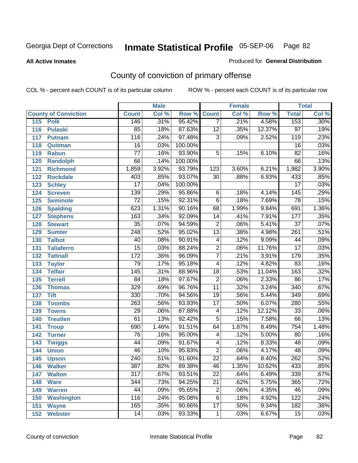**All Active Inmates**

### Produced for **General Distribution**

# County of conviction of primary offense

|                             |                  | <b>Male</b> |                    | <b>Female</b>   |       |        | <b>Total</b>     |         |
|-----------------------------|------------------|-------------|--------------------|-----------------|-------|--------|------------------|---------|
| <b>County of Conviction</b> | <b>Count</b>     | Col %       | <b>Row % Count</b> |                 | Col % | Row %  | <b>Total</b>     | Col %   |
| 115<br><b>Polk</b>          | 146              | .31%        | 95.42%             | $\overline{7}$  | .21%  | 4.58%  | 153              | .30%    |
| 116<br><b>Pulaski</b>       | 85               | .18%        | 87.63%             | $\overline{12}$ | .35%  | 12.37% | $\overline{97}$  | .19%    |
| 117<br><b>Putnam</b>        | 116              | .24%        | 97.48%             | $\overline{3}$  | .09%  | 2.52%  | $\overline{119}$ | .23%    |
| 118<br>Quitman              | $\overline{16}$  | .03%        | 100.00%            |                 |       |        | 16               | .03%    |
| 119<br><b>Rabun</b>         | $\overline{77}$  | .16%        | 93.90%             | $\overline{5}$  | .15%  | 6.10%  | $\overline{82}$  | .16%    |
| 120<br><b>Randolph</b>      | 66               | .14%        | 100.00%            |                 |       |        | 66               | .13%    |
| <b>Richmond</b><br>121      | 1,859            | 3.92%       | 93.79%             | 123             | 3.60% | 6.21%  | 1,982            | 3.90%   |
| 122<br><b>Rockdale</b>      | 403              | .85%        | 93.07%             | 30              | .88%  | 6.93%  | 433              | .85%    |
| 123<br><b>Schley</b>        | $\overline{17}$  | .04%        | 100.00%            |                 |       |        | $\overline{17}$  | .03%    |
| 124<br><b>Screven</b>       | 139              | .29%        | 95.86%             | $\,6$           | .18%  | 4.14%  | 145              | .29%    |
| 125<br><b>Seminole</b>      | $\overline{72}$  | .15%        | 92.31%             | $\overline{6}$  | .18%  | 7.69%  | 78               | .15%    |
| 126<br><b>Spalding</b>      | 623              | 1.31%       | 90.16%             | 68              | 1.99% | 9.84%  | 691              | 1.36%   |
| 127<br><b>Stephens</b>      | 163              | .34%        | 92.09%             | 14              | .41%  | 7.91%  | 177              | .35%    |
| 128<br><b>Stewart</b>       | $\overline{35}$  | .07%        | 94.59%             | $\overline{2}$  | .06%  | 5.41%  | $\overline{37}$  | .07%    |
| 129<br><b>Sumter</b>        | $\overline{248}$ | .52%        | 95.02%             | $\overline{13}$ | .38%  | 4.98%  | $\overline{261}$ | .51%    |
| <b>Talbot</b><br>130        | 40               | .08%        | 90.91%             | 4               | .12%  | 9.09%  | 44               | .09%    |
| 131<br><b>Taliaferro</b>    | $\overline{15}$  | .03%        | 88.24%             | $\overline{2}$  | .06%  | 11.76% | $\overline{17}$  | .03%    |
| <b>Tattnall</b><br>132      | $\overline{172}$ | .36%        | 96.09%             | $\overline{7}$  | .21%  | 3.91%  | 179              | .35%    |
| 133<br><b>Taylor</b>        | 79               | .17%        | 95.18%             | $\overline{4}$  | .12%  | 4.82%  | 83               | .16%    |
| <b>Telfair</b><br>134       | $\overline{145}$ | .31%        | 88.96%             | 18              | .53%  | 11.04% | 163              | .32%    |
| 135<br><b>Terrell</b>       | 84               | .18%        | 97.67%             | $\overline{2}$  | .06%  | 2.33%  | $\overline{86}$  | .17%    |
| 136<br><b>Thomas</b>        | 329              | .69%        | 96.76%             | $\overline{11}$ | .32%  | 3.24%  | 340              | .67%    |
| 137<br><b>Tift</b>          | 330              | .70%        | 94.56%             | $\overline{19}$ | .56%  | 5.44%  | $\overline{349}$ | .69%    |
| <b>Toombs</b><br>138        | 263              | .56%        | 93.93%             | $\overline{17}$ | .50%  | 6.07%  | 280              | .55%    |
| 139<br><b>Towns</b>         | 29               | .06%        | 87.88%             | $\overline{4}$  | .12%  | 12.12% | $\overline{33}$  | .06%    |
| <b>Treutlen</b><br>140      | 61               | .13%        | 92.42%             | 5               | .15%  | 7.58%  | 66               | .13%    |
| 141<br><b>Troup</b>         | 690              | 1.46%       | 91.51%             | 64              | 1.87% | 8.49%  | 754              | 1.48%   |
| 142<br><b>Turner</b>        | $\overline{76}$  | .16%        | 95.00%             | 4               | .12%  | 5.00%  | 80               | .16%    |
| 143<br><b>Twiggs</b>        | $\overline{44}$  | .09%        | 91.67%             | $\overline{4}$  | .12%  | 8.33%  | 48               | .09%    |
| 144<br><b>Union</b>         | 46               | .10%        | 95.83%             | $\overline{2}$  | .06%  | 4.17%  | 48               | .09%    |
| 145<br><b>Upson</b>         | 240              | .51%        | 91.60%             | $\overline{22}$ | .64%  | 8.40%  | 262              | .52%    |
| 146<br><b>Walker</b>        | 387              | .82%        | 89.38%             | 46              | 1.35% | 10.62% | 433              | $.85\%$ |
| 147<br><b>Walton</b>        | $\overline{317}$ | .67%        | 93.51%             | $\overline{22}$ | .64%  | 6.49%  | 339              | .67%    |
| 148<br><b>Ware</b>          | 344              | .73%        | 94.25%             | $\overline{21}$ | .62%  | 5.75%  | 365              | .72%    |
| 149<br><b>Warren</b>        | 44               | .09%        | 95.65%             | $\overline{c}$  | .06%  | 4.35%  | 46               | .09%    |
| <b>Washington</b><br>150    | 116              | .24%        | 95.08%             | 6               | .18%  | 4.92%  | 122              | .24%    |
| 151<br><b>Wayne</b>         | 165              | .35%        | 90.66%             | $\overline{17}$ | .50%  | 9.34%  | 182              | .36%    |
| 152<br><b>Webster</b>       | 14               | .03%        | 93.33%             | $\mathbf{1}$    | .03%  | 6.67%  | 15               | .03%    |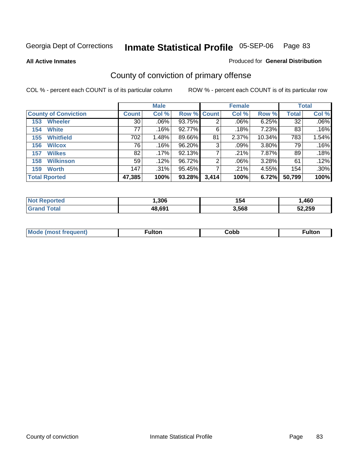**All Active Inmates**

#### Produced for **General Distribution**

# County of conviction of primary offense

|                             |              | <b>Male</b> |                    |                | <b>Female</b> |        |              | <b>Total</b> |
|-----------------------------|--------------|-------------|--------------------|----------------|---------------|--------|--------------|--------------|
| <b>County of Conviction</b> | <b>Count</b> | Col %       | <b>Row % Count</b> |                | Col %         | Row %  | <b>Total</b> | Col %        |
| <b>Wheeler</b><br>153       | 30           | $.06\%$     | 93.75%             | 2              | .06%          | 6.25%  | 32           | $.06\%$      |
| <b>White</b><br>154         | 77           | .16%        | 92.77%             | 6              | .18%          | 7.23%  | 83           | .16%         |
| <b>Whitfield</b><br>155     | 702          | 1.48%       | 89.66%             | 81             | 2.37%         | 10.34% | 783          | 1.54%        |
| <b>Wilcox</b><br>156        | 76           | .16%        | 96.20%             | 3              | $.09\%$       | 3.80%  | 79           | .16%         |
| <b>Wilkes</b><br>157        | 82           | .17%        | 92.13%             |                | .21%          | 7.87%  | 89           | .18%         |
| <b>Wilkinson</b><br>158     | 59           | .12%        | 96.72%             | $\overline{2}$ | .06%          | 3.28%  | 61           | .12%         |
| <b>Worth</b><br>159         | 147          | $.31\%$     | 95.45%             |                | .21%          | 4.55%  | 154          | .30%         |
| <b>Total Rported</b>        | 47,385       | 100%        | 93.28%             | 3,414          | 100%          | 6.72%  | 50,799       | 100%         |

| тео<br>'N ( | ,306          | I 54  | ,460   |
|-------------|---------------|-------|--------|
|             | .8.69''<br>48 | 3,568 | 52,259 |

| <b>Mo</b><br>uenti<br>. | ∙ulton<br>____ | Cobb | <b>ultor</b> |
|-------------------------|----------------|------|--------------|
|                         |                |      |              |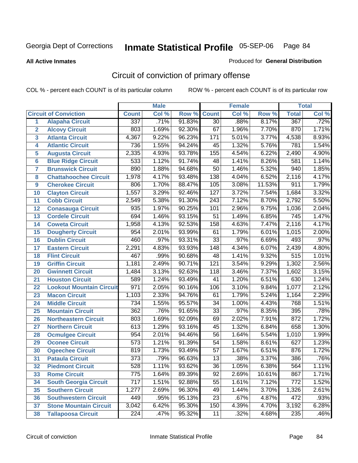**All Active Inmates**

#### Produced for **General Distribution**

# Circuit of conviction of primary offense

|                         |                                 |                  | <b>Male</b> |        |                  | <b>Female</b> |        |                  | <b>Total</b> |
|-------------------------|---------------------------------|------------------|-------------|--------|------------------|---------------|--------|------------------|--------------|
|                         | <b>Circuit of Conviction</b>    | <b>Count</b>     | Col %       | Row %  | <b>Count</b>     | Col %         | Row %  | <b>Total</b>     | Col %        |
| 1                       | <b>Alapaha Circuit</b>          | 337              | .71%        | 91.83% | $\overline{30}$  | .88%          | 8.17%  | 367              | .72%         |
| $\overline{2}$          | <b>Alcovy Circuit</b>           | 803              | 1.69%       | 92.30% | 67               | 1.96%         | 7.70%  | 870              | 1.71%        |
| $\overline{\mathbf{3}}$ | <b>Atlanta Circuit</b>          | 4,367            | 9.22%       | 96.23% | $\overline{171}$ | 5.01%         | 3.77%  | 4,538            | 8.93%        |
| 4                       | <b>Atlantic Circuit</b>         | 736              | 1.55%       | 94.24% | 45               | 1.32%         | 5.76%  | 781              | 1.54%        |
| 5                       | <b>Augusta Circuit</b>          | 2,335            | 4.93%       | 93.78% | 155              | 4.54%         | 6.22%  | 2,490            | 4.90%        |
| $6\phantom{a}$          | <b>Blue Ridge Circuit</b>       | 533              | 1.12%       | 91.74% | 48               | 1.41%         | 8.26%  | 581              | 1.14%        |
| $\overline{\mathbf{7}}$ | <b>Brunswick Circuit</b>        | 890              | 1.88%       | 94.68% | $\overline{50}$  | 1.46%         | 5.32%  | 940              | 1.85%        |
| 8                       | <b>Chattahoochee Circuit</b>    | 1,978            | 4.17%       | 93.48% | 138              | 4.04%         | 6.52%  | 2,116            | 4.17%        |
| 9                       | <b>Cherokee Circuit</b>         | 806              | 1.70%       | 88.47% | 105              | 3.08%         | 11.53% | 911              | 1.79%        |
| 10                      | <b>Clayton Circuit</b>          | 1,557            | 3.29%       | 92.46% | $\overline{127}$ | 3.72%         | 7.54%  | 1,684            | 3.32%        |
| 11                      | <b>Cobb Circuit</b>             | 2,549            | 5.38%       | 91.30% | $\overline{243}$ | 7.12%         | 8.70%  | 2,792            | 5.50%        |
| 12                      | <b>Conasauga Circuit</b>        | $\overline{935}$ | 1.97%       | 90.25% | 101              | 2.96%         | 9.75%  | 1,036            | 2.04%        |
| 13                      | <b>Cordele Circuit</b>          | 694              | 1.46%       | 93.15% | $\overline{51}$  | 1.49%         | 6.85%  | $\overline{745}$ | 1.47%        |
| 14                      | <b>Coweta Circuit</b>           | 1,958            | 4.13%       | 92.53% | 158              | 4.63%         | 7.47%  | 2,116            | 4.17%        |
| 15                      | <b>Dougherty Circuit</b>        | 954              | 2.01%       | 93.99% | 61               | 1.79%         | 6.01%  | 1,015            | 2.00%        |
| 16                      | <b>Dublin Circuit</b>           | 460              | .97%        | 93.31% | $\overline{33}$  | .97%          | 6.69%  | 493              | .97%         |
| 17                      | <b>Eastern Circuit</b>          | 2,291            | 4.83%       | 93.93% | $\overline{148}$ | 4.34%         | 6.07%  | 2,439            | 4.80%        |
| 18                      | <b>Flint Circuit</b>            | 467              | .99%        | 90.68% | 48               | 1.41%         | 9.32%  | 515              | 1.01%        |
| 19                      | <b>Griffin Circuit</b>          | 1,181            | 2.49%       | 90.71% | 121              | 3.54%         | 9.29%  | 1,302            | 2.56%        |
| 20                      | <b>Gwinnett Circuit</b>         | 1,484            | 3.13%       | 92.63% | 118              | 3.46%         | 7.37%  | 1,602            | 3.15%        |
| 21                      | <b>Houston Circuit</b>          | 589              | 1.24%       | 93.49% | $\overline{41}$  | 1.20%         | 6.51%  | 630              | 1.24%        |
| $\overline{22}$         | <b>Lookout Mountain Circuit</b> | $\overline{971}$ | 2.05%       | 90.16% | 106              | 3.10%         | 9.84%  | 1,077            | 2.12%        |
| 23                      | <b>Macon Circuit</b>            | 1,103            | 2.33%       | 94.76% | 61               | 1.79%         | 5.24%  | 1,164            | 2.29%        |
| 24                      | <b>Middle Circuit</b>           | $\overline{734}$ | 1.55%       | 95.57% | $\overline{34}$  | 1.00%         | 4.43%  | 768              | 1.51%        |
| 25                      | <b>Mountain Circuit</b>         | 362              | .76%        | 91.65% | $\overline{33}$  | .97%          | 8.35%  | 395              | .78%         |
| 26                      | <b>Northeastern Circuit</b>     | 803              | 1.69%       | 92.09% | 69               | 2.02%         | 7.91%  | 872              | 1.72%        |
| 27                      | <b>Northern Circuit</b>         | 613              | 1.29%       | 93.16% | 45               | 1.32%         | 6.84%  | 658              | 1.30%        |
| 28                      | <b>Ocmulgee Circuit</b>         | 954              | 2.01%       | 94.46% | $\overline{56}$  | 1.64%         | 5.54%  | 1,010            | 1.99%        |
| 29                      | <b>Oconee Circuit</b>           | $\overline{573}$ | 1.21%       | 91.39% | $\overline{54}$  | 1.58%         | 8.61%  | 627              | 1.23%        |
| 30                      | <b>Ogeechee Circuit</b>         | 819              | 1.73%       | 93.49% | $\overline{57}$  | 1.67%         | 6.51%  | 876              | 1.72%        |
| $\overline{31}$         | <b>Pataula Circuit</b>          | $\overline{373}$ | .79%        | 96.63% | $\overline{13}$  | .38%          | 3.37%  | 386              | .76%         |
| 32                      | <b>Piedmont Circuit</b>         | 528              | 1.11%       | 93.62% | 36               | 1.05%         | 6.38%  | 564              | 1.11%        |
| 33                      | <b>Rome Circuit</b>             | 775              | 1.64%       | 89.39% | $\overline{92}$  | 2.69%         | 10.61% | 867              | 1.71%        |
| 34                      | <b>South Georgia Circuit</b>    | $\overline{717}$ | 1.51%       | 92.88% | $\overline{55}$  | 1.61%         | 7.12%  | $\overline{772}$ | 1.52%        |
| 35                      | <b>Southern Circuit</b>         | 1,277            | 2.69%       | 96.30% | 49               | 1.44%         | 3.70%  | 1,326            | 2.61%        |
| 36                      | <b>Southwestern Circuit</b>     | 449              | .95%        | 95.13% | 23               | .67%          | 4.87%  | 472              | .93%         |
| 37                      | <b>Stone Mountain Circuit</b>   | 3,042            | 6.42%       | 95.30% | 150              | 4.39%         | 4.70%  | 3,192            | 6.28%        |
| 38                      | <b>Tallapoosa Circuit</b>       | $\overline{224}$ | .47%        | 95.32% | 11               | .32%          | 4.68%  | 235              | .46%         |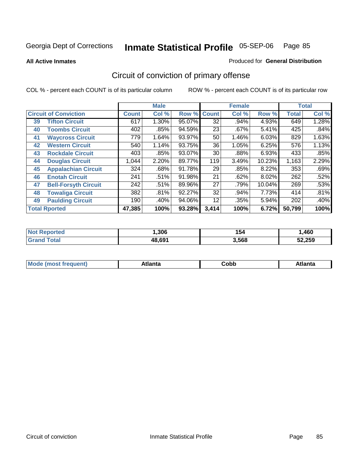**All Active Inmates**

#### Produced for **General Distribution**

# Circuit of conviction of primary offense

|    |                              |              | <b>Male</b> |        |              | <b>Female</b> |        |              | <b>Total</b> |
|----|------------------------------|--------------|-------------|--------|--------------|---------------|--------|--------------|--------------|
|    | <b>Circuit of Conviction</b> | <b>Count</b> | Col %       | Row %  | <b>Count</b> | Col %         | Row %  | <b>Total</b> | Col %        |
| 39 | <b>Tifton Circuit</b>        | 617          | 1.30%       | 95.07% | 32           | .94%          | 4.93%  | 649          | 1.28%        |
| 40 | <b>Toombs Circuit</b>        | 402          | .85%        | 94.59% | 23           | $.67\%$       | 5.41%  | 425          | .84%         |
| 41 | <b>Waycross Circuit</b>      | 779          | 1.64%       | 93.97% | 50           | 1.46%         | 6.03%  | 829          | 1.63%        |
| 42 | <b>Western Circuit</b>       | 540          | 1.14%       | 93.75% | 36           | 1.05%         | 6.25%  | 576          | 1.13%        |
| 43 | <b>Rockdale Circuit</b>      | 403          | .85%        | 93.07% | 30           | .88%          | 6.93%  | 433          | .85%         |
| 44 | <b>Douglas Circuit</b>       | 1,044        | 2.20%       | 89.77% | 119          | 3.49%         | 10.23% | 1,163        | 2.29%        |
| 45 | <b>Appalachian Circuit</b>   | 324          | .68%        | 91.78% | 29           | .85%          | 8.22%  | 353          | .69%         |
| 46 | <b>Enotah Circuit</b>        | 241          | .51%        | 91.98% | 21           | .62%          | 8.02%  | 262          | .52%         |
| 47 | <b>Bell-Forsyth Circuit</b>  | 242          | .51%        | 89.96% | 27           | .79%          | 10.04% | 269          | .53%         |
| 48 | <b>Towaliga Circuit</b>      | 382          | .81%        | 92.27% | 32           | .94%          | 7.73%  | 414          | .81%         |
| 49 | <b>Paulding Circuit</b>      | 190          | .40%        | 94.06% | 12           | .35%          | 5.94%  | 202          | .40%         |
|    | <b>Total Rported</b>         | 47,385       | 100%        | 93.28% | 3,414        | 100%          | 6.72%  | 50,799       | 100%         |

| rero | .306   | 154   | ,460   |
|------|--------|-------|--------|
|      | 48,691 | 3,568 | 52.259 |

| <b>M</b> ດ<br>.<br>. | $+1$ ant $\cdot$<br>ιαπιω<br>. <i>. .</i> | ∶obb<br>- - - - - | 'anta |
|----------------------|-------------------------------------------|-------------------|-------|
|----------------------|-------------------------------------------|-------------------|-------|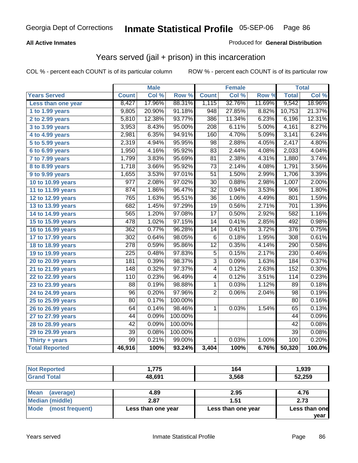### **All Active Inmates**

### Produced for **General Distribution**

## Years served (jail + prison) in this incarceration

COL % - percent each COUNT is of its particular column ROW % - percent each COUNT is of its particular row

|                                |                  | <b>Male</b> |         |                  | <b>Female</b> |        |                  | <b>Total</b> |
|--------------------------------|------------------|-------------|---------|------------------|---------------|--------|------------------|--------------|
| <b>Years Served</b>            | <b>Count</b>     | Col %       | Row %   | <b>Count</b>     | Col %         | Row %  | <b>Total</b>     | Col%         |
| Less than one year             | 8,427            | 17.96%      | 88.31%  | 1,115            | 32.76%        | 11.69% | 9,542            | 18.96%       |
| 1 to 1.99 years                | 9,805            | 20.90%      | 91.18%  | $\overline{948}$ | 27.85%        | 8.82%  | 10,753           | 21.37%       |
| 2 to 2.99 years                | 5,810            | 12.38%      | 93.77%  | 386              | 11.34%        | 6.23%  | 6,196            | 12.31%       |
| 3 to 3.99 years                | 3,953            | 8.43%       | 95.00%  | $\overline{208}$ | 6.11%         | 5.00%  | 4,161            | 8.27%        |
| 4 to 4.99 years                | 2,981            | 6.35%       | 94.91%  | 160              | 4.70%         | 5.09%  | 3,141            | 6.24%        |
| 5 to 5.99 years                | 2,319            | 4.94%       | 95.95%  | 98               | 2.88%         | 4.05%  | 2,417            | 4.80%        |
| 6 to 6.99 years                | 1,950            | 4.16%       | 95.92%  | 83               | 2.44%         | 4.08%  | 2,033            | 4.04%        |
| $\overline{7}$ to 7.99 years   | 1,799            | 3.83%       | 95.69%  | 81               | 2.38%         | 4.31%  | 1,880            | 3.74%        |
| 8 to 8.99 years                | 1,718            | 3.66%       | 95.92%  | $\overline{73}$  | 2.14%         | 4.08%  | 1,791            | 3.56%        |
| 9 to 9.99 years                | 1,655            | 3.53%       | 97.01%  | $\overline{51}$  | 1.50%         | 2.99%  | 1,706            | 3.39%        |
| 10 to 10.99 years              | $\overline{977}$ | 2.08%       | 97.02%  | $\overline{30}$  | 0.88%         | 2.98%  | 1,007            | 2.00%        |
| 11 to 11.99 years              | 874              | 1.86%       | 96.47%  | $\overline{32}$  | 0.94%         | 3.53%  | 906              | 1.80%        |
| 12 to 12.99 years              | 765              | 1.63%       | 95.51%  | $\overline{36}$  | 1.06%         | 4.49%  | 801              | 1.59%        |
| 13 to 13.99 years              | 682              | 1.45%       | 97.29%  | $\overline{19}$  | 0.56%         | 2.71%  | 701              | 1.39%        |
| 14 to 14.99 years              | 565              | 1.20%       | 97.08%  | $\overline{17}$  | 0.50%         | 2.92%  | 582              | 1.16%        |
| 15 to 15.99 years              | 478              | 1.02%       | 97.15%  | 14               | 0.41%         | 2.85%  | 492              | 0.98%        |
| 16 to 16.99 years              | 362              | 0.77%       | 96.28%  | 14               | 0.41%         | 3.72%  | $\overline{376}$ | 0.75%        |
| 17 to 17.99 years              | $\overline{302}$ | 0.64%       | 98.05%  | $\overline{6}$   | 0.18%         | 1.95%  | $\overline{308}$ | 0.61%        |
| 18 to 18.99 years              | 278              | 0.59%       | 95.86%  | $\overline{12}$  | 0.35%         | 4.14%  | 290              | 0.58%        |
| 19 to 19.99 years              | $\overline{225}$ | 0.48%       | 97.83%  | $\overline{5}$   | 0.15%         | 2.17%  | $\overline{230}$ | 0.46%        |
| 20 to 20.99 years              | 181              | 0.39%       | 98.37%  | $\overline{3}$   | 0.09%         | 1.63%  | 184              | 0.37%        |
| $\overline{21}$ to 21.99 years | 148              | 0.32%       | 97.37%  | 4                | 0.12%         | 2.63%  | 152              | 0.30%        |
| 22 to 22.99 years              | 110              | 0.23%       | 96.49%  | $\overline{4}$   | 0.12%         | 3.51%  | 114              | 0.23%        |
| 23 to 23.99 years              | $\overline{88}$  | 0.19%       | 98.88%  | $\mathbf{1}$     | 0.03%         | 1.12%  | 89               | 0.18%        |
| 24 to 24.99 years              | 96               | 0.20%       | 97.96%  | $\overline{2}$   | 0.06%         | 2.04%  | 98               | 0.19%        |
| 25 to 25.99 years              | $\overline{80}$  | 0.17%       | 100.00% |                  |               |        | $\overline{80}$  | 0.16%        |
| 26 to 26.99 years              | 64               | 0.14%       | 98.46%  | 1                | 0.03%         | 1.54%  | 65               | 0.13%        |
| 27 to 27.99 years              | 44               | 0.09%       | 100.00% |                  |               |        | 44               | 0.09%        |
| 28 to 28.99 years              | $\overline{42}$  | 0.09%       | 100.00% |                  |               |        | $\overline{42}$  | 0.08%        |
| 29 to 29.99 years              | 39               | 0.08%       | 100.00% |                  |               |        | 39               | 0.08%        |
| Thirty + years                 | $\overline{99}$  | 0.21%       | 99.00%  | $\mathbf{1}$     | 0.03%         | 1.00%  | 100              | 0.20%        |
| <b>Total Reported</b>          | 46,916           | 100%        | 93.24%  | 3,404            | 100%          | 6.76%  | 50,320           | 100.0%       |

| <b>Not Reported</b>     | 1.775              | 164                | 1,939         |
|-------------------------|--------------------|--------------------|---------------|
| <b>Grand Total</b>      | 48.691             | 3.568              | 52,259        |
|                         |                    |                    |               |
| Mean<br>(average)       | 4.89               | 2.95               | 4.76          |
| <b>Median (middle)</b>  | 2.87               | 1.51               | 2.73          |
| Mode<br>(most frequent) | Less than one year | Less than one year | Less than one |

**year**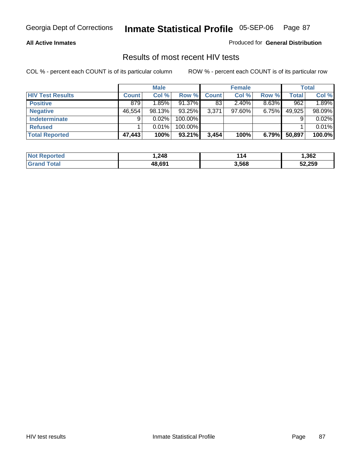#### **All Active Inmates**

Produced for **General Distribution**

### Results of most recent HIV tests

|                         |              | <b>Male</b> |         |              | <b>Female</b> |          |              | Total  |
|-------------------------|--------------|-------------|---------|--------------|---------------|----------|--------------|--------|
| <b>HIV Test Results</b> | <b>Count</b> | Col %       | Row %   | <b>Count</b> | Col %         | Row %    | <b>Total</b> | Col %  |
| <b>Positive</b>         | 879          | 1.85%       | 91.37%  | 83           | 2.40%         | $8.63\%$ | 962          | 1.89%  |
| <b>Negative</b>         | 46,554       | 98.13%      | 93.25%  | 3,371        | 97.60%        | $6.75\%$ | 49,925       | 98.09% |
| <b>Indeterminate</b>    | 9            | 0.02%       | 100.00% |              |               |          |              | 0.02%  |
| <b>Refused</b>          |              | 0.01%       | 100.00% |              |               |          |              | 0.01%  |
| <b>Total Reported</b>   | 47,443       | 100%        | 93.21%  | 3,454        | 100%          | 6.79%    | 50,897       | 100.0% |

| <b>Not Reported</b>    | .248   | 114   | ,362   |
|------------------------|--------|-------|--------|
| <b>'Grand</b><br>Total | 48.691 | 3,568 | 52,259 |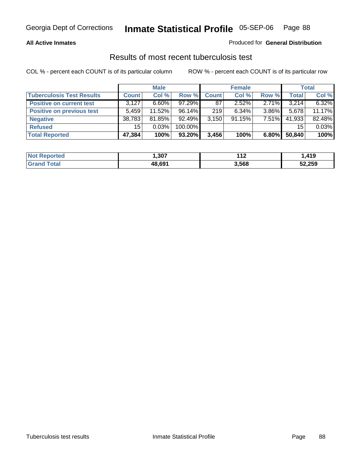### **All Active Inmates**

### Produced for **General Distribution**

### Results of most recent tuberculosis test

|                                  |                 | <b>Male</b> |           |              | <b>Female</b> |          |              | <b>Total</b> |
|----------------------------------|-----------------|-------------|-----------|--------------|---------------|----------|--------------|--------------|
| <b>Tuberculosis Test Results</b> | <b>Count</b>    | Col %       | Row %     | <b>Count</b> | Col %         | Row %    | <b>Total</b> | Col %        |
| <b>Positive on current test</b>  | 3,127           | $6.60\%$    | 97.29%    | 87           | $2.52\%$      | 2.71%    | 3,214        | 6.32%        |
| <b>Positive on previous test</b> | 5.459           | 11.52%      | $96.14\%$ | 219          | $6.34\%$      | $3.86\%$ | 5,678        | 11.17%       |
| <b>Negative</b>                  | 38,783          | 81.85%      | 92.49%    | 3,150        | 91.15%        | 7.51%    | 41,933       | 82.48%       |
| <b>Refused</b>                   | 15 <sup>1</sup> | 0.03%       | 100.00%   |              |               |          | 15           | 0.03%        |
| <b>Total Reported</b>            | 47,384          | 100%        | 93.20%    | 3,456        | 100%          | $6.80\%$ | 50,840       | 100%         |

| <b>Not</b><br><b>Reported</b> | .307   | 449<br>. . <i>.</i> | 410<br>ାଠ |
|-------------------------------|--------|---------------------|-----------|
| <b>Grand</b><br>™otal         | 48,691 | 3,568               | 52,259    |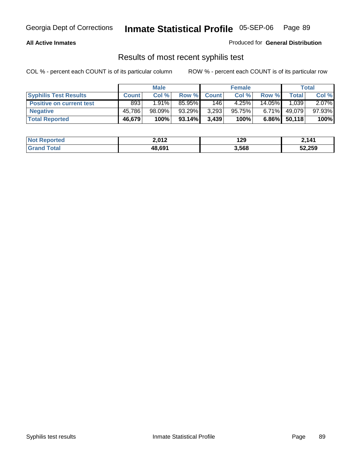### **All Active Inmates**

Produced for **General Distribution**

### Results of most recent syphilis test

|                                 | <b>Male</b>  |           |           |              | <b>Female</b> |          | Total  |        |
|---------------------------------|--------------|-----------|-----------|--------------|---------------|----------|--------|--------|
| <b>Syphilis Test Results</b>    | <b>Count</b> | Col %     | Row %     | <b>Count</b> | Col %         | Row %    | Total  | Col %  |
| <b>Positive on current test</b> | 893          | $1.91\%$  | 85.95%    | 146          | 4.25%         | 14.05%   | 1,039  | 2.07%  |
| <b>Negative</b>                 | 45,786       | $98.09\%$ | 93.29%    | 3,293        | 95.75%        | $6.71\%$ | 49,079 | 97.93% |
| <b>Total Reported</b>           | 46,679       | 100%      | $93.14\%$ | 3,439        | 100%          | $6.86\%$ | 50,118 | 100%   |

| <b>Not Reported</b> | 2,012  | 129   | 2,141  |
|---------------------|--------|-------|--------|
| <b>Grand Total</b>  | 48,691 | 3,568 | 52,259 |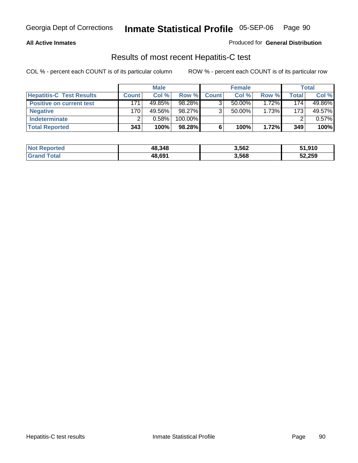### **All Active Inmates**

#### Produced for **General Distribution**

### Results of most recent Hepatitis-C test

|                                 | <b>Male</b>  |        | <b>Female</b> |              |           | Total |         |        |
|---------------------------------|--------------|--------|---------------|--------------|-----------|-------|---------|--------|
| <b>Hepatitis-C Test Results</b> | <b>Count</b> | Col %  | Row %I        | <b>Count</b> | Col %     | Row % | Total . | Col %  |
| <b>Positive on current test</b> | 171          | 49.85% | 98.28%        |              | $50.00\%$ | 1.72% | 174     | 49.86% |
| <b>Negative</b>                 | 170          | 49.56% | 98.27%        |              | $50.00\%$ | 1.73% | 173     | 49.57% |
| <b>Indeterminate</b>            |              | 0.58%  | 100.00%       |              |           |       |         | 0.57%  |
| <b>Total Reported</b>           | 343          | 100%   | 98.28%        |              | 100%      | 1.72% | 349     | 100%   |

| <b>Not Reported</b> | 48,348 | 3,562 | 51,910 |
|---------------------|--------|-------|--------|
| Total               | 48,691 | 3,568 | 52,259 |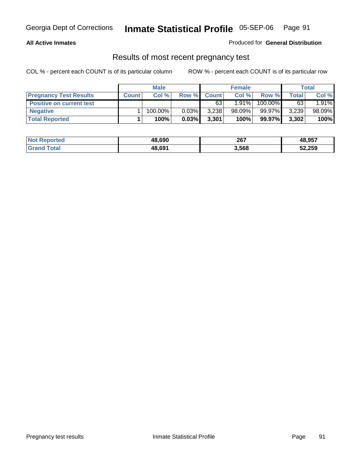#### **All Active Inmates**

Produced for **General Distribution**

### Results of most recent pregnancy test

|                                 | <b>Male</b>  |         | <b>Female</b> |              |           | <b>Total</b> |       |        |
|---------------------------------|--------------|---------|---------------|--------------|-----------|--------------|-------|--------|
| <b>Pregnancy Test Results</b>   | <b>Count</b> | Col %   | Row %         | <b>Count</b> | Col %     | Row %        | Total | Col %  |
| <b>Positive on current test</b> |              |         |               | 63           | $1.91\%$  | 100.00%      | 63    | 1.91%  |
| <b>Negative</b>                 |              | 100.00% | $0.03\%$      | 3,238        | $98.09\%$ | 99.97%       | 3,239 | 98.09% |
| <b>Total Reported</b>           |              | 100%    | 0.03%         | 3,301        | 100%      | 99.97%       | 3,302 | 100%   |

| <b>Not Reported</b> | 48.690 | 267   | 48,957 |
|---------------------|--------|-------|--------|
| <b>Grand Total</b>  | 48,691 | 3,568 | 52,259 |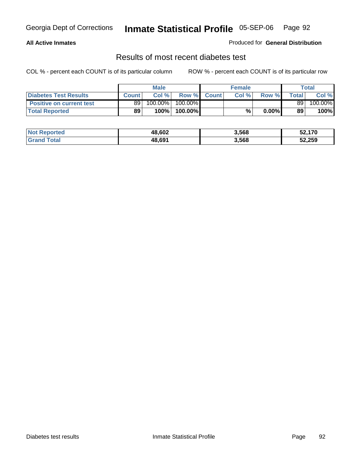### **All Active Inmates**

### Produced for **General Distribution**

### Results of most recent diabetes test

|                                 | Male         |         |         |              | <b>Female</b> |          | Total |         |
|---------------------------------|--------------|---------|---------|--------------|---------------|----------|-------|---------|
| <b>Diabetes Test Results</b>    | <b>Count</b> | Col %   | Row %   | <b>Count</b> | Col %         | Row %I   | Total | Col %   |
| <b>Positive on current test</b> | 89           | 100.00% | 100.00% |              |               |          | 89    | 100.00% |
| <b>Total Reported</b>           | 89           | 100%    | 100.00% |              | %             | $0.00\%$ | 89    | 100%    |

| <b>Not Reported</b>           | 48,602 | 3,568 | 52,170 |
|-------------------------------|--------|-------|--------|
| Total<br>$\blacksquare$ Grand | 48.691 | 3,568 | 52,259 |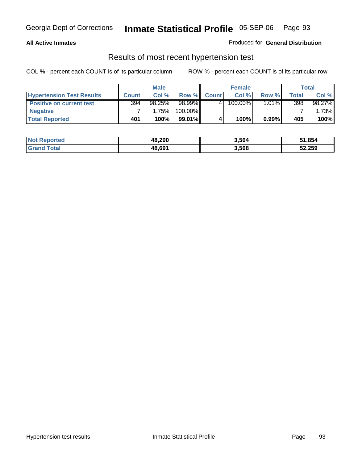#### **All Active Inmates**

### Produced for **General Distribution**

### Results of most recent hypertension test

|                                  | <b>Male</b>  |        |         |              | <b>Female</b> |          | <b>Total</b> |          |
|----------------------------------|--------------|--------|---------|--------------|---------------|----------|--------------|----------|
| <b>Hypertension Test Results</b> | <b>Count</b> | Col %  | Row %   | <b>Count</b> | Col%          | Row %    | Total        | Col %    |
| <b>Positive on current test</b>  | 394          | 98.25% | 98.99%  |              | 100.00%       | $1.01\%$ | 398          | 98.27%   |
| <b>Negative</b>                  |              | 1.75%  | 100.00% |              |               |          |              | $1.73\%$ |
| <b>Total Reported</b>            | 401          | 100%   | 99.01%  |              | 100%          | 0.99%    | 405          | 100%     |

| <b>Not Reported</b> | 48,290 | 3,564 | 51,854 |
|---------------------|--------|-------|--------|
| <b>Grand Total</b>  | 48,691 | 3,568 | 52,259 |